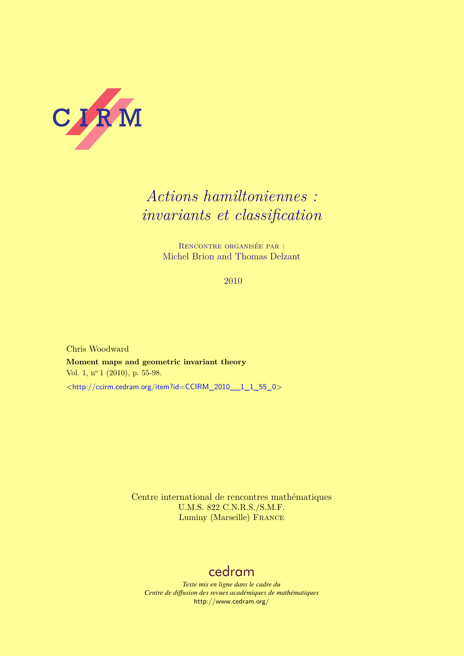<span id="page-0-0"></span>

# *Actions hamiltoniennes : invariants et classification*

Rencontre organisée par : Michel Brion and Thomas Delzant

2010

Chris Woodward **Moment maps and geometric invariant theory** Vol. 1, nº 1 (2010), p. 55-98. <[http://ccirm.cedram.org/item?id=CCIRM\\_2010\\_\\_1\\_1\\_55\\_0](http://ccirm.cedram.org/item?id=CCIRM_2010__1_1_55_0)>

> Centre international de rencontres mathématiques U.M.S. 822 C.N.R.S./S.M.F. Luminy (Marseille) France

## [cedram](http://www.cedram.org/)

*Texte mis en ligne dans le cadre du Centre de diffusion des revues académiques de mathématiques* <http://www.cedram.org/>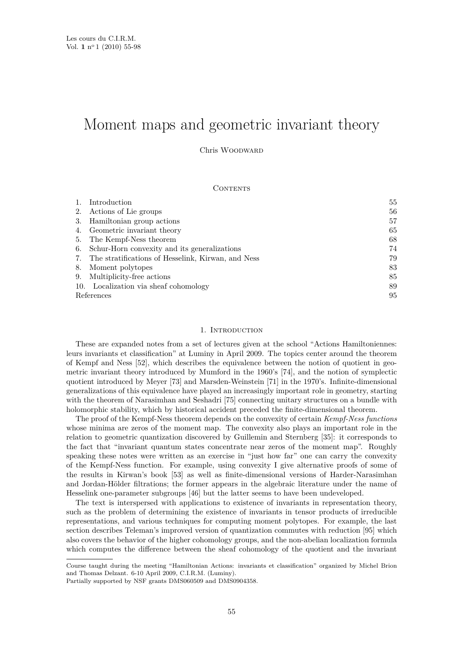## Moment maps and geometric invariant theory

Chris Woodward

## CONTENTS

|            | Introduction                                       | 55 |
|------------|----------------------------------------------------|----|
| 2.         | Actions of Lie groups                              | 56 |
| 3.         | Hamiltonian group actions                          | 57 |
|            | Geometric invariant theory                         | 65 |
| 5.         | The Kempf-Ness theorem                             | 68 |
| 6.         | Schur-Horn convexity and its generalizations       | 74 |
|            | The stratifications of Hesselink, Kirwan, and Ness | 79 |
| 8.         | Moment polytopes                                   | 83 |
| 9.         | Multiplicity-free actions                          | 85 |
|            | 10. Localization via sheaf cohomology              | 89 |
| References |                                                    | 95 |

## 1. INTRODUCTION

These are expanded notes from a set of lectures given at the school "Actions Hamiltoniennes: leurs invariants et classification" at Luminy in April 2009. The topics center around the theorem of Kempf and Ness [\[52\]](#page-42-0), which describes the equivalence between the notion of quotient in geometric invariant theory introduced by Mumford in the 1960's [\[74\]](#page-43-0), and the notion of symplectic quotient introduced by Meyer [\[73\]](#page-43-0) and Marsden-Weinstein [\[71\]](#page-43-0) in the 1970's. Infinite-dimensional generalizations of this equivalence have played an increasingly important role in geometry, starting with the theorem of Narasimhan and Seshadri [\[75\]](#page-43-0) connecting unitary structures on a bundle with holomorphic stability, which by historical accident preceded the finite-dimensional theorem.

The proof of the Kempf-Ness theorem depends on the convexity of certain *Kempf-Ness functions* whose minima are zeros of the moment map. The convexity also plays an important role in the relation to geometric quantization discovered by Guillemin and Sternberg [\[35\]](#page-42-0): it corresponds to the fact that "invariant quantum states concentrate near zeros of the moment map". Roughly speaking these notes were written as an exercise in "just how far" one can carry the convexity of the Kempf-Ness function. For example, using convexity I give alternative proofs of some of the results in Kirwan's book [\[53\]](#page-42-0) as well as finite-dimensional versions of Harder-Narasimhan and Jordan-Hölder filtrations; the former appears in the algebraic literature under the name of Hesselink one-parameter subgroups [\[46\]](#page-42-0) but the latter seems to have been undeveloped.

The text is interspersed with applications to existence of invariants in representation theory, such as the problem of determining the existence of invariants in tensor products of irreducible representations, and various techniques for computing moment polytopes. For example, the last section describes Teleman's improved version of quantization commutes with reduction [\[95\]](#page-44-0) which also covers the behavior of the higher cohomology groups, and the non-abelian localization formula which computes the difference between the sheaf cohomology of the quotient and the invariant

Course taught during the meeting "Hamiltonian Actions: invariants et classification" organized by Michel Brion and Thomas Delzant. 6-10 April 2009, C.I.R.M. (Luminy).

Partially supported by NSF grants DMS060509 and DMS0904358.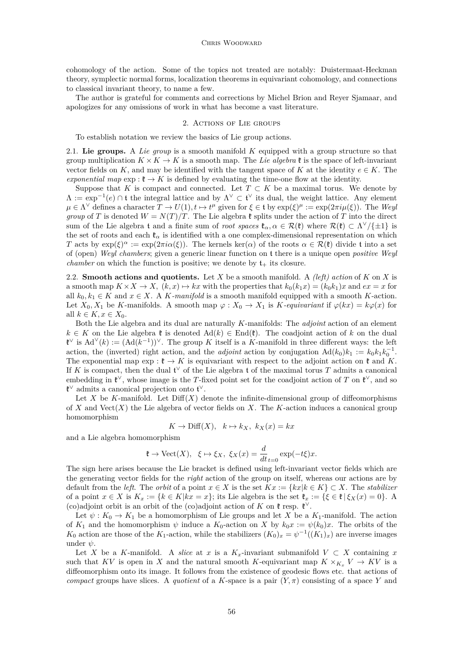<span id="page-2-0"></span>cohomology of the action. Some of the topics not treated are notably: Duistermaat-Heckman theory, symplectic normal forms, localization theorems in equivariant cohomology, and connections to classical invariant theory, to name a few.

The author is grateful for comments and corrections by Michel Brion and Reyer Sjamaar, and apologizes for any omissions of work in what has become a vast literature.

## 2. Actions of Lie groups

To establish notation we review the basics of Lie group actions.

2.1. **Lie groups.** A *Lie group* is a smooth manifold *K* equipped with a group structure so that group multiplication  $K \times K \to K$  is a smooth map. The Lie algebra  $\mathfrak k$  is the space of left-invariant vector fields on *K*, and may be identified with the tangent space of *K* at the identity  $e \in K$ . The *exponential map*  $\exp : \mathfrak{k} \to K$  is defined by evaluating the time-one flow at the identity.

Suppose that *K* is compact and connected. Let  $T \subset K$  be a maximal torus. We denote by  $\Lambda := \exp^{-1}(e) \cap \mathfrak{t}$  the integral lattice and by  $\Lambda^{\vee} \subset \mathfrak{t}^{\vee}$  its dual, the weight lattice. Any element  $\mu \in \Lambda^{\vee}$  defines a character  $T \to U(1), t \mapsto t^{\mu}$  given for  $\xi \in \mathfrak{t}$  by  $\exp(\xi)^{\mu} := \exp(2\pi i \mu(\xi))$ . The *Weyl group* of *T* is denoted  $W = N(T)/T$ . The Lie algebra  $\ell$  splits under the action of *T* into the direct sum of the Lie algebra t and a finite sum of *root spaces*  $\mathfrak{k}_{\alpha}, \alpha \in \mathcal{R}(\mathfrak{k})$  where  $\mathcal{R}(\mathfrak{k}) \subset \Lambda^{\vee}/\{\pm 1\}$  is the set of roots and each  $\mathfrak{k}_{\alpha}$  is identified with a one complex-dimensional representation on which *T* acts by  $exp(\xi)^{\alpha} := exp(2\pi i \alpha(\xi))$ . The kernels ker(*α*) of the roots  $\alpha \in \mathcal{R}(\xi)$  divide t into a set of (open) *Weyl chambers*; given a generic linear function on t there is a unique open *positive Weyl chamber* on which the function is positive; we denote by  $t_{+}$  its closure.

2.2. **Smooth actions and quotients.** Let *X* be a smooth manifold. A *(left) action* of *K* on *X* is a smooth map  $K \times X \to X$ ,  $(k, x) \mapsto kx$  with the properties that  $k_0(k_1x) = (k_0k_1)x$  and  $ex = x$  for all  $k_0, k_1 \in K$  and  $x \in X$ . A *K-manifold* is a smooth manifold equipped with a smooth *K*-action. Let  $X_0, X_1$  be *K*-manifolds. A smooth map  $\varphi : X_0 \to X_1$  is *K*-equivariant if  $\varphi(kx) = k\varphi(x)$  for all  $k \in K$ ,  $x \in X_0$ .

Both the Lie algebra and its dual are naturally *K*-manifolds: The *adjoint* action of an element  $k \in K$  on the Lie algebra  $\mathfrak{k}$  is denoted Ad( $k$ ) ∈ End( $\mathfrak{k}$ ). The coadjoint action of  $k$  on the dual  $\mathfrak{k}^{\vee}$  is  $\text{Ad}^{\vee}(k) := (\text{Ad}(k^{-1}))^{\vee}$ . The group *K* itself is a *K*-manifold in three different ways: the left action, the (inverted) right action, and the *adjoint* action by conjugation  $\text{Ad}(k_0)k_1 := k_0k_1k_0^{-1}$ . The exponential map  $\exp: \mathfrak{k} \to K$  is equivariant with respect to the adjoint action on  $\mathfrak{k}$  and K. If *K* is compact, then the dual  $\mathfrak{t}^{\vee}$  of the Lie algebra t of the maximal torus *T* admits a canonical embedding in  $\mathfrak{k}^{\vee}$ , whose image is the *T*-fixed point set for the coadjoint action of *T* on  $\mathfrak{k}^{\vee}$ , and so **t**<sup>∨</sup> admits a canonical projection onto  $t^{\vee}$ .

Let *X* be *K*-manifold. Let  $Diff(X)$  denote the infinite-dimensional group of diffeomorphisms of *X* and Vect(*X*) the Lie algebra of vector fields on *X*. The *K*-action induces a canonical group homomorphism

$$
K \to \text{Diff}(X), \quad k \mapsto k_X, \ k_X(x) = kx
$$

and a Lie algebra homomorphism

$$
\mathfrak{k} \to \text{Vect}(X), \ \ \xi \mapsto \xi_X, \ \xi_X(x) = \frac{d}{dt}_{t=0} \exp(-t\xi)x.
$$

The sign here arises because the Lie bracket is defined using left-invariant vector fields which are the generating vector fields for the *right* action of the group on itself, whereas our actions are by default from the *left*. The *orbit* of a point  $x \in X$  is the set  $Kx := \{kx | k \in K\} \subset X$ . The *stabilizer* of a point  $x \in X$  is  $K_x := \{k \in K | kx = x\}$ ; its Lie algebra is the set  $\mathfrak{k}_x := \{\xi \in \mathfrak{k} | \xi_X(x) = 0\}$ . A (co)adjoint orbit is an orbit of the (co)adjoint action of *K* on  $\mathfrak{k}$  resp.  $\mathfrak{k}^{\vee}$ .

Let  $\psi: K_0 \to K_1$  be a homomorphism of Lie groups and let X be a  $K_1$ -manifold. The action of  $K_1$  and the homomorphism  $\psi$  induce a  $K_0$ -action on *X* by  $k_0x := \psi(k_0)x$ . The orbits of the *K*<sub>0</sub> action are those of the *K*<sub>1</sub>-action, while the stabilizers  $(K_0)_x = \psi^{-1}((K_1)_x)$  are inverse images under *ψ*.

Let *X* be a *K*-manifold. A *slice* at *x* is a  $K_x$ -invariant submanifold  $V \subset X$  containing *x* such that *KV* is open in *X* and the natural smooth *K*-equivariant map  $K \times_K V \to KV$  is a diffeomorphism onto its image. It follows from the existence of geodesic flows etc. that actions of *compact* groups have slices. A *quotient* of a *K*-space is a pair  $(Y, \pi)$  consisting of a space *Y* and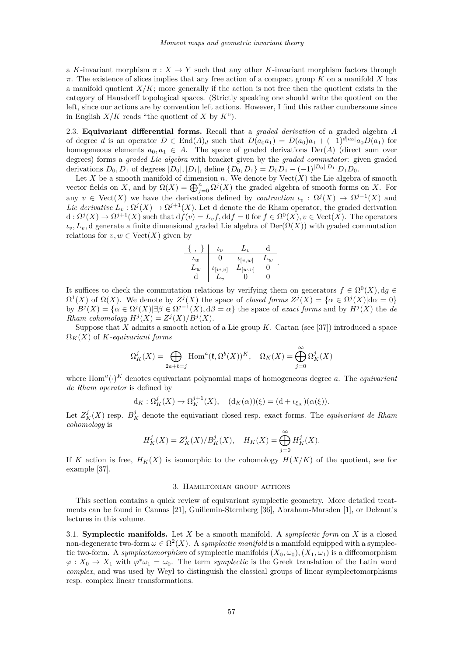<span id="page-3-0"></span>a *K*-invariant morphism  $\pi: X \to Y$  such that any other *K*-invariant morphism factors through *π*. The existence of slices implies that any free action of a compact group *K* on a manifold *X* has a manifold quotient  $X/K$ ; more generally if the action is not free then the quotient exists in the category of Hausdorff topological spaces. (Strictly speaking one should write the quotient on the left, since our actions are by convention left actions. However, I find this rather cumbersome since in English  $X/K$  reads "the quotient of  $X$  by  $K$ ").

2.3. **Equivariant differential forms.** Recall that a *graded derivation* of a graded algebra *A* of degree *d* is an operator  $D \in \text{End}(A)_d$  such that  $D(a_0a_1) = D(a_0)a_1 + (-1)^{d|a_0|}a_0D(a_1)$  for homogeneous elements  $a_0, a_1 \in A$ . The space of graded derivations  $Der(A)$  (direct sum over degrees) forms a *graded Lie algebra* with bracket given by the *graded commutator*: given graded derivations  $D_0, D_1$  of degrees  $|D_0|, |D_1|$ , define  $\{D_0, D_1\} = D_0D_1 - (-1)^{|D_0||D_1|}D_1D_0$ .

Let *X* be a smooth manifold of dimension *n*. We denote by  $Vect(X)$  the Lie algebra of smooth vector fields on *X*, and by  $\Omega(X) = \bigoplus_{j=0}^{n} \Omega^{j}(X)$  the graded algebra of smooth forms on *X*. For any  $v \in \text{Vect}(X)$  we have the derivations defined by *contraction*  $\iota_v : \Omega^j(X) \to \Omega^{j-1}(X)$  and *Lie derivative*  $L_v : \Omega^j(X) \to \Omega^{j+1}(X)$ . Let d denote the de Rham operator, the graded derivation  $d: \Omega^{j}(X) \to \Omega^{j+1}(X)$  such that  $df(v) = L_v f$ ,  $ddf = 0$  for  $f \in \Omega^{0}(X)$ ,  $v \in \text{Vect}(X)$ . The operators  $\iota_v, L_v, d$  generate a finite dimensional graded Lie algebra of Der( $\Omega(X)$ ) with graded commutation relations for  $v, w \in \text{Vect}(X)$  given by

$$
\begin{array}{c|cc} \{ \ , \ \} \ & \iota_v \ & \ L_w \ & 0 \\ \hline \iota_w & 0 & \iota_{[v,w]} & L_w \\ L_w & \iota_{[w,v]} & L_{[w,v]} & 0 \\ \hline d & L_v & 0 & 0 \end{array}.
$$

It suffices to check the commutation relations by verifying them on generators  $f \in \Omega^0(X)$ ,  $dg \in$  $\Omega^1(X)$  of  $\Omega(X)$ . We denote by  $Z^j(X)$  the space of *closed forms*  $Z^j(X) = {\alpha \in \Omega^j(X) | d\alpha = 0}$ by  $B^{j}(X) = {\alpha \in \Omega^{j}(X) | \exists \beta \in \Omega^{j-1}(X), \mathrm{d}\beta = \alpha}$  the space of *exact forms* and by  $H^{j}(X)$  the *de Rham cohomology*  $H^{j}(X) = Z^{j}(X)/B^{j}(X)$ .

Suppose that *X* admits a smooth action of a Lie group *K*. Cartan (see [\[37\]](#page-42-0)) introduced a space  $\Omega_K(X)$  of *K-equivariant forms* 

$$
\Omega_K^j(X) = \bigoplus_{2a+b=j} \text{Hom}^a(\mathfrak{k}, \Omega^b(X))^K, \quad \Omega_K(X) = \bigoplus_{j=0}^\infty \Omega_K^j(X)
$$

where  $Hom<sup>a</sup>(.)<sup>K</sup>$  denotes equivariant polynomial maps of homogeneous degree *a*. The *equivariant de Rham operator* is defined by

$$
d_K: \Omega_K^j(X) \to \Omega_K^{j+1}(X), \quad (d_K(\alpha))(\xi) = (d + \iota_{\xi_X})(\alpha(\xi)).
$$

Let  $Z_K^j(X)$  resp.  $B_K^j$  denote the equivariant closed resp. exact forms. The *equivariant de Rham cohomology* is

$$
H_K^j(X) = Z_K^j(X)/B_K^j(X), \quad H_K(X) = \bigoplus_{j=0}^{\infty} H_K^j(X).
$$

If *K* action is free,  $H_K(X)$  is isomorphic to the cohomology  $H(X/K)$  of the quotient, see for example [\[37\]](#page-42-0).

#### 3. Hamiltonian group actions

This section contains a quick review of equivariant symplectic geometry. More detailed treatments can be found in Cannas [\[21\]](#page-42-0), Guillemin-Sternberg [\[36\]](#page-42-0), Abraham-Marsden [\[1\]](#page-41-0), or Delzant's lectures in this volume.

3.1. **Symplectic manifolds.** Let *X* be a smooth manifold. A *symplectic form* on *X* is a closed non-degenerate two-form  $\omega \in \Omega^2(X)$ . A *symplectic manifold* is a manifold equipped with a symplectic two-form. A *symplectomorphism* of symplectic manifolds  $(X_0, \omega_0)$ ,  $(X_1, \omega_1)$  is a diffeomorphism  $\varphi: X_0 \to X_1$  with  $\varphi^* \omega_1 = \omega_0$ . The term *symplectic* is the Greek translation of the Latin word *complex*, and was used by Weyl to distinguish the classical groups of linear symplectomorphisms resp. complex linear transformations.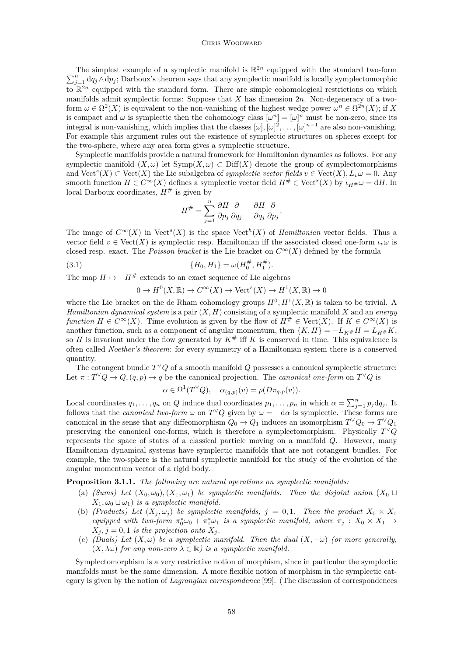#### CHRIS WOODWARD

<span id="page-4-0"></span>The simplest example of a symplectic manifold is  $\mathbb{R}^{2n}$  equipped with the standard two-form  $\sum_{j=1}^{n} dq_j \wedge dp_j$ ; Darboux's theorem says that any symplectic manifold is locally symplectomorphic to  $\mathbb{R}^{2n}$  equipped with the standard form. There are simple cohomological restrictions on which manifolds admit symplectic forms: Suppose that *X* has dimension 2*n*. Non-degeneracy of a twoform  $\omega \in \Omega^2(X)$  is equivalent to the non-vanishing of the highest wedge power  $\omega^n \in \Omega^{2n}(X)$ ; if X is compact and  $\omega$  is symplectic then the cohomology class  $[\omega^n] = [\omega]^n$  must be non-zero, since its integral is non-vanishing, which implies that the classes  $[\omega], [\omega]^2, \ldots, [\omega]^{n-1}$  are also non-vanishing. For example this argument rules out the existence of symplectic structures on spheres except for the two-sphere, where any area form gives a symplectic structure.

Symplectic manifolds provide a natural framework for Hamiltonian dynamics as follows. For any symplectic manifold  $(X, \omega)$  let  $\text{Symp}(X, \omega) \subset \text{Diff}(X)$  denote the group of symplectomorphisms and  $\text{Vect}^s(X) \subset \text{Vect}(X)$  the Lie subalgebra of *symplectic vector fields*  $v \in \text{Vect}(X), L_v\omega = 0$ . Any smooth function  $H \in C^{\infty}(X)$  defines a symplectic vector field  $H^{\#} \in \text{Vect}^s(X)$  by  $\iota_{H^{\#}}\omega = dH$ . In local Darboux coordinates,  $H^{\#}$  is given by

$$
H^{\#} = \sum_{j=1}^{n} \frac{\partial H}{\partial p_j} \frac{\partial}{\partial q_j} - \frac{\partial H}{\partial q_j} \frac{\partial}{\partial p_j}.
$$

The image of  $C^{\infty}(X)$  in  $\text{Vect}^s(X)$  is the space  $\text{Vect}^h(X)$  of *Hamiltonian* vector fields. Thus a vector field  $v \in \text{Vect}(X)$  is symplectic resp. Hamiltonian iff the associated closed one-form  $\iota_v \omega$  is closed resp. exact. The *Poisson bracket* is the Lie bracket on  $C^{\infty}(X)$  defined by the formula

(3.1) 
$$
\{H_0, H_1\} = \omega(H_0^{\#}, H_1^{\#}).
$$

The map  $H \mapsto -H^*$  extends to an exact sequence of Lie algebras

$$
0 \to H^0(X, \mathbb{R}) \to C^\infty(X) \to \text{Vect}^s(X) \to H^1(X, \mathbb{R}) \to 0
$$

where the Lie bracket on the de Rham cohomology groups  $H^0, H^1(X, \mathbb{R})$  is taken to be trivial. A *Hamiltonian dynamical system* is a pair (*X, H*) consisting of a symplectic manifold *X* and an *energy function*  $H \in C^{\infty}(X)$ . Time evolution is given by the flow of  $H^{\#} \in \text{Vect}(X)$ . If  $K \in C^{\infty}(X)$  is another function, such as a component of angular momentum, then  $\{K, H\} = -L_{K#}H = L_{H#}K$ , so *H* is invariant under the flow generated by  $K^{\#}$  iff *K* is conserved in time. This equivalence is often called *Noether's theorem*: for every symmetry of a Hamiltonian system there is a conserved quantity.

The cotangent bundle  $T^{\vee}Q$  of a smooth manifold  $Q$  possesses a canonical symplectic structure: Let  $\pi: T^{\vee}Q \to Q$ ,  $(q, p) \to q$  be the canonical projection. The *canonical one-form* on  $T^{\vee}Q$  is

$$
\alpha \in \Omega^1(T^{\vee}Q), \quad \alpha_{(q,p)}(v) = p(D\pi_{q,p}(v)).
$$

Local coordinates  $q_1, \ldots, q_n$  on  $Q$  induce dual coordinates  $p_1, \ldots, p_n$  in which  $\alpha = \sum_{j=1}^n p_j dq_j$ . It follows that the *canonical two-form*  $\omega$  on  $T^{\vee}Q$  given by  $\omega = -d\alpha$  is symplectic. These forms are canonical in the sense that any diffeomorphism  $Q_0 \to Q_1$  induces an isomorphism  $T^{\vee}Q_0 \to T^{\vee}Q_1$ preserving the canonical one-forms, which is therefore a symplectomorphism. Physically *T* <sup>∨</sup>*Q* represents the space of states of a classical particle moving on a manifold *Q*. However, many Hamiltonian dynamical systems have symplectic manifolds that are not cotangent bundles. For example, the two-sphere is the natural symplectic manifold for the study of the evolution of the angular momentum vector of a rigid body.

**Proposition 3.1.1.** *The following are natural operations on symplectic manifolds:*

- (a) *(Sums)* Let  $(X_0, \omega_0)$ ,  $(X_1, \omega_1)$  be symplectic manifolds. Then the disjoint union  $(X_0 \cup$  $X_1, \omega_0 \sqcup \omega_1$  *is a symplectic manifold.*
- (b) *(Products) Let*  $(X_i, \omega_i)$  *be symplectic manifolds,*  $j = 0, 1$ *. Then the product*  $X_0 \times X_1$ *equipped with two-form*  $\pi_0^* \omega_0 + \pi_1^* \omega_1$  *is a symplectic manifold, where*  $\pi_j : X_0 \times X_1 \to$  $X_i, j = 0, 1$  *is the projection onto*  $X_i$ .
- (c) *(Duals)* Let  $(X, \omega)$  be a symplectic manifold. Then the dual  $(X, -\omega)$  (or more generally,  $(X, \lambda \omega)$  *for any non-zero*  $\lambda \in \mathbb{R}$ *) is a symplectic manifold.*

Symplectomorphism is a very restrictive notion of morphism, since in particular the symplectic manifolds must be the same dimension. A more flexible notion of morphism in the symplectic category is given by the notion of *Lagrangian correspondence* [\[99\]](#page-44-0). (The discussion of correspondences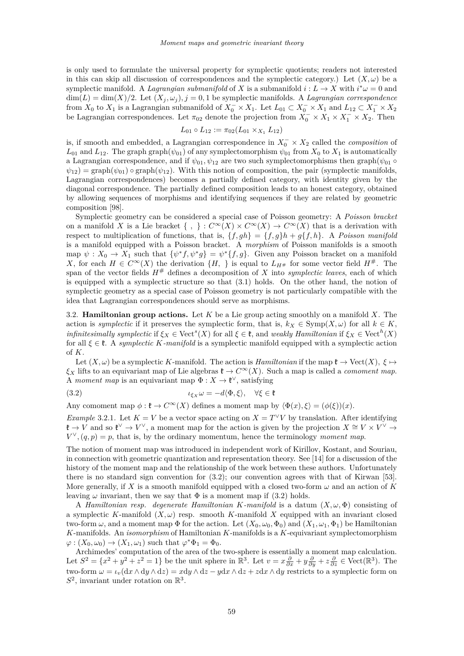<span id="page-5-0"></span>is only used to formulate the universal property for symplectic quotients; readers not interested in this can skip all discussion of correspondences and the symplectic category.) Let  $(X, \omega)$  be a symplectic manifold. A *Lagrangian submanifold* of *X* is a submanifold  $i: L \to X$  with  $i^*\omega = 0$  and  $\dim(L) = \dim(X)/2$ . Let  $(X_i, \omega_i), j = 0, 1$  be symplectic manifolds. A *Lagrangian correspondence* from  $X_0$  to  $X_1$  is a Lagrangian submanifold of  $X_0^- \times X_1$ . Let  $L_{01} \subset X_0^- \times X_1$  and  $L_{12} \subset X_1^- \times X_2$ be Lagrangian correspondences. Let  $\pi_{02}$  denote the projection from  $\overline{X}_0^- \times X_1 \times X_1^- \times X_2$ . Then

$$
L_{01} \circ L_{12} := \pi_{02}(L_{01} \times_{X_1} L_{12})
$$

is, if smooth and embedded, a Lagrangian correspondence in  $X_0^- \times X_2$  called the *composition* of  $L_{01}$  and  $L_{12}$ . The graph graph $(\psi_{01})$  of any symplectomorphism  $\psi_{01}$  from  $X_0$  to  $X_1$  is automatically a Lagrangian correspondence, and if  $\psi_{01}, \psi_{12}$  are two such symplectomorphisms then graph $(\psi_{01} \circ$  $\psi_{12}$ ) = graph $(\psi_{01})$  ∘ graph $(\psi_{12})$ . With this notion of composition, the pair (symplectic manifolds, Lagrangian correspondences) becomes a partially defined category, with identity given by the diagonal correspondence. The partially defined composition leads to an honest category, obtained by allowing sequences of morphisms and identifying sequences if they are related by geometric composition [\[98\]](#page-44-0).

Symplectic geometry can be considered a special case of Poisson geometry: A *Poisson bracket* on a manifold *X* is a Lie bracket  $\{ , \} : C^{\infty}(X) \times C^{\infty}(X) \to C^{\infty}(X)$  that is a derivation with respect to multiplication of functions, that is,  $\{f, gh\} = \{f, g\}h + q\{f, h\}$ . A *Poisson manifold* is a manifold equipped with a Poisson bracket. A *morphism* of Poisson manifolds is a smooth map  $\psi: X_0 \to X_1$  such that  $\{\psi^* f, \psi^* g\} = \psi^* \{f, g\}$ . Given any Poisson bracket on a manifold *X*, for each *H* ∈  $C^{\infty}(X)$  the derivation  $\{H, \}$  is equal to  $L_{H#}$  for some vector field  $H#$ . The span of the vector fields  $H^{\#}$  defines a decomposition of *X* into *symplectic leaves*, each of which is equipped with a symplectic structure so that [\(3.1\)](#page-4-0) holds. On the other hand, the notion of symplectic geometry as a special case of Poisson geometry is not particularly compatible with the idea that Lagrangian correspondences should serve as morphisms.

3.2. **Hamiltonian group actions.** Let *K* be a Lie group acting smoothly on a manifold *X*. The action is *symplectic* if it preserves the symplectic form, that is,  $k_X \in \text{Symp}(X, \omega)$  for all  $k \in K$ , *infinitesimally symplectic* if  $\xi_X \in \text{Vect}^s(X)$  for all  $\xi \in \mathfrak{k}$ , and *weakly Hamiltonian* if  $\xi_X \in \text{Vect}^h(X)$ for all  $\xi \in \mathfrak{k}$ . A *symplectic K-manifold* is a symplectic manifold equipped with a symplectic action of *K*.

Let  $(X, \omega)$  be a symplectic *K*-manifold. The action is *Hamiltonian* if the map  $\mathfrak{k} \to \text{Vect}(X)$ ,  $\xi \mapsto$  $\xi_X$  lifts to an equivariant map of Lie algebras  $\mathfrak{k} \to C^\infty(X)$ . Such a map is called a *comoment map*. A *moment map* is an equivariant map  $\Phi: X \to \mathfrak{k}^{\vee}$ , satisfying

(3.2) 
$$
\iota_{\xi_X}\omega = -d\langle \Phi, \xi \rangle, \quad \forall \xi \in \mathfrak{k}
$$

Any comoment map  $\phi: \mathfrak{k} \to C^{\infty}(X)$  defines a moment map by  $\langle \Phi(x), \xi \rangle = (\phi(\xi))(x)$ .

*Example* 3.2.1*.* Let  $K = V$  be a vector space acting on  $X = T^{\vee}V$  by translation. After identifying **t** →  $\overrightarrow{V}$  and so  $\mathfrak{k}^{\vee} \to V^{\vee}$ , a moment map for the action is given by the projection  $X \cong V \times V^{\vee} \to V$  $V^{\vee}$ ,  $(q, p) = p$ , that is, by the ordinary momentum, hence the terminology *moment map*.

The notion of moment map was introduced in independent work of Kirillov, Kostant, and Souriau, in connection with geometric quantization and representation theory. See [\[14\]](#page-41-0) for a discussion of the history of the moment map and the relationship of the work between these authors. Unfortunately there is no standard sign convention for (3.2); our convention agrees with that of Kirwan [\[53\]](#page-42-0). More generally, if X is a smooth manifold equipped with a closed two-form  $\omega$  and an action of K leaving  $\omega$  invariant, then we say that  $\Phi$  is a moment map if (3.2) holds.

A *Hamiltonian resp. degenerate Hamiltonian K-manifold* is a datum  $(X, \omega, \Phi)$  consisting of a symplectic *K*-manifold  $(X, \omega)$  resp. smooth *K*-manifold *X* equipped with an invariant closed two-form  $\omega$ , and a moment map  $\Phi$  for the action. Let  $(X_0, \omega_0, \Phi_0)$  and  $(X_1, \omega_1, \Phi_1)$  be Hamiltonian *K*-manifolds. An *isomorphism* of Hamiltonian *K*-manifolds is a *K*-equivariant symplectomorphism  $\varphi: (X_0, \omega_0) \to (X_1, \omega_1)$  such that  $\varphi^* \Phi_1 = \Phi_0$ .

Archimedes' computation of the area of the two-sphere is essentially a moment map calculation. Let  $S^2 = \{x^2 + y^2 + z^2 = 1\}$  be the unit sphere in  $\mathbb{R}^3$ . Let  $v = x\frac{\partial}{\partial x} + y\frac{\partial}{\partial y} + z\frac{\partial}{\partial z} \in \text{Vect}(\mathbb{R}^3)$ . The two-form  $\omega = \iota_v(\mathrm{d}x \wedge \mathrm{d}y \wedge \mathrm{d}z) = x \mathrm{d}y \wedge \mathrm{d}z - y \mathrm{d}x \wedge \mathrm{d}z + z \mathrm{d}x \wedge \mathrm{d}y$  restricts to a symplectic form on  $S^2$ , invariant under rotation on  $\mathbb{R}^3$ .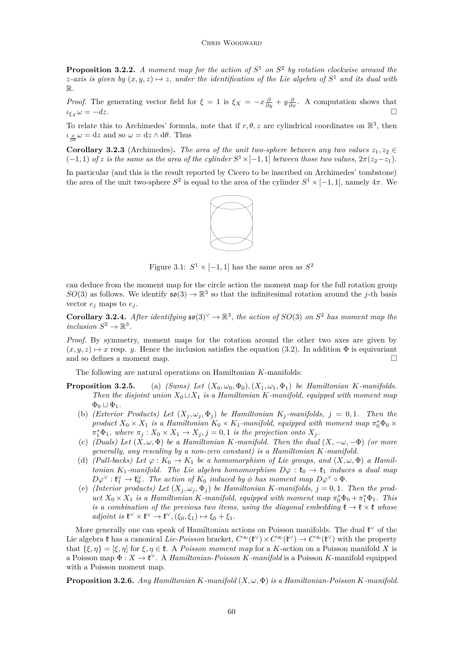<span id="page-6-0"></span>**Proposition 3.2.2.** *A moment map for the action of*  $S<sup>1</sup>$  *on*  $S<sup>2</sup>$  *by rotation clockwise around the z*-axis is given by  $(x, y, z) \mapsto z$ , under the identification of the Lie algebra of  $S^1$  and its dual with R*.*

*Proof.* The generating vector field for  $\xi = 1$  is  $\xi_X = -x\frac{\partial}{\partial y} + y\frac{\partial}{\partial x}$ . A computation shows that  $\iota$ <sub>*ξX*</sub>  $\omega$  = −*dz*.

To relate this to Archimedes' formula, note that if  $r, \theta, z$  are cylindrical coordinates on  $\mathbb{R}^3$ , then *ι*<sub> $\frac{\partial}{\partial θ}$ </sub> *ω* = d*z* and so *ω* = d*z* ∧ d*θ*. Thus

**Corollary 3.2.3** (Archimedes). The area of the unit two-sphere between any two values  $z_1, z_2 \in$  $(-1, 1)$  *of z is the same as the area of the cylinder*  $S^1 \times [-1, 1]$  *between those two values,*  $2\pi(z_2 - z_1)$ *.* 

In particular (and this is the result reported by Cicero to be inscribed on Archimedes' tombstone) the area of the unit two-sphere  $S^2$  is equal to the area of the cylinder  $S^1 \times [-1,1]$ , namely  $4\pi$ . We



Figure 3.1:  $S^1 \times [-1,1]$  has the same area as  $S^2$ 

can deduce from the moment map for the circle action the moment map for the full rotation group  $SO(3)$  as follows. We identify  $\mathfrak{so}(3) \to \mathbb{R}^3$  so that the infinitesimal rotation around the *j*-th basis vector  $e_j$  maps to  $e_j$ .

**Corollary 3.2.4.** After identifying  $\mathfrak{so}(3)^{\vee} \to \mathbb{R}^3$ , the action of  $SO(3)$  on  $S^2$  has moment map the  $inclusion S^2 \rightarrow \mathbb{R}^3$ .

*Proof.* By symmetry, moment maps for the rotation around the other two axes are given by  $(x, y, z) \mapsto x$  resp. *y*. Hence the inclusion satisfies the equation [\(3.2\)](#page-5-0). In addition  $\Phi$  is equivariant and so defines a moment map.

The following are natural operations on Hamiltonian *K*-manifolds:

- **Proposition 3.2.5.** (a) *(Sums)* Let  $(X_0, \omega_0, \Phi_0)$ *,* $(X_1, \omega_1, \Phi_1)$  be Hamiltonian *K*-manifolds. *Then the disjoint union*  $X_0 \sqcup X_1$  *is a Hamiltonian K-manifold, equipped with moment map*  $\Phi_0 \sqcup \Phi_1$ .
	- (b) *(Exterior Products) Let*  $(X_i, \omega_i, \Phi_i)$  *be Hamiltonian*  $K_i$ -manifolds,  $j = 0, 1$ . Then the *product*  $X_0 \times X_1$  *is a Hamiltonian*  $K_0 \times K_1$ -manifold, equipped with moment map  $\pi_0^* \Phi_0 \times$  $\pi_1^* \Phi_1$ , where  $\pi_j : X_0 \times X_1 \to X_j$ ,  $j = 0, 1$  *is the projection onto*  $X_j$ .
	- (c) *(Duals)* Let  $(X, \omega, \Phi)$  be a Hamiltonian *K*-manifold. Then the dual  $(X, -\omega, -\Phi)$  *(or more generally, any rescaling by a non-zero constant) is a Hamiltonian K-manifold.*
	- (d) *(Pull-backs)* Let  $\varphi : K_0 \to K_1$  be a homomorphism of Lie groups, and  $(X, \omega, \Phi)$  a Hamil*tonian*  $K_1$ -manifold. The Lie algebra homomorphism  $D\varphi : \mathfrak{k}_0 \to \mathfrak{k}_1$  *induces a dual map*  $D\varphi^{\vee} : \mathfrak{k}_1^{\vee} \to \mathfrak{k}_0^{\vee}$ . The action of  $K_0$  induced by  $\phi$  has moment map  $D\varphi^{\vee} \circ \Phi$ .
	- (e) *(Interior products) Let*  $(X_j, \omega_j, \Phi_j)$  *be Hamiltonian K*-manifolds,  $j = 0, 1$ *. Then the product*  $X_0 \times X_1$  *is a Hamiltonian K-manifold, equipped with moment map*  $\pi_0^* \Phi_0 + \pi_1^* \Phi_1$ *. This is a combination of the previous two items, using the diagonal embedding*  $\mathfrak{k} \to \mathfrak{k} \times \mathfrak{k}$  *whose*  $adjoint is \mathfrak{k}^{\vee} \times \mathfrak{k}^{\vee} \to \mathfrak{k}^{\vee}, (\xi_0, \xi_1) \mapsto \xi_0 + \xi_1.$

More generally one can speak of Hamiltonian actions on Poisson manifolds. The dual  $\mathfrak{k}^{\vee}$  of the Lie algebra  $\mathfrak k$  has a canonical *Lie-Poisson* bracket,  $C^{\infty}(\mathfrak k^{\vee}) \times C^{\infty}(\mathfrak k^{\vee}) \to C^{\infty}(\mathfrak k^{\vee})$  with the property that  $\{\xi, \eta\} = [\xi, \eta]$  for  $\xi, \eta \in \mathfrak{k}$ . A *Poisson moment map* for a *K*-action on a Poisson manifold *X* is a Poisson map  $\Phi: X \to \mathfrak{k}^{\vee}$ . A *Hamiltonian-Poisson K-manifold* is a Poisson *K*-manifold equipped with a Poisson moment map.

**Proposition 3.2.6.** *Any Hamiltonian K-manifold* (*X, ω,* Φ) *is a Hamiltonian-Poisson K-manifold.*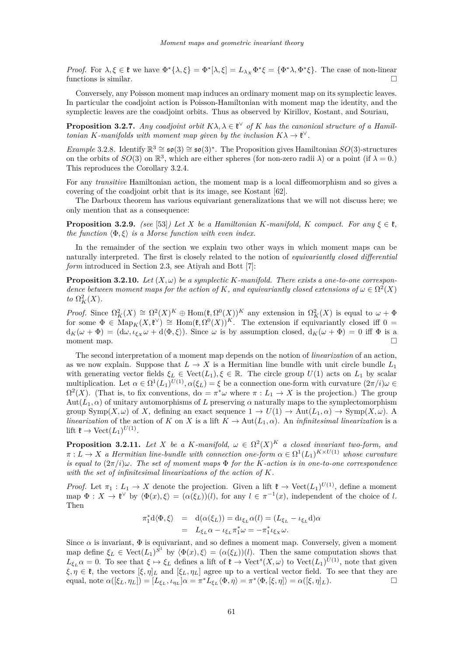<span id="page-7-0"></span>*Proof.* For  $\lambda, \xi \in \mathfrak{k}$  we have  $\Phi^* \{\lambda, \xi\} = \Phi^* [\lambda, \xi] = L_{\lambda_X} \Phi^* \xi = \{\Phi^* \lambda, \Phi^* \xi\}$ . The case of non-linear functions is similar.

Conversely, any Poisson moment map induces an ordinary moment map on its symplectic leaves. In particular the coadjoint action is Poisson-Hamiltonian with moment map the identity, and the symplectic leaves are the coadjoint orbits. Thus as observed by Kirillov, Kostant, and Souriau,

**Proposition 3.2.7.** *Any coadjoint orbit*  $K\lambda, \lambda \in \mathfrak{k}^{\vee}$  *of K has the canonical structure of a Hamiltonian K*-manifolds with moment map given by the inclusion  $K\lambda \to \ell^{\vee}$ .

*Example* 3.2.8. Identify  $\mathbb{R}^3 \cong \mathfrak{so}(3) \cong \mathfrak{so}(3)^*$ . The Proposition gives Hamiltonian *SO*(3)-structures on the orbits of  $SO(3)$  on  $\mathbb{R}^3$ , which are either spheres (for non-zero radii  $\lambda$ ) or a point (if  $\lambda = 0$ .) This reproduces the Corollary [3.2.4.](#page-6-0)

For any *transitive* Hamiltonian action, the moment map is a local diffeomorphism and so gives a covering of the coadjoint orbit that is its image, see Kostant [\[62\]](#page-43-0).

The Darboux theorem has various equivariant generalizations that we will not discuss here; we only mention that as a consequence:

**Proposition 3.2.9.** *(see* [\[53\]](#page-42-0)*) Let X be a Hamiltonian K-manifold, K compact. For any*  $\xi \in \mathfrak{k}$ *, the function*  $\langle \Phi, \xi \rangle$  *is a Morse function with even index.* 

In the remainder of the section we explain two other ways in which moment maps can be naturally interpreted. The first is closely related to the notion of *equivariantly closed differential form* introduced in Section 2.3, see Atiyah and Bott [\[7\]](#page-41-0):

**Proposition 3.2.10.** Let  $(X, \omega)$  be a symplectic K-manifold. There exists a one-to-one correspon*dence between moment maps for the action of K*, and equivariantly closed extensions of  $\omega \in \Omega^2(X)$ *to*  $\Omega_K^2(X)$ *.* 

*Proof.* Since  $\Omega_K^2(X) \cong \Omega^2(X)^K \oplus \text{Hom}(\mathfrak{k}, \Omega^0(X))^K$  any extension in  $\Omega_K^2(X)$  is equal to  $\omega + \Phi$ for some  $\Phi \in \text{Map}_K(X, \mathfrak{k}^\vee) \cong \text{Hom}(\mathfrak{k}, \Omega^0(X))^{K}$ . The extension if equivariantly closed iff 0 =  $d_K(\omega + \Phi) = (d\omega, \iota_{\xi_X}\omega + d\langle\Phi, \xi\rangle)$ . Since  $\omega$  is by assumption closed,  $d_K(\omega + \Phi) = 0$  iff  $\Phi$  is a moment map.

The second interpretation of a moment map depends on the notion of *linearization* of an action, as we now explain. Suppose that  $L \to X$  is a Hermitian line bundle with unit circle bundle  $L_1$ with generating vector fields  $\xi_L \in \text{Vect}(L_1), \xi \in \mathbb{R}$ . The circle group  $U(1)$  acts on  $L_1$  by scalar multiplication. Let  $\alpha \in \Omega^1(L_1)^{U(1)}, \alpha(\xi_L) = \xi$  be a connection one-form with curvature  $(2\pi/i)\omega \in$  $\Omega^2(X)$ . (That is, to fix conventions,  $d\alpha = \pi^*\omega$  where  $\pi: L_1 \to X$  is the projection.) The group  $Aut(L_1, \alpha)$  of unitary automorphisms of L preserving  $\alpha$  naturally maps to the symplectomorphism group  $\text{Symp}(X,\omega)$  of X, defining an exact sequence  $1 \to U(1) \to \text{Aut}(L_1,\alpha) \to \text{Symp}(X,\omega)$ . A *linearization* of the action of *K* on *X* is a lift  $K \to Aut(L_1, \alpha)$ . An *infinitesimal linearization* is a lift  $\mathfrak{k} \to \text{Vect}(L_1)^{U(1)}$ .

**Proposition 3.2.11.** Let *X* be a *K*-manifold,  $\omega \in \Omega^2(X)^K$  a closed invariant two-form, and  $\pi : L \to X$  *a Hermitian line-bundle with connection one-form*  $\alpha \in \Omega^1(L_1)^{K \times U(1)}$  whose curvature *is equal to*  $(2\pi/i)\omega$ *. The set of moment maps*  $\Phi$  *for the K-action is in one-to-one correspondence with the set of infinitesimal linearizations of the action of K.*

*Proof.* Let  $\pi_1: L_1 \to X$  denote the projection. Given a lift  $\mathfrak{k} \to \text{Vect}(L_1)^{U(1)}$ , define a moment map  $\Phi: X \to \mathfrak{k}^\vee$  by  $\langle \Phi(x), \xi \rangle = (\alpha(\xi_L))(l)$ , for any  $l \in \pi^{-1}(x)$ , independent of the choice of *l*. Then

$$
\begin{array}{rcl}\n\pi_1^* \mathrm{d} \langle \Phi, \xi \rangle & = & \mathrm{d}(\alpha(\xi_L)) = \mathrm{d} \iota_{\xi_L} \alpha(l) = (L_{\xi_L} - \iota_{\xi_L} \mathrm{d}) \alpha \\
& = & L_{\xi_L} \alpha - \iota_{\xi_L} \pi_1^* \omega = -\pi_1^* \iota_{\xi_X} \omega.\n\end{array}
$$

Since  $\alpha$  is invariant,  $\Phi$  is equivariant, and so defines a moment map. Conversely, given a moment map define  $\xi_L \in \text{Vect}(L_1)^{S^1}$  by  $\langle \Phi(x), \xi \rangle = (\alpha(\xi_L))(l)$ . Then the same computation shows that  $L_{\xi_L} \alpha = 0$ . To see that  $\xi \mapsto \xi_L$  defines a lift of  $\xi \to \text{Vect}^s(X, \omega)$  to  $\text{Vect}(L_1)^{U(1)}$ , note that given  $\xi, \eta \in \mathfrak{k}$ , the vectors  $[\xi, \eta]_L$  and  $[\xi_L, \eta_L]$  agree up to a vertical vector field. To see that they are equal, note  $\alpha([\xi_L, \eta_L]) = [L_{\xi_L}, \iota_{\eta_L}] \alpha = \pi^* L_{\xi_L} \langle \Phi, \eta \rangle = \pi^* \langle \Phi, [\xi, \eta] \rangle = \alpha([\xi, \eta]_L).$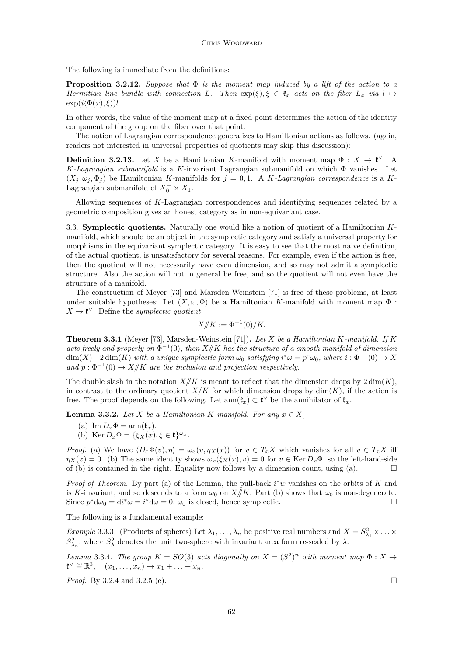<span id="page-8-0"></span>The following is immediate from the definitions:

**Proposition 3.2.12.** *Suppose that* Φ *is the moment map induced by a lift of the action to a Hermitian line bundle with connection L.* Then  $\exp(\xi)$ ,  $\xi \in \mathfrak{k}_x$  *acts on the fiber*  $L_x$  *via*  $l \mapsto$  $\exp(i\langle \Phi(x), \xi \rangle)l$ .

In other words, the value of the moment map at a fixed point determines the action of the identity component of the group on the fiber over that point.

The notion of Lagrangian correspondence generalizes to Hamiltonian actions as follows. (again, readers not interested in universal properties of quotients may skip this discussion):

**Definition 3.2.13.** Let *X* be a Hamiltonian *K*-manifold with moment map  $\Phi : X \to \mathfrak{k}^{\vee}$ . A *K-Lagrangian submanifold* is a *K*-invariant Lagrangian submanifold on which Φ vanishes. Let  $(X_i, \omega_i, \Phi_i)$  be Hamiltonian *K*-manifolds for  $j = 0, 1$ . A *K*-Lagrangian correspondence is a *K*-Lagrangian submanifold of  $X_0^- \times X_1$ .

Allowing sequences of *K*-Lagrangian correspondences and identifying sequences related by a geometric composition gives an honest category as in non-equivariant case.

3.3. **Symplectic quotients.** Naturally one would like a notion of quotient of a Hamiltonian *K*manifold, which should be an object in the symplectic category and satisfy a universal property for morphisms in the equivariant symplectic category. It is easy to see that the most naive definition, of the actual quotient, is unsatisfactory for several reasons. For example, even if the action is free, then the quotient will not necessarily have even dimension, and so may not admit a symplectic structure. Also the action will not in general be free, and so the quotient will not even have the structure of a manifold.

The construction of Meyer [\[73\]](#page-43-0) and Marsden-Weinstein [\[71\]](#page-43-0) is free of these problems, at least under suitable hypotheses: Let  $(X, \omega, \Phi)$  be a Hamiltonian *K*-manifold with moment map  $\Phi$ :  $X \to \mathfrak{k}^{\vee}$ . Define the *symplectic quotient* 

$$
X/\!\!/K := \Phi^{-1}(0)/K.
$$

**Theorem 3.3.1** (Meyer [\[73\]](#page-43-0), Marsden-Weinstein [\[71\]](#page-43-0))**.** *Let X be a Hamiltonian K-manifold. If K* acts freely and properly on  $\Phi^{-1}(0)$ , then  $X/\!\!/K$  has the structure of a smooth manifold of dimension  $\dim(X) - 2 \dim(K)$  *with a unique symplectic form*  $\omega_0$  *satisfying*  $i^*\omega = p^*\omega_0$ *, where*  $i : \Phi^{-1}(0) \to X$ and  $p: \Phi^{-1}(0) \to X/\!\!/K$  are the inclusion and projection respectively.

The double slash in the notation  $X/K$  is meant to reflect that the dimension drops by  $2 \dim(K)$ , in contrast to the ordinary quotient  $X/K$  for which dimension drops by  $\dim(K)$ , if the action is free. The proof depends on the following. Let  $ann(\mathfrak{k}_x) \subset \mathfrak{k}^{\vee}$  be the annihilator of  $\mathfrak{k}_x$ .

**Lemma 3.3.2.** *Let*  $X$  *be a Hamiltonian*  $K$ *-manifold. For any*  $x \in X$ *,* 

- (a) Im  $D_x \Phi = \text{ann}(\mathfrak{k}_x)$ .
- (b) Ker  $D_x \Phi = {\xi_X(x), \xi \in \mathfrak{k}}^{\omega_x}$ .

*Proof.* (a) We have  $\langle D_x \Phi(v), \eta \rangle = \omega_x(v, \eta_X(x))$  for  $v \in T_x X$  which vanishes for all  $v \in T_x X$  iff  $\eta_X(x) = 0$ . (b) The same identity shows  $\omega_x(\xi_X(x), v) = 0$  for  $v \in \text{Ker } D_x\Phi$ , so the left-hand-side of (b) is contained in the right. Equality now follows by a dimension count, using (a).  $\Box$ 

*Proof of Theorem.* By part (a) of the Lemma, the pull-back *i* <sup>∗</sup>*w* vanishes on the orbits of *K* and is *K*-invariant, and so descends to a form  $\omega_0$  on  $X/K$ . Part (b) shows that  $\omega_0$  is non-degenerate. Since  $p^*d\omega_0 = dt^*\omega = i^*d\omega = 0$ ,  $\omega_0$  is closed, hence symplectic.

The following is a fundamental example:

*Example* 3.3.3. (Products of spheres) Let  $\lambda_1, \ldots, \lambda_n$  be positive real numbers and  $X = S^2_{\lambda_1} \times \ldots \times S^n$  $S^2_{\lambda_n}$ , where  $S^2_{\lambda}$  denotes the unit two-sphere with invariant area form re-scaled by  $\lambda$ .

*Lemma* 3.3.4*. The group*  $K = SO(3)$  *acts diagonally on*  $X = (S^2)^n$  *with moment map*  $\Phi : X \rightarrow$  $\mathfrak{k}^{\vee} \cong \mathbb{R}^3$ ,  $(x_1, \ldots, x_n) \mapsto x_1 + \ldots + x_n$ .

*Proof.* By [3.2.4](#page-6-0) and [3.2.5](#page-0-0) [\(e\)](#page-6-0). □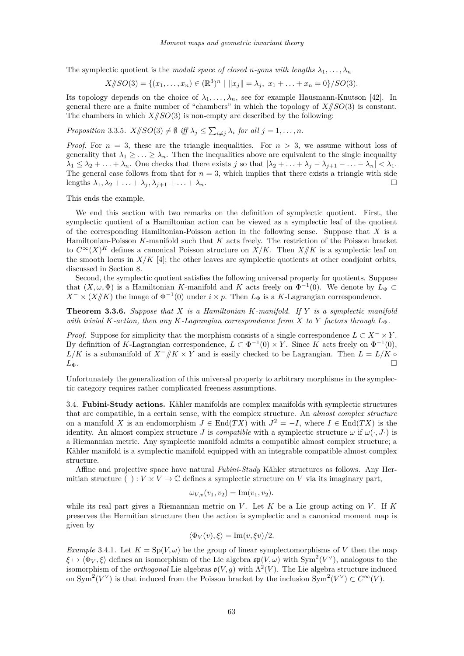<span id="page-9-0"></span>The symplectic quotient is the *moduli space of closed n-gons with lengths*  $\lambda_1, \ldots, \lambda_n$ 

$$
X/\!\!/SO(3) = \{(x_1,\ldots,x_n) \in (\mathbb{R}^3)^n \mid ||x_j|| = \lambda_j, x_1 + \ldots + x_n = 0\}/SO(3).
$$

Its topology depends on the choice of  $\lambda_1, \ldots, \lambda_n$ , see for example Hausmann-Knutson [\[42\]](#page-42-0). In general there are a finite number of "chambers" in which the topology of  $X/\sqrt{SO(3)}$  is constant. The chambers in which  $X/\!\!/SO(3)$  is non-empty are described by the following:

*Proposition* 3.3.5*.*  $X/\!\!/SO(3) \neq \emptyset$  *iff*  $\lambda_j \leq \sum_{i \neq j} \lambda_i$  *for all*  $j = 1, \ldots, n$ *.* 

*Proof.* For  $n = 3$ , these are the triangle inequalities. For  $n > 3$ , we assume without loss of generality that  $\lambda_1 \geq \ldots \geq \lambda_n$ . Then the inequalities above are equivalent to the single inequality  $\lambda_1 \leq \lambda_2 + \ldots + \lambda_n$ . One checks that there exists *j* so that  $|\lambda_2 + \ldots + \lambda_j - \lambda_{j+1} - \ldots - \lambda_n| < \lambda_1$ . The general case follows from that for  $n = 3$ , which implies that there exists a triangle with side lengths  $\lambda_1, \lambda_2 + \ldots + \lambda_j, \lambda_{j+1} + \ldots + \lambda_n$ .

This ends the example.

We end this section with two remarks on the definition of symplectic quotient. First, the symplectic quotient of a Hamiltonian action can be viewed as a symplectic leaf of the quotient of the corresponding Hamiltonian-Poisson action in the following sense. Suppose that *X* is a Hamiltonian-Poisson *K*-manifold such that *K* acts freely. The restriction of the Poisson bracket to  $C^{\infty}(X)^K$  defines a canonical Poisson structure on  $X/K$ . Then  $X/\!\!/K$  is a symplectic leaf on the smooth locus in  $X/K$  [\[4\]](#page-41-0); the other leaves are symplectic quotients at other coadjoint orbits, discussed in Section [8.](#page-29-0)

Second, the symplectic quotient satisfies the following universal property for quotients. Suppose that  $(X, \omega, \Phi)$  is a Hamiltonian *K*-manifold and *K* acts freely on  $\Phi^{-1}(0)$ . We denote by  $L_{\Phi} \subset$  $X^{-} \times (X/K)$  the image of  $\Phi^{-1}(0)$  under  $i \times p$ . Then  $L_{\Phi}$  is a *K*-Lagrangian correspondence.

**Theorem 3.3.6.** *Suppose that X is a Hamiltonian K-manifold. If Y is a symplectic manifold with trivial*  $K$ -action, then any  $K$ -Lagrangian correspondence from  $X$  to  $Y$  factors through  $L_{\Phi}$ .

*Proof.* Suppose for simplicity that the morphism consists of a single correspondence  $L \subset X^- \times Y$ . By definition of *K*-Lagrangian correspondence,  $L \subset \Phi^{-1}(0) \times Y$ . Since *K* acts freely on  $\Phi^{-1}(0)$ ,  $L/K$  is a submanifold of  $X^-/K \times Y$  and is easily checked to be Lagrangian. Then  $L = L/K$  ◦  $L_{\Phi}$ .

Unfortunately the generalization of this universal property to arbitrary morphisms in the symplectic category requires rather complicated freeness assumptions.

3.4. **Fubini-Study actions.** Kähler manifolds are complex manifolds with symplectic structures that are compatible, in a certain sense, with the complex structure. An *almost complex structure* on a manifold *X* is an endomorphism  $J \in \text{End}(TX)$  with  $J^2 = -I$ , where  $I \in \text{End}(TX)$  is the identity. An almost complex structure *J* is *compatible* with a symplectic structure  $\omega$  if  $\omega(\cdot, J)$  is a Riemannian metric. Any symplectic manifold admits a compatible almost complex structure; a Kähler manifold is a symplectic manifold equipped with an integrable compatible almost complex structure.

Affine and projective space have natural *Fubini-Study* Kähler structures as follows. Any Hermitian structure ( ) :  $V \times V \to \mathbb{C}$  defines a symplectic structure on V via its imaginary part,

$$
\omega_{V,v}(v_1, v_2) = \text{Im}(v_1, v_2).
$$

while its real part gives a Riemannian metric on *V* . Let *K* be a Lie group acting on *V* . If *K* preserves the Hermitian structure then the action is symplectic and a canonical moment map is given by

$$
\langle \Phi_V(v), \xi \rangle = \text{Im}(v, \xi v)/2.
$$

*Example* 3.4.1. Let  $K = Sp(V, \omega)$  be the group of linear symplectomorphisms of V then the map  $\xi \mapsto \langle \Phi_V, \xi \rangle$  defines an isomorphism of the Lie algebra  $\mathfrak{sp}(V, \omega)$  with  $\text{Sym}^2(V^{\vee})$ , analogous to the isomorphism of the *orthogonal* Lie algebras  $\mathfrak{o}(V, g)$  with  $\Lambda^2(V)$ . The Lie algebra structure induced on Sym<sup>2</sup>( $V^{\vee}$ ) is that induced from the Poisson bracket by the inclusion Sym<sup>2</sup>( $V^{\vee}$ )  $\subset C^{\infty}(V)$ .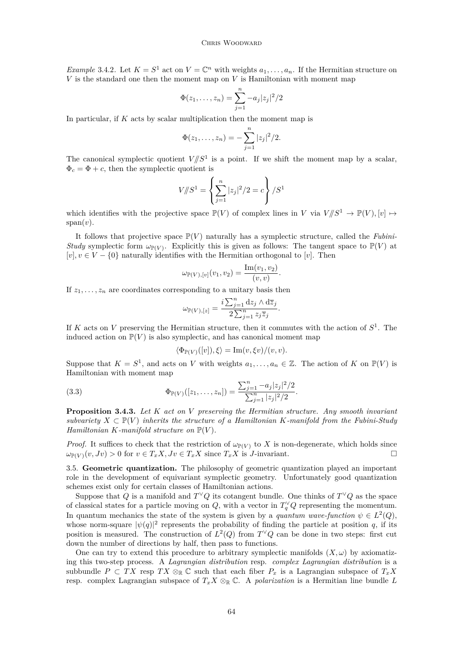#### Chris Woodward

<span id="page-10-0"></span>*Example* 3.4.2*.* Let  $K = S^1$  act on  $V = \mathbb{C}^n$  with weights  $a_1, \ldots, a_n$ . If the Hermitian structure on *V* is the standard one then the moment map on *V* is Hamiltonian with moment map

$$
\Phi(z_1,\ldots,z_n) = \sum_{j=1}^n -a_j |z_j|^2/2
$$

In particular, if *K* acts by scalar multiplication then the moment map is

$$
\Phi(z_1,\ldots,z_n) = -\sum_{j=1}^n |z_j|^2/2.
$$

The canonical symplectic quotient  $V/\!\!/ S^1$  is a point. If we shift the moment map by a scalar,  $\Phi_c = \Phi + c$ , then the symplectic quotient is

$$
V || S^{1} = \left\{ \sum_{j=1}^{n} |z_{j}|^{2} / 2 = c \right\} / S^{1}
$$

which identifies with the projective space  $\mathbb{P}(V)$  of complex lines in *V* via  $V/\!\!/S^1 \to \mathbb{P}(V), [v] \mapsto$  $span(v)$ .

It follows that projective space  $\mathbb{P}(V)$  naturally has a symplectic structure, called the *Fubini-Study* symplectic form  $\omega_{\mathbb{P}(V)}$ . Explicitly this is given as follows: The tangent space to  $\mathbb{P}(V)$  at  $[v], v \in V - \{0\}$  naturally identifies with the Hermitian orthogonal to [*v*]. Then

$$
\omega_{\mathbb{P}(V),[v]}(v_1,v_2)=\frac{\text{Im}(v_1,v_2)}{(v,v)}.
$$

If  $z_1, \ldots, z_n$  are coordinates corresponding to a unitary basis then

$$
\omega_{\mathbb{P}(V),[z]} = \frac{i \sum_{j=1}^n \mathrm{d} z_j \wedge \mathrm{d} \overline{z}_j}{2 \sum_{j=1}^n z_j \overline{z}_j}.
$$

If *K* acts on *V* preserving the Hermitian structure, then it commutes with the action of *S* 1 . The induced action on  $\mathbb{P}(V)$  is also symplectic, and has canonical moment map

$$
\langle \Phi_{\mathbb{P}(V)}([v]), \xi \rangle = \text{Im}(v, \xi v) / (v, v).
$$

Suppose that  $K = S^1$ , and acts on *V* with weights  $a_1, \ldots, a_n \in \mathbb{Z}$ . The action of *K* on  $\mathbb{P}(V)$  is Hamiltonian with moment map

(3.3) 
$$
\Phi_{\mathbb{P}(V)}([z_1,\ldots,z_n]) = \frac{\sum_{j=1}^n -a_j|z_j|^2/2}{\sum_{j=1}^n |z_j|^2/2}.
$$

**Proposition 3.4.3.** *Let K act on V preserving the Hermitian structure. Any smooth invariant subvariety*  $X \subset \mathbb{P}(V)$  *inherits the structure of a Hamiltonian K-manifold from the Fubini-Study Hamiltonian K*-manifold structure on  $\mathbb{P}(V)$ *.* 

*Proof.* It suffices to check that the restriction of  $\omega_{\mathbb{P}(V)}$  to *X* is non-degenerate, which holds since  $\omega_{\mathbb{P}(V)}(v, Jv) > 0$  for  $v \in T_x X, Jv \in T_x X$  since  $T_x X$  is *J*-invariant.

3.5. **Geometric quantization.** The philosophy of geometric quantization played an important role in the development of equivariant symplectic geometry. Unfortunately good quantization schemes exist only for certain classes of Hamiltonian actions.

Suppose that *Q* is a manifold and  $T^{\vee}Q$  its cotangent bundle. One thinks of  $T^{\vee}Q$  as the space of classical states for a particle moving on  $Q$ , with a vector in  $T_q^{\vee}Q$  representing the momentum. In quantum mechanics the state of the system is given by a *quantum wave-function*  $\psi \in L^2(Q)$ , whose norm-square  $|\psi(q)|^2$  represents the probability of finding the particle at position *q*, if its position is measured. The construction of  $L^2(Q)$  from  $T^{\vee}Q$  can be done in two steps: first cut down the number of directions by half, then pass to functions.

One can try to extend this procedure to arbitrary symplectic manifolds  $(X, \omega)$  by axiomatizing this two-step process. A *Lagrangian distribution* resp. *complex Lagrangian distribution* is a subbundle  $P \subset TX$  resp  $TX \otimes_{\mathbb{R}} \mathbb{C}$  such that each fiber  $P_x$  is a Lagrangian subspace of  $T_xX$ resp. complex Lagrangian subspace of  $T_xX \otimes_{\mathbb{R}} \mathbb{C}$ . A *polarization* is a Hermitian line bundle *L*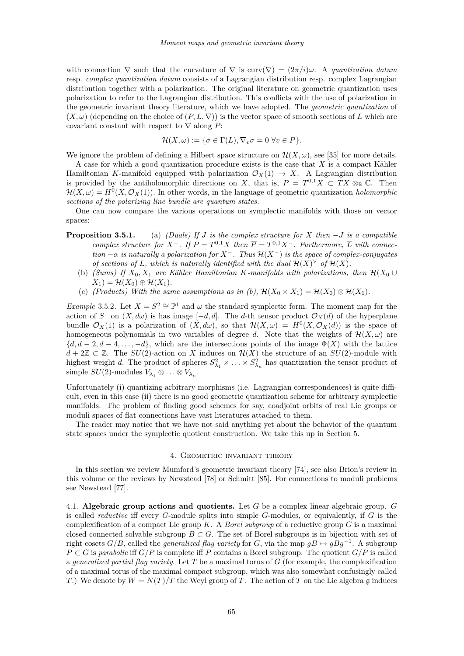<span id="page-11-0"></span>with connection  $\nabla$  such that the curvature of  $\nabla$  is curv $(\nabla) = (2\pi/i)\omega$ . A *quantization datum* resp. *complex quantization datum* consists of a Lagrangian distribution resp. complex Lagrangian distribution together with a polarization. The original literature on geometric quantization uses polarization to refer to the Lagrangian distribution. This conflicts with the use of polarization in the geometric invariant theory literature, which we have adopted. The *geometric quantization* of  $(X, \omega)$  (depending on the choice of  $(P, L, \nabla)$ ) is the vector space of smooth sections of *L* which are covariant constant with respect to  $\nabla$  along *P*:

$$
\mathcal{H}(X,\omega) := \{ \sigma \in \Gamma(L), \nabla_v \sigma = 0 \,\,\forall v \in P \}.
$$

We ignore the problem of defining a Hilbert space structure on  $\mathcal{H}(X,\omega)$ , see [\[35\]](#page-42-0) for more details.

A case for which a good quantization procedure exists is the case that *X* is a compact Kähler Hamiltonian *K*-manifold equipped with polarization  $\mathcal{O}_X(1) \to X$ . A Lagrangian distribution is provided by the antiholomorphic directions on *X*, that is,  $P = T^{0,1}X \subset TX \otimes_{\mathbb{R}} \mathbb{C}$ . Then  $\mathcal{H}(X,\omega) = H^0(X,\mathcal{O}_X(1))$ . In other words, in the language of geometric quantization *holomorphic sections of the polarizing line bundle are quantum states.*

One can now compare the various operations on symplectic manifolds with those on vector spaces:

- **Proposition 3.5.1.** (a) *(Duals) If J is the complex structure for X then* −*J is a compatible complex structure for*  $X^-$ *. If*  $P = T^{0,1}X$  *then*  $\overline{P} = T^{0,1}X^-$ *. Furthermore,*  $\overline{L}$  *with connection* −*α is naturally a polarization for X*−*. Thus* H(*X*−) *is the space of complex-conjugates of sections of L, which is naturally identified with the dual*  $\mathcal{H}(X)$ <sup>*V*</sup> *of*  $\mathcal{H}(X)$ *.* 
	- (b) *(Sums)* If  $X_0, X_1$  are Kähler Hamiltonian *K-manifolds with polarizations, then*  $\mathcal{H}(X_0 \cup$  $X_1$ ) =  $\mathcal{H}(X_0) \oplus \mathcal{H}(X_1)$ .
	- (c) *(Products)* With the same assumptions as in (b),  $\mathcal{H}(X_0 \times X_1) = \mathcal{H}(X_0) \otimes \mathcal{H}(X_1)$ .

*Example* 3.5.2*.* Let  $X = S^2 \cong \mathbb{P}^1$  and  $\omega$  the standard symplectic form. The moment map for the action of  $S^1$  on  $(X, d\omega)$  is has image  $[-d, d]$ . The *d*-th tensor product  $\mathcal{O}_X(d)$  of the hyperplane bundle  $\mathcal{O}_X(1)$  is a polarization of  $(X, d\omega)$ , so that  $\mathcal{H}(X, \omega) = H^0(X, \mathcal{O}_X(d))$  is the space of homogeneous polynomials in two variables of degree d. Note that the weights of  $\mathcal{H}(X,\omega)$  are  ${d, d-2, d-4, \ldots, -d}$ , which are the intersections points of the image  $\Phi(X)$  with the lattice  $d + 2\mathbb{Z} \subset \mathbb{Z}$ . The *SU*(2)-action on *X* induces on  $\mathcal{H}(X)$  the structure of an *SU*(2)-module with highest weight *d*. The product of spheres  $S^2_{\lambda_1} \times \ldots \times S^2_{\lambda_n}$  has quantization the tensor product of  $\text{simple } SU(2) \text{-modules } V_{\lambda_1} \otimes \ldots \otimes V_{\lambda_n}.$ 

Unfortunately (i) quantizing arbitrary morphisms (i.e. Lagrangian correspondences) is quite difficult, even in this case (ii) there is no good geometric quantization scheme for arbitrary symplectic manifolds. The problem of finding good schemes for say, coadjoint orbits of real Lie groups or moduli spaces of flat connections have vast literatures attached to them.

The reader may notice that we have not said anything yet about the behavior of the quantum state spaces under the symplectic quotient construction. We take this up in Section [5.](#page-14-0)

## 4. Geometric invariant theory

In this section we review Mumford's geometric invariant theory [\[74\]](#page-43-0), see also Brion's review in this volume or the reviews by Newstead [\[78\]](#page-43-0) or Schmitt [\[85\]](#page-43-0). For connections to moduli problems see Newstead [\[77\]](#page-43-0).

4.1. **Algebraic group actions and quotients.** Let *G* be a complex linear algebraic group. *G* is called *reductive* iff every *G*-module splits into simple *G*-modules, or equivalently, if *G* is the complexification of a compact Lie group *K*. A *Borel subgroup* of a reductive group *G* is a maximal closed connected solvable subgroup  $B \subset G$ . The set of Borel subgroups is in bijection with set of right cosets  $G/B$ , called the *generalized flag variety* for *G*, via the map  $gB \mapsto gBg^{-1}$ . A subgroup  $P \subset G$  is *parabolic* iff  $G/P$  is complete iff P contains a Borel subgroup. The quotient  $G/P$  is called a *generalized partial flag variety*. Let *T* be a maximal torus of *G* (for example, the complexification of a maximal torus of the maximal compact subgroup, which was also somewhat confusingly called *T*.) We denote by  $W = N(T)/T$  the Weyl group of *T*. The action of *T* on the Lie algebra g induces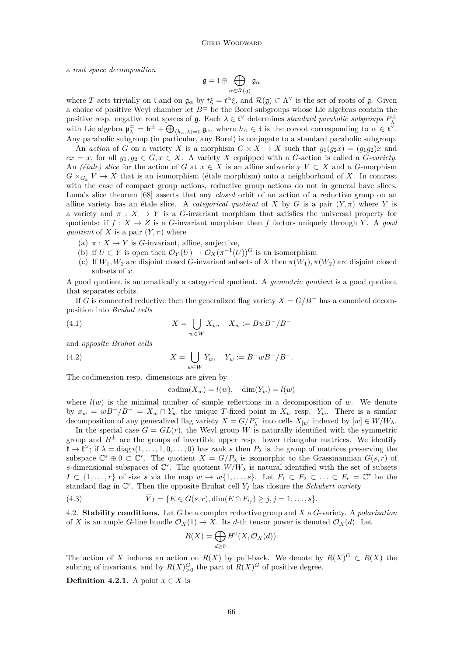<span id="page-12-0"></span>a *root space decomposition*

$$
\mathfrak{g}=\mathfrak{t}\oplus\bigoplus_{\alpha\in\mathcal{R}(\mathfrak{g})}\mathfrak{g}_{\alpha}
$$

where *T* acts trivially on t and on  $\mathfrak{g}_{\alpha}$  by  $t\xi = t^{\alpha}\xi$ , and  $\mathcal{R}(\mathfrak{g}) \subset \Lambda^{\vee}$  is the set of roots of  $\mathfrak{g}$ . Given a choice of positive Weyl chamber let  $B^{\pm}$  be the Borel subgroups whose Lie algebras contain the positive resp. negative root spaces of  $\mathfrak{g}$ . Each  $\lambda \in \mathfrak{t}^{\vee}$  determines *standard parabolic subgroups*  $P_{\lambda}^{\pm}$ with Lie algebra  $\mathfrak{p}_{\lambda}^{\pm} = \mathfrak{b}^{\pm} + \bigoplus_{\langle h_{\alpha}, \lambda \rangle = 0} \mathfrak{g}_{\alpha}$ , where  $h_{\alpha} \in \mathfrak{t}$  is the coroot corresponding to  $\alpha \in \mathfrak{t}^{\vee}$ . Any parabolic subgroup (in particular, any Borel) is conjugate to a standard parabolic subgroup.

An *action* of *G* on a variety *X* is a morphism  $G \times X \to X$  such that  $g_1(g_2x) = (g_1g_2)x$  and  $ex = x$ , for all  $g_1, g_2 \in G, x \in X$ . A variety *X* equipped with a *G*-action is called a *G*-variety. An *(étale) slice* for the action of *G* at  $x \in X$  is an affine subvariety  $V \subset X$  and a *G*-morphism  $G \times_{G_{\pi}} V \to X$  that is an isomorphism (étale morphism) onto a neighborhood of *X*. In contrast with the case of compact group actions, reductive group actions do not in general have slices. Luna's slice theorem [\[68\]](#page-43-0) asserts that any *closed* orbit of an action of a reductive group on an affine variety has an étale slice. A *categorical quotient* of *X* by *G* is a pair  $(Y, \pi)$  where *Y* is a variety and  $\pi : X \to Y$  is a *G*-invariant morphism that satisfies the universal property for quotients: if  $f : X \to Z$  is a *G*-invariant morphism then *f* factors uniquely through *Y*. A *good quotient* of *X* is a pair  $(Y, \pi)$  where

- (a)  $\pi: X \to Y$  is *G*-invariant, affine, surjective,
- (b) if  $U \subset Y$  is open then  $\mathcal{O}_Y(U) \to \mathcal{O}_X(\pi^{-1}(U))^G$  is an isomorphism
- (c) If  $W_1, W_2$  are disjoint closed *G*-invariant subsets of *X* then  $\pi(W_1), \pi(W_2)$  are disjoint closed subsets of *x*.

A good quotient is automatically a categorical quotient. A *geometric quotient* is a good quotient that separates orbits.

If *G* is connected reductive then the generalized flag variety  $X = G/B^-$  has a canonical decomposition into *Bruhat cells*

(4.1) 
$$
X = \bigcup_{w \in W} X_w, \quad X_w := BwB^{-}/B^{-}
$$

and *opposite Bruhat cells*

(4.2) 
$$
X = \bigcup_{w \in W} Y_w, \quad Y_w := B^- w B^- / B^-.
$$

The codimension resp. dimensions are given by

 $\operatorname{codim}(X_w) = l(w), \quad \dim(Y_w) = l(w)$ 

where  $l(w)$  is the minimal number of simple reflections in a decomposition of  $w$ . We denote by  $x_w = wB^-/B^- = X_w \cap Y_w$  the unique *T*-fixed point in  $X_w$  resp.  $Y_w$ . There is a similar decomposition of any generalized flag variety  $X = G/P_{\lambda}^-$  into cells  $X_{[w]}$  indexed by  $[w] \in W/W_{\lambda}$ .

In the special case  $G = GL(r)$ , the Weyl group *W* is naturally identified with the symmetric group and  $B^{\pm}$  are the groups of invertible upper resp. lower triangular matrices. We identify  $\mathfrak{k} \to \mathfrak{k}^\vee$ ; if  $\lambda = \text{diag } i(1,\ldots,1,0,\ldots,0)$  has rank *s* then  $P_\lambda$  is the group of matrices preserving the subspace  $\mathbb{C}^s \oplus 0 \subset \mathbb{C}^r$ . The quotient  $X = G/P_\lambda$  is isomorphic to the Grassmannian  $G(s,r)$  of *s*-dimensional subspaces of  $\mathbb{C}^r$ . The quotient  $W/W_\lambda$  is natural identified with the set of subsets *I* ⊂ {1,...,*r*} of size *s* via the map  $w \mapsto w\{1, \ldots, s\}$ . Let  $F_1 \subset F_2 \subset \ldots \subset F_r = \mathbb{C}^r$  be the standard flag in C *r* . Then the opposite Bruhat cell *Y<sup>I</sup>* has closure the *Schubert variety*

(4.3) 
$$
\overline{Y}_I = \{ E \in G(s,r), \dim(E \cap F_{i_j}) \geq j, j = 1,\ldots, s \}.
$$

4.2. **Stability conditions.** Let *G* be a complex reductive group and *X* a *G*-variety. A *polarization* of *X* is an ample *G*-line bundle  $\mathcal{O}_X(1) \to X$ . Its *d*-th tensor power is denoted  $\mathcal{O}_X(d)$ . Let

$$
R(X) = \bigoplus_{d \ge 0} H^0(X, \mathcal{O}_X(d)).
$$

The action of *X* induces an action on  $R(X)$  by pull-back. We denote by  $R(X)^G \subset R(X)$  the subring of invariants, and by  $R(X)_{>0}^G$  the part of  $R(X)^G$  of positive degree.

**Definition 4.2.1.** A point  $x \in X$  is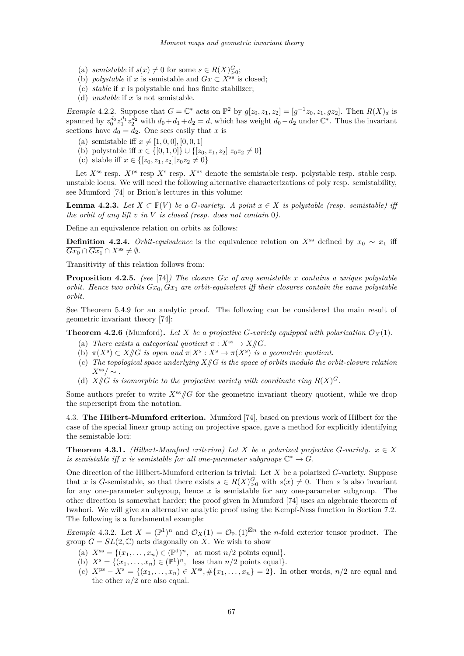- <span id="page-13-0"></span>(a) *semistable* if  $s(x) \neq 0$  for some  $s \in R(X)_{>0}^G$ ;
- (b) *polystable* if *x* is semistable and  $Gx \subset X^{\text{ss}}$  is closed;
- (c) *stable* if *x* is polystable and has finite stabilizer;
- (d) *unstable* if *x* is not semistable.

*Example* 4.2.2. Suppose that  $G = \mathbb{C}^*$  acts on  $\mathbb{P}^2$  by  $g[z_0, z_1, z_2] = [g^{-1}z_0, z_1, gz_2]$ . Then  $R(X)_d$  is spanned by  $z_0^{d_0} z_1^{d_1} z_2^{d_2}$  with  $d_0 + d_1 + d_2 = d$ , which has weight  $d_0 - d_2$  under  $\mathbb{C}^*$ . Thus the invariant sections have  $d_0 = d_2$ . One sees easily that *x* is

- (a) semistable iff  $x \neq [1, 0, 0]$ ,  $[0, 0, 1]$
- (b) polystable iff  $x \in \{ [0, 1, 0] \} \cup \{ [z_0, z_1, z_2] | z_0 z_2 \neq 0 \}$
- (c) stable iff  $x \in \{[z_0, z_1, z_2] | z_0 z_2 \neq 0\}$

Let  $X^{\text{ss}}$  resp.  $X^{\text{ps}}$  resp.  $X^{\text{ss}}$  resp.  $X^{\text{us}}$  denote the semistable resp. polystable resp. stable resp. unstable locus. We will need the following alternative characterizations of poly resp. semistability, see Mumford [\[74\]](#page-43-0) or Brion's lectures in this volume:

**Lemma 4.2.3.** *Let*  $X \subset \mathbb{P}(V)$  *be a G*-variety. A point  $x \in X$  is polystable (resp. semistable) iff *the orbit of any lift v in V is closed (resp. does not contain* 0*).*

Define an equivalence relation on orbits as follows:

**Definition 4.2.4.** *Orbit-equivalence* is the equivalence relation on  $X^{\text{ss}}$  defined by  $x_0 \sim x_1$  iff  $\overline{Gx_0} \cap \overline{Gx_1} \cap X^{\text{ss}} \neq \emptyset.$ 

Transitivity of this relation follows from:

**Proposition 4.2.5.** *(see* [\[74\]](#page-43-0)*)* The closure  $\overline{Gx}$  of any semistable x contains a unique polystable *orbit. Hence two orbits*  $Gx_0$ ,  $Gx_1$  *are orbit-equivalent iff their closures contain the same polystable orbit.*

See Theorem [5.4.9](#page-19-0) for an analytic proof. The following can be considered the main result of geometric invariant theory [\[74\]](#page-43-0):

**Theorem 4.2.6** (Mumford). Let X be a projective G-variety equipped with polarization  $\mathcal{O}_X(1)$ .

- (a) *There exists a categorical quotient*  $\pi : X^{\text{ss}} \to X/\!\!/G$ *.*
- (b)  $\pi(X^s) \subset X/\!\!/ G$  *is open and*  $\pi|X^s: X^s \to \pi(X^s)$  *is a geometric quotient.*
- (c) *The topological space underlying X//G is the space of orbits modulo the orbit-closure relation*  $X^{\rm ss}/\sim$  .
- (d)  $X/\!\!/ G$  *is isomorphic to the projective variety with coordinate ring*  $R(X)^G$ .

Some authors prefer to write  $X^{ss}/\mathcal{G}$  for the geometric invariant theory quotient, while we drop the superscript from the notation.

4.3. **The Hilbert-Mumford criterion.** Mumford [\[74\]](#page-43-0), based on previous work of Hilbert for the case of the special linear group acting on projective space, gave a method for explicitly identifying the semistable loci:

**Theorem 4.3.1.** *(Hilbert-Mumford criterion) Let*  $X$  *be a polarized projective*  $G$ *-variety.*  $x \in X$ *is semistable iff x is semistable for all one-parameter subgroups*  $\mathbb{C}^* \to G$ *.* 

One direction of the Hilbert-Mumford criterion is trivial: Let *X* be a polarized *G*-variety. Suppose that *x* is *G*-semistable, so that there exists  $s \in R(X)_{\geq 0}^G$  with  $s(x) \neq 0$ . Then *s* is also invariant for any one-parameter subgroup, hence *x* is semistable for any one-parameter subgroup. The other direction is somewhat harder; the proof given in Mumford [\[74\]](#page-43-0) uses an algebraic theorem of Iwahori. We will give an alternative analytic proof using the Kempf-Ness function in Section [7.2.](#page-27-0) The following is a fundamental example:

*Example* 4.3.2. Let  $X = (\mathbb{P}^1)^n$  and  $\mathcal{O}_X(1) = \mathcal{O}_{\mathbb{P}^1}(1)^{\boxtimes n}$  the *n*-fold exterior tensor product. The group  $G = SL(2, \mathbb{C})$  acts diagonally on X. We wish to show

- (a)  $X^{ss} = \{(x_1, \ldots, x_n) \in (\mathbb{P}^1)^n, \text{ at most } n/2 \text{ points equal}\}.$
- (b)  $X^s = \{(x_1, \ldots, x_n) \in (\mathbb{P}^1)^n, \text{ less than } n/2 \text{ points equal}\}.$
- (c)  $X^{ps} X^s = \{(x_1, \ldots, x_n) \in X^{ss}, \#\{x_1, \ldots, x_n\} = 2\}.$  In other words,  $n/2$  are equal and the other  $n/2$  are also equal.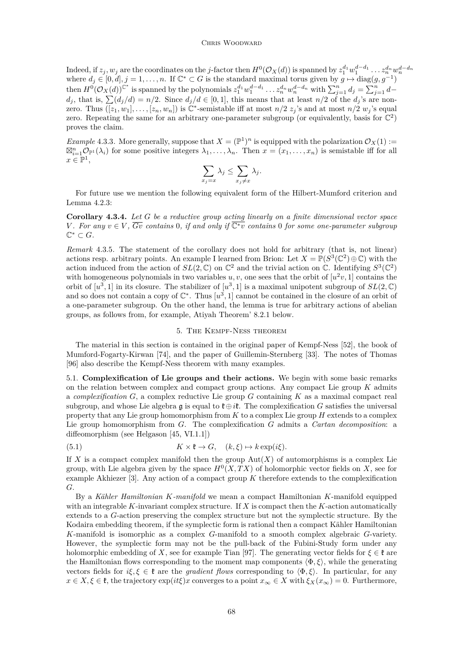#### CHRIS WOODWARD

<span id="page-14-0"></span>Indeed, if  $z_j$ ,  $w_j$  are the coordinates on the *j*-factor then  $H^0(\mathcal{O}_X(d))$  is spanned by  $z_1^{d_1}w_1^{d-d_1}\ldots z_n^{d_n}w_n^{d-d_n}$ where  $d_j \in [0, d], j = 1, \ldots, n$ . If  $\mathbb{C}^* \subset G$  is the standard maximal torus given by  $g \mapsto \text{diag}(g, g^{-1})$ then  $H^0(\mathcal{O}_X(d))^{C^*}$  is spanned by the polynomials  $z_1^{d_1}w_1^{d-d_1}\ldots z_n^{d_n}w_n^{d-d_n}$  with  $\sum_{j=1}^nd_j=\sum_{j=1}^nd_j$  $d_j$ , that is,  $\sum (d_j/d) = n/2$ . Since  $d_j/d \in [0,1]$ , this means that at least  $n/2$  of the  $d_j$ 's are nonzero. Thus  $(\overline{[z_1, w_1]}, \ldots, \overline{[z_n, w_n]})$  is  $\mathbb{C}^*$ -semistable iff at most  $n/2$   $z_j$ 's and at most  $n/2$   $w_j$ 's equal zero. Repeating the same for an arbitrary one-parameter subgroup (or equivalently, basis for  $\mathbb{C}^2$ ) proves the claim.

*Example* 4.3.3. More generally, suppose that  $X = (\mathbb{P}^1)^n$  is equipped with the polarization  $\mathcal{O}_X(1) :=$  $\boxtimes_{i=1}^n \mathcal{O}_{\mathbb{P}^1}(\lambda_i)$  for some positive integers  $\lambda_1, \ldots, \lambda_n$ . Then  $x = (x_1, \ldots, x_n)$  is semistable iff for all  $x \in \mathbb{P}^1$ ,

$$
\sum_{x_j=x}\lambda_j\leq \sum_{x_j\neq x}\lambda_j.
$$

For future use we mention the following equivalent form of the Hilbert-Mumford criterion and Lemma [4.2.3:](#page-13-0)

**Corollary 4.3.4.** *Let G be a reductive group acting linearly on a finite dimensional vector space V*. For any  $v \in V$ ,  $\overline{Gv}$  contains 0, if and only if  $\overline{C^*v}$  contains 0 for some one-parameter subgroup  $\mathbb{C}^* \subset G$ .

*Remark* 4.3.5*.* The statement of the corollary does not hold for arbitrary (that is, not linear) actions resp. arbitrary points. An example I learned from Brion: Let  $X = \mathbb{P}(S^3(\mathbb{C}^2) \oplus \mathbb{C})$  with the action induced from the action of  $SL(2,\mathbb{C})$  on  $\mathbb{C}^2$  and the trivial action on  $\mathbb{C}$ . Identifying  $S^3(\mathbb{C}^2)$ with homogeneous polynomials in two variables  $u, v$ , one sees that the orbit of  $[u^2v, 1]$  contains the orbit of  $[u^3, 1]$  in its closure. The stabilizer of  $[u^3, 1]$  is a maximal unipotent subgroup of  $SL(2, \mathbb{C})$ and so does not contain a copy of  $\mathbb{C}^*$ . Thus  $[u^3, 1]$  cannot be contained in the closure of an orbit of a one-parameter subgroup. On the other hand, the lemma is true for arbitrary actions of abelian groups, as follows from, for example, Atiyah Theorem' [8.2.1](#page-30-0) below.

### 5. The Kempf-Ness theorem

The material in this section is contained in the original paper of Kempf-Ness [\[52\]](#page-42-0), the book of Mumford-Fogarty-Kirwan [\[74\]](#page-43-0), and the paper of Guillemin-Sternberg [\[33\]](#page-42-0). The notes of Thomas [\[96\]](#page-44-0) also describe the Kempf-Ness theorem with many examples.

5.1. **Complexification of Lie groups and their actions.** We begin with some basic remarks on the relation between complex and compact group actions. Any compact Lie group *K* admits a *complexification G*, a complex reductive Lie group *G* containing *K* as a maximal compact real subgroup, and whose Lie algebra g is equal to  $\mathfrak{k} \oplus \mathfrak{i} \mathfrak{k}$ . The complexification *G* satisfies the universal property that any Lie group homomorphism from *K* to a complex Lie group *H* extends to a complex Lie group homomorphism from *G*. The complexification *G* admits a *Cartan decomposition*: a diffeomorphism (see Helgason [\[45,](#page-42-0) VI.1.1])

(5.1) 
$$
K \times \mathfrak{k} \to G, \quad (k, \xi) \mapsto k \exp(i\xi).
$$

If *X* is a compact complex manifold then the group  $Aut(X)$  of automorphisms is a complex Lie group, with Lie algebra given by the space  $H^0(X, TX)$  of holomorphic vector fields on X, see for example Akhiezer [\[3\]](#page-41-0). Any action of a compact group *K* therefore extends to the complexification *G*.

By a *Kähler Hamiltonian K-manifold* we mean a compact Hamiltonian *K*-manifold equipped with an integrable *K*-invariant complex structure. If *X* is compact then the *K*-action automatically extends to a *G*-action preserving the complex structure but not the symplectic structure. By the Kodaira embedding theorem, if the symplectic form is rational then a compact Kähler Hamiltonian *K*-manifold is isomorphic as a complex *G*-manifold to a smooth complex algebraic *G*-variety. However, the symplectic form may not be the pull-back of the Fubini-Study form under any holomorphic embedding of *X*, see for example Tian [\[97\]](#page-44-0). The generating vector fields for  $\xi \in \mathfrak{k}$  are the Hamiltonian flows corresponding to the moment map components  $\langle \Phi, \xi \rangle$ , while the generating vectors fields for  $i\xi, \xi \in \mathfrak{k}$  are the *gradient flows* corresponding to  $\langle \Phi, \xi \rangle$ . In particular, for any  $x \in X, \xi \in \mathfrak{k}$ , the trajectory  $\exp(it\xi)x$  converges to a point  $x_{\infty} \in X$  with  $\xi_X(x_{\infty}) = 0$ . Furthermore,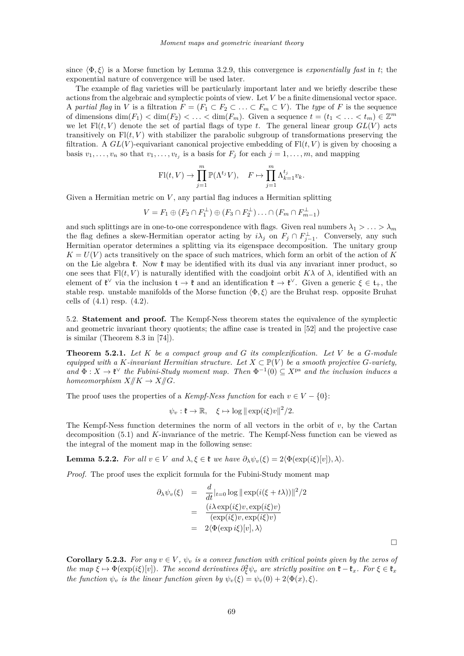<span id="page-15-0"></span>since  $\langle \Phi, \xi \rangle$  is a Morse function by Lemma [3.2.9,](#page-7-0) this convergence is *exponentially fast* in *t*; the exponential nature of convergence will be used later.

The example of flag varieties will be particularly important later and we briefly describe these actions from the algebraic and symplectic points of view. Let *V* be a finite dimensional vector space. A *partial flag* in *V* is a filtration  $F = (F_1 \subset F_2 \subset \ldots \subset F_m \subset V)$ . The *type* of *F* is the sequence of dimensions  $\dim(F_1) < \dim(F_2) < \ldots < \dim(F_m)$ . Given a sequence  $t = (t_1 < \ldots < t_m) \in \mathbb{Z}^m$ we let  $F\left(t, V\right)$  denote the set of partial flags of type *t*. The general linear group  $GL(V)$  acts transitively on  $Fl(t, V)$  with stabilizer the parabolic subgroup of transformations preserving the filtration. A  $GL(V)$ -equivariant canonical projective embedding of  $Fl(t, V)$  is given by choosing a basis  $v_1, \ldots, v_n$  so that  $v_1, \ldots, v_{t_j}$  is a basis for  $F_j$  for each  $j = 1, \ldots, m$ , and mapping

$$
\mathrm{Fl}(t, V) \to \prod_{j=1}^m \mathbb{P}(\Lambda^{t_j} V), \quad F \mapsto \prod_{j=1}^m \Lambda_{k=1}^{t_j} v_k.
$$

Given a Hermitian metric on *V* , any partial flag induces a Hermitian splitting

$$
V = F_1 \oplus (F_2 \cap F_1^{\perp}) \oplus (F_3 \cap F_2^{\perp}) \dots \cap (F_m \cap F_{m-1}^{\perp})
$$

and such splittings are in one-to-one correspondence with flags. Given real numbers  $\lambda_1 > \ldots > \lambda_m$ the flag defines a skew-Hermitian operator acting by  $i\lambda_j$  on  $F_j \cap F_{j-1}^{\perp}$ . Conversely, any such Hermitian operator determines a splitting via its eigenspace decomposition. The unitary group  $K = U(V)$  acts transitively on the space of such matrices, which form an orbit of the action of K on the Lie algebra  $\mathfrak{k}$ . Now  $\mathfrak{k}$  may be identified with its dual via any invariant inner product, so one sees that  $F1(t, V)$  is naturally identified with the coadjoint orbit  $K\lambda$  of  $\lambda$ , identified with an element of  $\mathfrak{k}^{\vee}$  via the inclusion  $\mathfrak{t} \to \mathfrak{k}$  and an identification  $\mathfrak{k} \to \mathfrak{k}^{\vee}$ . Given a generic  $\xi \in \mathfrak{t}_{+}$ , the stable resp. unstable manifolds of the Morse function  $\langle \Phi, \xi \rangle$  are the Bruhat resp. opposite Bruhat cells of  $(4.1)$  resp.  $(4.2)$ .

5.2. **Statement and proof.** The Kempf-Ness theorem states the equivalence of the symplectic and geometric invariant theory quotients; the affine case is treated in [\[52\]](#page-42-0) and the projective case is similar (Theorem 8.3 in [\[74\]](#page-43-0)).

**Theorem 5.2.1.** *Let K be a compact group and G its complexification. Let V be a G-module equipped with a K-invariant Hermitian structure. Let*  $X \subset \mathbb{P}(V)$  *be a smooth projective G-variety*,  $\text{and } \Phi: X \to \mathfrak{k}^\vee$  the Fubini-Study moment map. Then  $\Phi^{-1}(0) \subseteq X^{\text{ps}}$  and the inclusion induces a *homeomorphism*  $X/\!\!/K \to X/\!\!/G$ *.* 

The proof uses the properties of a *Kempf-Ness function* for each  $v \in V - \{0\}$ :

$$
\psi_v: \mathfrak{k} \to \mathbb{R}, \quad \xi \mapsto \log \|\exp(i\xi)v\|^2/2.
$$

The Kempf-Ness function determines the norm of all vectors in the orbit of *v*, by the Cartan decomposition [\(5.1\)](#page-14-0) and *K*-invariance of the metric. The Kempf-Ness function can be viewed as the integral of the moment map in the following sense:

**Lemma 5.2.2.** *For all*  $v \in V$  *and*  $\lambda, \xi \in \mathfrak{k}$  *we have*  $\partial_{\lambda} \psi_v(\xi) = 2 \langle \Phi(\exp(i\xi)[v]), \lambda \rangle$ *.* 

*Proof.* The proof uses the explicit formula for the Fubini-Study moment map

$$
\partial_{\lambda} \psi_{v}(\xi) = \frac{d}{dt}|_{t=0} \log ||\exp(i(\xi + t\lambda))||^{2}/2
$$

$$
= \frac{(i\lambda \exp(i\xi)v, \exp(i\xi)v)}{(\exp(i\xi)v, \exp(i\xi)v)}
$$

$$
= 2\langle \Phi(\exp i\xi)[v], \lambda \rangle
$$

 $\Box$ 

**Corollary 5.2.3.** For any  $v \in V$ ,  $\psi_v$  is a convex function with critical points given by the zeros of *the map*  $\xi \mapsto \Phi(\exp(i\xi)[v])$ . The second derivatives  $\partial_{\xi}^{2}\psi_{v}$  are strictly positive on  $\mathfrak{k} - \mathfrak{k}_{x}$ . For  $\xi \in \mathfrak{k}_{x}$ *the function*  $\psi_v$  *is the linear function given by*  $\psi_v(\xi) = \psi_v(0) + 2\langle \Phi(x), \xi \rangle$ *.*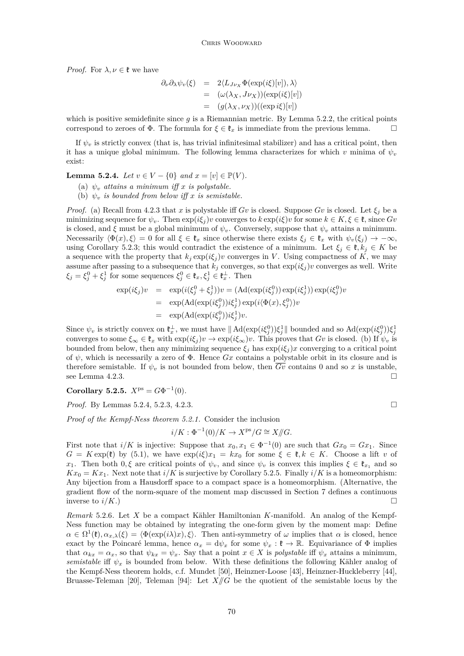<span id="page-16-0"></span>*Proof.* For  $\lambda, \nu \in \mathfrak{k}$  we have

$$
\partial_{\nu}\partial_{\lambda}\psi_{v}(\xi) = 2\langle L_{J\nu_{X}}\Phi(\exp(i\xi)[v]), \lambda \rangle
$$
  
= 
$$
(\omega(\lambda_{X}, J\nu_{X}))(\exp(i\xi)[v])
$$
  
= 
$$
(g(\lambda_{X}, \nu_{X}))((\exp i\xi)[v])
$$

which is positive semidefinite since *g* is a Riemannian metric. By Lemma [5.2.2,](#page-15-0) the critical points correspond to zeroes of  $\Phi$ . The formula for  $\xi \in \mathfrak{k}_x$  is immediate from the previous lemma.

If  $\psi_v$  is strictly convex (that is, has trivial infinitesimal stabilizer) and has a critical point, then it has a unique global minimum. The following lemma characterizes for which *v* minima of  $\psi_v$ exist:

**Lemma 5.2.4.** *Let*  $v \in V - \{0\}$  *and*  $x = [v] \in \mathbb{P}(V)$ *.* 

(a)  $\psi_v$  *attains a minimum iff x is polystable.* 

(b)  $\psi_v$  *is bounded from below iff x is semistable.* 

*Proof.* (a) Recall from [4.2.3](#page-13-0) that *x* is polystable iff *Gv* is closed. Suppose *Gv* is closed. Let  $\xi_j$  be a minimizing sequence for  $\psi_v$ . Then  $\exp(i\xi_j)v$  converges to  $k \exp(i\xi)v$  for some  $k \in K, \xi \in \mathfrak{k}$ , since  $Gv$ is closed, and  $\xi$  must be a global minimum of  $\psi_v$ . Conversely, suppose that  $\psi_v$  attains a minimum. Necessarily  $\langle \Phi(x), \xi \rangle = 0$  for all  $\xi \in \mathfrak{k}_x$  since otherwise there exists  $\xi_j \in \mathfrak{k}_x$  with  $\psi_v(\xi_j) \to -\infty$ , using Corollary [5.2.3;](#page-15-0) this would contradict the existence of a minimum. Let  $\xi_j \in \mathfrak{k}, k_j \in K$  be a sequence with the property that  $k_j \exp(i\xi_j)v$  converges in *V*. Using compactness of  $\tilde{K}$ , we may assume after passing to a subsequence that  $k_j$  converges, so that  $\exp(i\xi_j)v$  converges as well. Write  $\xi_j = \xi_j^0 + \xi_j^1$  for some sequences  $\xi_j^0 \in \mathfrak{k}_x, \xi_j^1 \in \mathfrak{k}_x^\perp$ . Then

$$
\exp(i\xi_j)v = \exp(i(\xi_j^0 + \xi_j^1))v = (\mathrm{Ad}(\exp(i\xi_j^0))\exp(i\xi_j^1))\exp(i\xi_j^0)v
$$
  
\n
$$
= \exp(\mathrm{Ad}(\exp(i\xi_j^0))i\xi_j^1)\exp(i\langle\Phi(x),\xi_j^0\rangle)v
$$
  
\n
$$
= \exp(\mathrm{Ad}(\exp(i\xi_j^0))i\xi_j^1)v.
$$

Since  $\psi_v$  is strictly convex on  $\mathfrak{k}_x^{\perp}$ , we must have  $\|\operatorname{Ad}(\exp(i\xi_j^0))\xi_j^1\|$  bounded and so  $\operatorname{Ad}(\exp(i\xi_j^0))\xi_j^1$ converges to some  $\xi_{\infty} \in \mathfrak{k}_x$  with  $\exp(i\xi_j)v \to \exp(i\xi_{\infty})v$ . This proves that *Gv* is closed. (b) If  $\psi_v$  is bounded from below, then any minimizing sequence  $\xi_j$  has  $\exp(i\xi_j)x$  converging to a critical point of  $\psi$ , which is necessarily a zero of  $\Phi$ . Hence *Gx* contains a polystable orbit in its closure and is therefore semistable. If  $\psi_v$  is not bounded from below, then *Gv* contains 0 and so *x* is unstable, see Lemma [4.2.3.](#page-13-0)

**Corollary 5.2.5.**  $X^{ps} = G\Phi^{-1}(0)$ *.* 

*Proof.* By Lemmas 5.2.4, [5.2.3,](#page-15-0) [4.2.3.](#page-13-0) ■

*Proof of the Kempf-Ness theorem [5.2.1.](#page-15-0)* Consider the inclusion

$$
i/K: \Phi^{-1}(0)/K \to X^{\text{ps}}/G \cong X/\hspace{-3pt}/ G.
$$

First note that  $i/K$  is injective: Suppose that  $x_0, x_1 \in \Phi^{-1}(0)$  are such that  $Gx_0 = Gx_1$ . Since  $G = K \exp(\mathfrak{k})$  by [\(5.1\)](#page-14-0), we have  $\exp(i\xi)x_1 = kx_0$  for some  $\xi \in \mathfrak{k}, k \in K$ . Choose a lift *v* of *x*<sub>1</sub>. Then both  $0, \xi$  are critical points of  $\psi_v$ , and since  $\psi_v$  is convex this implies  $\xi \in \mathfrak{k}_{x_1}$  and so  $Kx_0 = Kx_1$ . Next note that  $i/K$  is surjective by Corollary 5.2.5. Finally  $i/K$  is a homeomorphism: Any bijection from a Hausdorff space to a compact space is a homeomorphism. (Alternative, the gradient flow of the norm-square of the moment map discussed in Section [7](#page-25-0) defines a continuous inverse to  $i/K$ .)

*Remark* 5.2.6*.* Let *X* be a compact Kähler Hamiltonian *K*-manifold. An analog of the Kempf-Ness function may be obtained by integrating the one-form given by the moment map: Define  $\alpha \in \Omega^1(\mathfrak{k})$ ,  $\alpha_{x,\lambda}(\xi) = \langle \Phi(\exp(i\lambda)x), \xi \rangle$ . Then anti-symmetry of  $\omega$  implies that  $\alpha$  is closed, hence exact by the Poincaré lemma, hence  $\alpha_x = d\psi_x$  for some  $\psi_x : \mathfrak{k} \to \mathbb{R}$ . Equivariance of  $\Phi$  implies that  $\alpha_{kx} = \alpha_x$ , so that  $\psi_{kx} = \psi_x$ . Say that a point  $x \in X$  is *polystable* iff  $\psi_x$  attains a minimum, *semistable* if  $\psi_x$  is bounded from below. With these definitions the following Kähler analog of the Kempf-Ness theorem holds, c.f. Mundet [\[50\]](#page-42-0), Heinzner-Loose [\[43\]](#page-42-0), Heinzner-Huckleberry [\[44\]](#page-42-0), Bruasse-Teleman [\[20\]](#page-41-0), Teleman [\[94\]](#page-44-0): Let  $X/\!\!/ G$  be the quotient of the semistable locus by the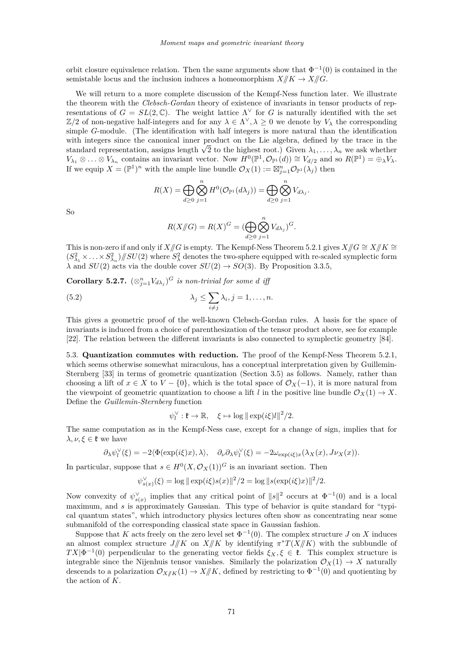orbit closure equivalence relation. Then the same arguments show that  $\Phi^{-1}(0)$  is contained in the semistable locus and the inclusion induces a homeomorphism  $X/\!\!/K \to X/\!\!/G$ .

We will return to a more complete discussion of the Kempf-Ness function later. We illustrate the theorem with the *Clebsch-Gordan* theory of existence of invariants in tensor products of representations of  $G = SL(2, \mathbb{C})$ . The weight lattice  $\Lambda^{\vee}$  for *G* is naturally identified with the set  $\mathbb{Z}/2$  of non-negative half-integers and for any  $\lambda \in \Lambda^{\vee}, \lambda \geq 0$  we denote by  $V_{\lambda}$  the corresponding simple *G*-module. (The identification with half integers is more natural than the identification with integers since the canonical inner product on the Lie algebra, defined by the trace in the with integers since the canonical inner product on the Lie algebra, defined by the trace in the standard representation, assigns length  $\sqrt{2}$  to the highest root.) Given  $\lambda_1, \ldots, \lambda_n$  we ask whether  $V_{\lambda_1} \otimes \ldots \otimes V_{\lambda_n}$  contains an invariant vector. Now  $H^0(\mathbb{P}^1, \mathcal{O}_{\mathbb{P}^1}(d)) \cong V_{d/2}$  and so  $R(\mathbb{P}^1) = \bigoplus_{\lambda} V_{\lambda}$ . If we equip  $X = (\mathbb{P}^1)^n$  with the ample line bundle  $\mathcal{O}_X(1) := \boxtimes_{j=1}^n \mathcal{O}_{\mathbb{P}^1}(\lambda_j)$  then

$$
R(X) = \bigoplus_{d \geq 0} \bigotimes_{j=1}^n H^0(\mathcal{O}_{\mathbb{P}^1}(d\lambda_j)) = \bigoplus_{d \geq 0} \bigotimes_{j=1}^n V_{d\lambda_j}.
$$

So

$$
R(X/\!\!/G) = R(X)^G = (\bigoplus_{d \geq 0} \bigotimes_{j=1}^n V_{d\lambda_j})^G.
$$

This is non-zero if and only if *X//G* is empty. The Kempf-Ness Theorem [5.2.1](#page-15-0) gives  $X/\!\!/ G \cong X/\!\!/ K \cong X/\!\!/ K$  $(S_{\lambda_1}^2 \times \ldots \times S_{\lambda_n}^2)/\!/\!SU(2)$  where  $S_{\lambda}^2$  denotes the two-sphere equipped with re-scaled symplectic form  $\lambda$  and  $SU(2)$  acts via the double cover  $SU(2) \rightarrow SO(3)$ . By Proposition [3.3.5,](#page-9-0)

**Corollary 5.2.7.**  $(\otimes_{j=1}^n V_{d\lambda_j})^G$  *is non-trivial for some d iff* 

(5.2) 
$$
\lambda_j \leq \sum_{i \neq j} \lambda_i, j = 1, \dots, n.
$$

This gives a geometric proof of the well-known Clebsch-Gordan rules. A basis for the space of invariants is induced from a choice of parenthesization of the tensor product above, see for example [\[22\]](#page-42-0). The relation between the different invariants is also connected to symplectic geometry [\[84\]](#page-43-0).

5.3. **Quantization commutes with reduction.** The proof of the Kempf-Ness Theorem [5.2.1,](#page-15-0) which seems otherwise somewhat miraculous, has a conceptual interpretation given by Guillemin-Sternberg [\[33\]](#page-42-0) in terms of geometric quantization (Section [3.5\)](#page-10-0) as follows. Namely, rather than choosing a lift of  $x \in X$  to  $V - \{0\}$ , which is the total space of  $\mathcal{O}_X(-1)$ , it is more natural from the viewpoint of geometric quantization to choose a lift *l* in the positive line bundle  $\mathcal{O}_X(1) \to X$ . Define the *Guillemin-Sternberg* function

$$
\psi_l^{\vee} : \mathfrak{k} \to \mathbb{R}, \quad \xi \mapsto \log \|\exp(i\xi)l\|^2/2.
$$

The same computation as in the Kempf-Ness case, except for a change of sign, implies that for  $\lambda, \nu, \xi \in \mathfrak{k}$  we have

$$
\partial_{\lambda} \psi_l^{\vee}(\xi) = -2 \langle \Phi(\exp(i\xi)x), \lambda \rangle, \quad \partial_{\nu} \partial_{\lambda} \psi_l^{\vee}(\xi) = -2 \omega_{\exp(i\xi)x}(\lambda_X(x), J \nu_X(x)).
$$

In particular, suppose that  $s \in H^0(X, \mathcal{O}_X(1))^G$  is an invariant section. Then

$$
\psi_{s(x)}^{\vee}(\xi) = \log \|\exp(i\xi)s(x)\|^2/2 = \log \|s(\exp(i\xi)x)\|^2/2.
$$

Now convexity of  $\psi_{s(x)}^{\vee}$  implies that any critical point of  $||s||^2$  occurs at  $\Phi^{-1}(0)$  and is a local maximum, and *s* is approximately Gaussian. This type of behavior is quite standard for "typical quantum states", which introductory physics lectures often show as concentrating near some submanifold of the corresponding classical state space in Gaussian fashion.

Suppose that *K* acts freely on the zero level set  $\Phi^{-1}(0)$ . The complex structure *J* on *X* induces an almost complex structure  $J/K$  on  $X/K$  by identifying  $\pi^*T(X/K)$  with the subbundle of  $TX|\Phi^{-1}(0)$  perpendicular to the generating vector fields  $\xi_X, \xi \in \mathfrak{k}$ . This complex structure is integrable since the Nijenhuis tensor vanishes. Similarly the polarization  $\mathcal{O}_X(1) \to X$  naturally descends to a polarization  $\mathcal{O}_{X/K}(1) \to X/K$ , defined by restricting to  $\Phi^{-1}(0)$  and quotienting by the action of *K*.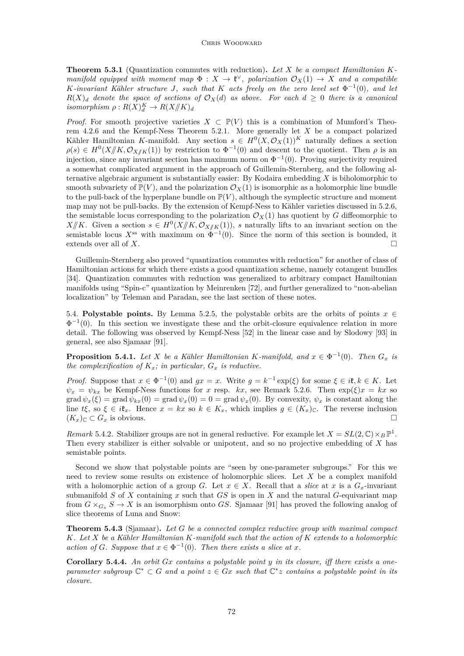<span id="page-18-0"></span>**Theorem 5.3.1** (Quantization commutes with reduction)**.** *Let X be a compact Hamiltonian Kmanifold equipped with moment map*  $\Phi: X \to \mathfrak{k}^{\vee}$ , polarization  $\mathcal{O}_X(1) \to X$  and a compatible *K*-invariant Kähler structure *J*, such that *K* acts freely on the zero level set  $\Phi^{-1}(0)$ , and let  $R(X)$ <sup>d</sup> *denote the space of sections of*  $\mathcal{O}_X(d)$  *as above. For each*  $d \geq 0$  *there is a canonical*  $isomorphism \rho: R(X)^K_d \to R(X/K)_d$ 

*Proof.* For smooth projective varieties  $X \text{ }\subset \mathbb{P}(V)$  this is a combination of Mumford's Theorem [4.2.6](#page-13-0) and the Kempf-Ness Theorem [5.2.1.](#page-15-0) More generally let *X* be a compact polarized Kähler Hamiltonian *K*-manifold. Any section  $s \in H^0(X, \mathcal{O}_X(1))^K$  naturally defines a section  $\rho(s) \in H^0(X \mid K, \mathcal{O}_{X \mid K}(1))$  by restriction to  $\Phi^{-1}(0)$  and descent to the quotient. Then  $\rho$  is an injection, since any invariant section has maximum norm on  $\Phi^{-1}(0)$ . Proving surjectivity required a somewhat complicated argument in the approach of Guillemin-Sternberg, and the following alternative algebraic argument is substantially easier: By Kodaira embedding *X* is biholomorphic to smooth subvariety of  $\mathbb{P}(V)$ , and the polarization  $\mathcal{O}_X(1)$  is isomorphic as a holomorphic line bundle to the pull-back of the hyperplane bundle on  $\mathbb{P}(V)$ , although the symplectic structure and moment map may not be pull-backs. By the extension of Kempf-Ness to Kähler varieties discussed in [5.2.6,](#page-16-0) the semistable locus corresponding to the polarization  $\mathcal{O}_X(1)$  has quotient by *G* diffeomorphic to *X*//*K*. Given a section  $s \in H^0(X/K, \mathcal{O}_{X/K}(1))$ , *s* naturally lifts to an invariant section on the semistable locus  $X^{\text{ss}}$  with maximum on  $\Phi^{-1}(0)$ . Since the norm of this section is bounded, it extends over all of *X*.

Guillemin-Sternberg also proved "quantization commutes with reduction" for another of class of Hamiltonian actions for which there exists a good quantization scheme, namely cotangent bundles [\[34\]](#page-42-0). Quantization commutes with reduction was generalized to arbitrary compact Hamiltonian manifolds using "Spin-c" quantization by Meinrenken [\[72\]](#page-43-0), and further generalized to "non-abelian localization" by Teleman and Paradan, see the last section of these notes.

5.4. **Polystable points.** By Lemma [5.2.5,](#page-16-0) the polystable orbits are the orbits of points  $x \in$  $\Phi^{-1}(0)$ . In this section we investigate these and the orbit-closure equivalence relation in more detail. The following was observed by Kempf-Ness [\[52\]](#page-42-0) in the linear case and by Slodowy [\[93\]](#page-44-0) in general, see also Sjamaar [\[91\]](#page-44-0).

**Proposition 5.4.1.** *Let X be a Kähler Hamiltonian K-manifold, and*  $x \in \Phi^{-1}(0)$ *. Then*  $G_x$  *is the complexification of*  $K_x$ *; in particular,*  $G_x$  *is reductive.* 

*Proof.* Suppose that  $x \in \Phi^{-1}(0)$  and  $gx = x$ . Write  $g = k^{-1} \exp(\xi)$  for some  $\xi \in i\mathfrak{k}, k \in K$ . Let  $\psi_x = \psi_{kx}$  be Kempf-Ness functions for *x* resp. *kx*, see Remark [5.2.6.](#page-16-0) Then  $\exp(\xi)x = kx$  so  $\text{grad } \psi_x(\xi) = \text{grad } \psi_{kx}(0) = \text{grad } \psi_x(0) = 0 = \text{grad } \psi_x(0)$ . By convexity,  $\psi_x$  is constant along the line  $t\xi$ , so  $\xi \in i\xi_x$ . Hence  $x = kx$  so  $k \in K_x$ , which implies  $g \in (K_x)_{\mathbb{C}}$ . The reverse inclusion  $(K_x)$ <sub>C</sub> ⊂  $G_x$  is obvious.  $\Box$ 

*Remark* 5.4.2. Stabilizer groups are not in general reductive. For example let  $X = SL(2, \mathbb{C}) \times_B \mathbb{P}^1$ . Then every stabilizer is either solvable or unipotent, and so no projective embedding of *X* has semistable points.

Second we show that polystable points are "seen by one-parameter subgroups." For this we need to review some results on existence of holomorphic slices. Let *X* be a complex manifold with a holomorphic action of a group *G*. Let  $x \in X$ . Recall that a *slice* at *x* is a  $G_x$ -invariant submanifold *S* of *X* containing *x* such that *GS* is open in *X* and the natural *G*-equivariant map from  $G \times_{G_r} S \to X$  is an isomorphism onto *GS*. Sjamaar [\[91\]](#page-44-0) has proved the following analog of slice theorems of Luna and Snow:

**Theorem 5.4.3** (Sjamaar)**.** *Let G be a connected complex reductive group with maximal compact K. Let X be a Kähler Hamiltonian K-manifold such that the action of K extends to a holomorphic action of G. Suppose that*  $x \in \Phi^{-1}(0)$ *. Then there exists a slice at x.* 

**Corollary 5.4.4.** *An orbit Gx contains a polystable point y in its closure, iff there exists a oneparameter subgroup*  $\mathbb{C}^* \subset G$  *and a point*  $z \in Gx$  *such that*  $\mathbb{C}^*z$  *contains a polystable point in its closure.*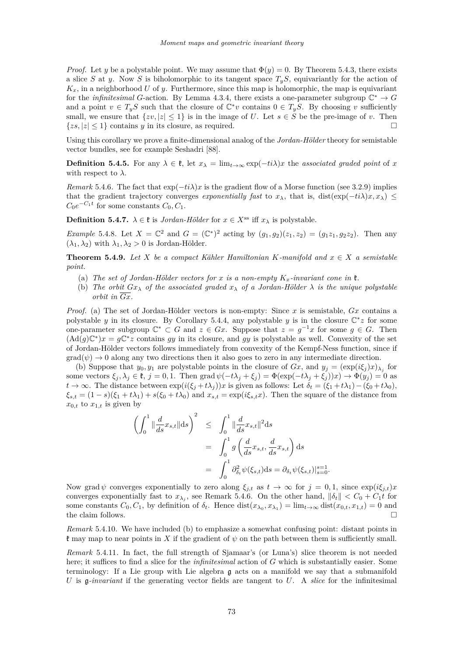<span id="page-19-0"></span>*Proof.* Let *y* be a polystable point. We may assume that  $\Phi(y) = 0$ . By Theorem [5.4.3,](#page-18-0) there exists a slice *S* at *y*. Now *S* is biholomorphic to its tangent space  $T_yS$ , equivariantly for the action of  $K_x$ , in a neighborhood *U* of *y*. Furthermore, since this map is holomorphic, the map is equivariant for the *infinitesimal G*-action. By Lemma [4.3.4,](#page-14-0) there exists a one-parameter subgroup  $\mathbb{C}^* \to G$ and a point  $v \in T_yS$  such that the closure of  $\mathbb{C}^*v$  contains  $0 \in T_yS$ . By choosing *v* sufficiently small, we ensure that  $\{zy, |z| \leq 1\}$  is in the image of *U*. Let  $s \in S$  be the pre-image of *v*. Then  $\{zs, |z| \leq 1\}$  contains *y* in its closure, as required.

Using this corollary we prove a finite-dimensional analog of the *Jordan-Hölder* theory for semistable vector bundles, see for example Seshadri [\[88\]](#page-43-0).

**Definition 5.4.5.** For any  $\lambda \in \mathfrak{k}$ , let  $x_{\lambda} = \lim_{t \to \infty} \exp(-t_i\lambda)x$  the *associated graded point* of *x* with respect to  $\lambda$ .

*Remark* 5.4.6. The fact that  $\exp(-t\lambda)x$  is the gradient flow of a Morse function (see [3.2.9\)](#page-7-0) implies that the gradient trajectory converges *exponentially fast* to  $x_\lambda$ , that is, dist(exp( $-ti\lambda$ ) $x, x_\lambda$ ) ≤  $C_0e^{-C_1t}$  for some constants  $C_0, C_1$ .

**Definition 5.4.7.**  $\lambda \in \mathfrak{k}$  is *Jordan-Hölder* for  $x \in X^{\text{ss}}$  iff  $x_{\lambda}$  is polystable.

*Example* 5.4.8*.* Let  $X = \mathbb{C}^2$  and  $G = (\mathbb{C}^*)^2$  acting by  $(g_1, g_2)(z_1, z_2) = (g_1z_1, g_2z_2)$ . Then any  $(\lambda_1, \lambda_2)$  with  $\lambda_1, \lambda_2 > 0$  is Jordan-Hölder.

**Theorem 5.4.9.** *Let*  $X$  *be a compact Kähler Hamiltonian*  $K$ *-manifold and*  $x \in X$  *a semistable point.*

- (a) The set of Jordan-Hölder vectors for x is a non-empty  $K<sub>x</sub>$ -invariant cone in  $\mathfrak{k}$ .
- (b) *The orbit*  $Gx_{\lambda}$  *of the associated graded*  $x_{\lambda}$  *of a Jordan-Hölder*  $\lambda$  *is the unique polystable orbit in*  $\overline{Gx}$ *.*

*Proof.* (a) The set of Jordan-Hölder vectors is non-empty: Since *x* is semistable, *Gx* contains a polystable *y* in its closure. By Corollary [5.4.4,](#page-18-0) any polystable *y* is in the closure  $\mathbb{C}^*z$  for some one-parameter subgroup  $\mathbb{C}^* \subset G$  and  $z \in Gx$ . Suppose that  $z = g^{-1}x$  for some  $g \in G$ . Then  $(\text{Ad}(g)\mathbb{C}^*)x = g\mathbb{C}^*z$  contains *gy* in its closure, and *gy* is polystable as well. Convexity of the set of Jordan-Hölder vectors follows immediately from convexity of the Kempf-Ness function, since if  $\text{grad}(\psi) \to 0$  along any two directions then it also goes to zero in any intermediate direction.

(b) Suppose that  $y_0, y_1$  are polystable points in the closure of  $Gx$ , and  $y_j = (\exp(i\xi_j)x)_{\lambda_j}$  for some vectors  $\xi_j$ ,  $\lambda_j \in \mathfrak{k}$ ,  $j = 0, 1$ . Then grad  $\psi(-t\lambda_j + \xi_j) = \Phi(\exp(-t\lambda_j + \xi_j))x$   $\to \Phi(y_j) = 0$  as *t* → ∞. The distance between exp(*i*(*ξ<sup>j</sup>* +*tλ<sup>j</sup>* ))*x* is given as follows: Let *δ<sup>t</sup>* = (*ξ*<sup>1</sup> +*tλ*1)−(*ξ*<sup>0</sup> +*tλ*0),  $\xi_{s,t} = (1-s)(\xi_1 + t\lambda_1) + s(\xi_0 + t\lambda_0)$  and  $x_{s,t} = \exp(i\xi_{s,t}x)$ . Then the square of the distance from  $x_{0,t}$  to  $x_{1,t}$  is given by

$$
\left(\int_0^1 \|\frac{d}{ds}x_{s,t}\|ds\right)^2 \leq \int_0^1 \|\frac{d}{ds}x_{s,t}\|^2 ds
$$
  
= 
$$
\int_0^1 g\left(\frac{d}{ds}x_{s,t}, \frac{d}{ds}x_{s,t}\right) ds
$$
  
= 
$$
\int_0^1 \partial_{\delta_t}^2 \psi(\xi_{s,t}) ds = \partial_{\delta_t} \psi(\xi_{s,t})|_{s=0}^{s=1}.
$$

Now grad  $\psi$  converges exponentially to zero along  $\xi_{j,t}$  as  $t \to \infty$  for  $j = 0, 1$ , since  $\exp(i\xi_{j,t})x$ converges exponentially fast to  $x_{\lambda_j}$ , see Remark 5.4.6. On the other hand,  $\|\delta_t\| < C_0 + C_1 t$  for some constants  $C_0, C_1$ , by definition of  $\delta_t$ . Hence  $dist(x_{\lambda_0}, x_{\lambda_1}) = \lim_{t \to \infty} dist(x_{0,t}, x_{1,t}) = 0$  and the claim follows.

*Remark* 5.4.10*.* We have included (b) to emphasize a somewhat confusing point: distant points in f may map to near points in X if the gradient of  $\psi$  on the path between them is sufficiently small.

*Remark* 5.4.11*.* In fact, the full strength of Sjamaar's (or Luna's) slice theorem is not needed here; it suffices to find a slice for the *infinitesimal* action of *G* which is substantially easier. Some terminology: If a Lie group with Lie algebra g acts on a manifold we say that a submanifold *U* is g*-invariant* if the generating vector fields are tangent to *U*. A *slice* for the infinitesimal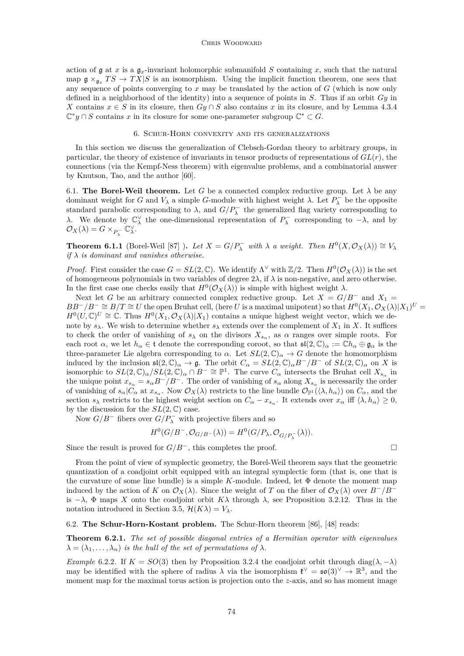#### CHRIS WOODWARD

<span id="page-20-0"></span>action of  $\mathfrak g$  at *x* is a  $\mathfrak g_x$ -invariant holomorphic submanifold *S* containing *x*, such that the natural map  $\mathfrak{g} \times_{\mathfrak{g}_x} T S \to T X | S$  is an isomorphism. Using the implicit function theorem, one sees that any sequence of points converging to *x* may be translated by the action of *G* (which is now only defined in a neighborhood of the identity) into a sequence of points in *S*. Thus if an orbit *Gy* in *X* contains  $x \in S$  in its closure, then  $Gy \cap S$  also contains *x* in its closure, and by Lemma [4.3.4](#page-14-0)  $\mathbb{C}^*y \cap S$  contains *x* in its closure for some one-parameter subgroup  $\mathbb{C}^* \subset G$ .

## 6. Schur-Horn convexity and its generalizations

In this section we discuss the generalization of Clebsch-Gordan theory to arbitrary groups, in particular, the theory of existence of invariants in tensor products of representations of *GL*(*r*), the connections (via the Kempf-Ness theorem) with eigenvalue problems, and a combinatorial answer by Knutson, Tao, and the author [\[60\]](#page-43-0).

6.1. **The Borel-Weil theorem.** Let *G* be a connected complex reductive group. Let  $\lambda$  be any dominant weight for *G* and  $V_\lambda$  a simple *G*-module with highest weight  $\lambda$ . Let  $P_\lambda^-$  be the opposite standard parabolic corresponding to  $\lambda$ , and  $G/P_{\lambda}^-$  the generalized flag variety corresponding to *λ*. We denote by  $\mathbb{C}_{\lambda}^{\vee}$  the one-dimensional representation of  $P_{\lambda}^-$  corresponding to −*λ*, and by  $\mathcal{O}_X(\lambda) = G \times_{P_{\lambda}^-} \mathbb{C}_{\lambda}^{\vee}.$ 

**Theorem 6.1.1** (Borel-Weil [\[87\]](#page-43-0) ). Let  $X = G/P_{\lambda}^-$  with  $\lambda$  a weight. Then  $H^0(X, \mathcal{O}_X(\lambda)) \cong V_{\lambda}$ *if λ is dominant and vanishes otherwise.*

*Proof.* First consider the case  $G = SL(2, \mathbb{C})$ . We identify  $\Lambda^{\vee}$  with  $\mathbb{Z}/2$ . Then  $H^{0}(\mathcal{O}_{X}(\lambda))$  is the set of homogeneous polynomials in two variables of degree 2*λ*, if *λ* is non-negative, and zero otherwise. In the first case one checks easily that  $H^0(\mathcal{O}_X(\lambda))$  is simple with highest weight  $\lambda$ .

Next let *G* be an arbitrary connected complex reductive group. Let  $X = G/B^-$  and  $X_1 =$  $BB^{-}/B^{-} \cong B/T \cong U$  the open Bruhat cell, (here *U* is a maximal unipotent) so that  $H^{0}(X_1, \mathcal{O}_X(\lambda)|X_1)^{U}$  $H^0(U,\mathbb{C})^U \cong \mathbb{C}$ . Thus  $H^0(X_1,\mathcal{O}_X(\lambda)|X_1)$  contains a unique highest weight vector, which we denote by  $s_\lambda$ . We wish to determine whether  $s_\lambda$  extends over the complement of  $X_1$  in X. It suffices to check the order of vanishing of  $s_\lambda$  on the divisors  $X_{s_\alpha}$ , as  $\alpha$  ranges over simple roots. For each root  $\alpha$ , we let  $h_{\alpha} \in \mathfrak{t}$  denote the corresponding coroot, so that  $\mathfrak{sl}(2,\mathbb{C})_{\alpha} := \mathbb{C}h_{\alpha} \oplus \mathfrak{g}_{\alpha}$  is the three-parameter Lie algebra corresponding to  $\alpha$ . Let  $SL(2,\mathbb{C})_{\alpha} \to G$  denote the homomorphism induced by the inclusion  $\mathfrak{sl}(2,\mathbb{C})_{\alpha} \to \mathfrak{g}$ . The orbit  $C_{\alpha} = SL(2,\mathbb{C})_{\alpha}B^-/B^-$  of  $SL(2,\mathbb{C})_{\alpha}$  on X is isomorphic to  $SL(2,\mathbb{C})_{\alpha}/SL(2,\mathbb{C})_{\alpha} \cap B^{-} \cong \mathbb{P}^{1}$ . The curve  $C_{\alpha}$  intersects the Bruhat cell  $X_{s_{\alpha}}$  in the unique point  $x_{s_\alpha} = s_\alpha B^-/B^-$ . The order of vanishing of  $s_\alpha$  along  $X_{s_\alpha}$  is necessarily the order of vanishing of  $s_{\alpha}|C_{\alpha}$  at  $x_{s_{\alpha}}$ . Now  $\mathcal{O}_X(\lambda)$  restricts to the line bundle  $\mathcal{O}_{\mathbb{P}^1}(\langle \lambda, h_{\alpha} \rangle)$  on  $C_{\alpha}$ , and the section  $s_{\lambda}$  restricts to the highest weight section on  $C_{\alpha} - x_{s_{\alpha}}$ . It extends over  $x_{\alpha}$  iff  $\langle \lambda, h_{\alpha} \rangle \geq 0$ , by the discussion for the  $SL(2,\mathbb{C})$  case.

Now  $G/B^-$  fibers over  $G/P_\lambda^-$  with projective fibers and so

$$
H^0(G/B^-,\mathcal{O}_{G/B^-}(\lambda)) = H^0(G/P_{\lambda},\mathcal{O}_{G/P_{\lambda}^-}(\lambda)).
$$

Since the result is proved for *G/B<sup>−</sup>*, this completes the proof. □

From the point of view of symplectic geometry, the Borel-Weil theorem says that the geometric quantization of a coadjoint orbit equipped with an integral symplectic form (that is, one that is the curvature of some line bundle) is a simple *K*-module. Indeed, let Φ denote the moment map induced by the action of *K* on  $\mathcal{O}_X(\lambda)$ . Since the weight of *T* on the fiber of  $\mathcal{O}_X(\lambda)$  over  $B^-/B^$ is  $-\lambda$ ,  $\Phi$  maps *X* onto the coadjoint orbit  $K\lambda$  through  $\lambda$ , see Proposition [3.2.12.](#page-8-0) Thus in the notation introduced in Section [3.5,](#page-10-0)  $\mathcal{H}(K\lambda) = V_\lambda$ .

6.2. **The Schur-Horn-Kostant problem.** The Schur-Horn theorem [\[86\]](#page-43-0), [\[48\]](#page-42-0) reads:

**Theorem 6.2.1.** *The set of possible diagonal entries of a Hermitian operator with eigenvalues*  $\lambda = (\lambda_1, \ldots, \lambda_n)$  *is the hull of the set of permutations of*  $\lambda$ *.* 

*Example* 6.2.2*.* If  $K = SO(3)$  then by Proposition [3.2.4](#page-6-0) the coadjoint orbit through diag( $\lambda$ , − $\lambda$ ) may be identified with the sphere of radius  $\lambda$  via the isomorphism  $\mathfrak{k}^{\vee} = \mathfrak{so}(3)^{\vee} \to \mathbb{R}^3$ , and the moment map for the maximal torus action is projection onto the *z*-axis, and so has moment image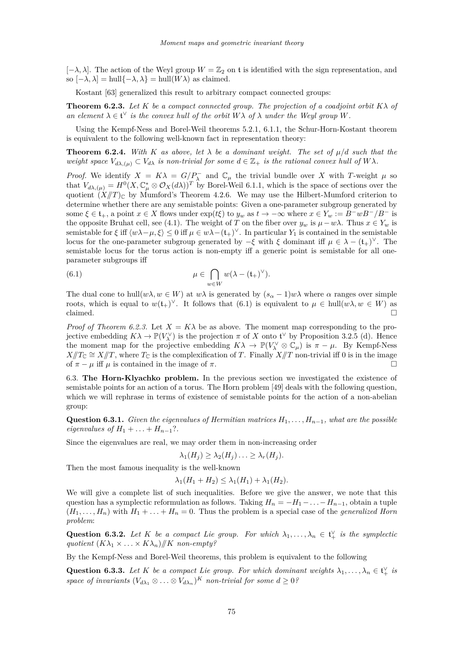$[-\lambda, \lambda]$ . The action of the Weyl group  $W = \mathbb{Z}_2$  on t is identified with the sign representation, and so  $[-\lambda, \lambda] = \text{hull}\{-\lambda, \lambda\} = \text{hull}(W\lambda)$  as claimed.

Kostant [\[63\]](#page-43-0) generalized this result to arbitrary compact connected groups:

**Theorem 6.2.3.** Let K be a compact connected group. The projection of a coadjoint orbit  $K\lambda$  of *an element*  $\lambda \in \mathfrak{t}^{\vee}$  *is the convex hull of the orbit*  $W\lambda$  *of*  $\lambda$  *under the Weyl group W.* 

Using the Kempf-Ness and Borel-Weil theorems [5.2.1,](#page-15-0) [6.1.1,](#page-20-0) the Schur-Horn-Kostant theorem is equivalent to the following well-known fact in representation theory:

**Theorem 6.2.4.** *With K as above, let*  $\lambda$  *be a dominant weight. The set of*  $\mu/d$  *such that the weight space*  $V_{d\lambda,(\mu)} \subset V_{d\lambda}$  *is non-trivial for some*  $d \in \mathbb{Z}_+$  *is the rational convex hull of*  $W\lambda$ *.* 

*Proof.* We identify  $X = K\lambda = G/P_{\lambda}^-$  and  $\mathbb{C}_{\mu}$  the trivial bundle over X with *T*-weight  $\mu$  so that  $V_{d\lambda,(\mu)} = H^0(X, \mathbb{C}_{\mu}^* \otimes \mathcal{O}_X(d\lambda))^T$  by Borel-Weil [6.1.1,](#page-20-0) which is the space of sections over the quotient  $(X/T)_{\mathbb{C}}$  by Mumford's Theorem [4.2.6.](#page-13-0) We may use the Hilbert-Mumford criterion to determine whether there are any semistable points: Given a one-parameter subgroup generated by some  $\xi \in \mathfrak{t}_+$ , a point  $x \in X$  flows under  $\exp(t\xi)$  to  $y_w$  as  $t \to -\infty$  where  $x \in Y_w := B^-wB^-/B^-$  is the opposite Bruhat cell, see [\(4.1\)](#page-12-0). The weight of *T* on the fiber over  $y_w$  is  $\mu - w\lambda$ . Thus  $x \in Y_w$  is semistable for  $\xi$  iff  $\langle w\lambda-\mu, \xi \rangle \leq 0$  iff  $\mu \in w\lambda-(\mathfrak{t}_{+})^{\vee}$ . In particular  $Y_1$  is contained in the semistable locus for the one-parameter subgroup generated by  $-\xi$  with  $\xi$  dominant iff  $\mu \in \lambda - (t_+)^\vee$ . The semistable locus for the torus action is non-empty iff a generic point is semistable for all oneparameter subgroups iff

(6.1) 
$$
\mu \in \bigcap_{w \in W} w(\lambda - (\mathfrak{t}_{+})^{\vee}).
$$

The dual cone to hull( $w\lambda$ ,  $w \in W$ ) at  $w\lambda$  is generated by  $(s_{\alpha}-1)w\lambda$  where  $\alpha$  ranges over simple roots, which is equal to  $w(\mathfrak{t}_{+})^{\vee}$ . It follows that (6.1) is equivalent to  $\mu \in \text{hull}(w\lambda, w \in W)$  as  $claimed.$ 

*Proof of Theorem 6.2.3.* Let  $X = K\lambda$  be as above. The moment map corresponding to the projective embedding  $K\lambda \to \mathbb{P}(V_\lambda^{\vee})$  is the projection  $\pi$  of  $X$  onto  $\mathfrak{t}^{\vee}$  by Proposition [3.2.5](#page-0-0) [\(d\)](#page-6-0). Hence the moment map for the projective embedding  $K\lambda \to \mathbb{P}(V_\lambda^\vee \otimes \mathbb{C}_\mu)$  is  $\pi - \mu$ . By Kempf-Ness  $X/T_{\mathbb{C}} \cong X/T$ , where  $T_{\mathbb{C}}$  is the complexification of *T*. Finally  $X/T$  non-trivial iff 0 is in the image of  $\pi - \mu$  iff  $\mu$  is contained in the image of  $\pi$ .

6.3. **The Horn-Klyachko problem.** In the previous section we investigated the existence of semistable points for an action of a torus. The Horn problem [\[49\]](#page-42-0) deals with the following question, which we will rephrase in terms of existence of semistable points for the action of a non-abelian group:

**Question 6.3.1.** *Given the eigenvalues of Hermitian matrices*  $H_1, \ldots, H_{n-1}$ *, what are the possible eigenvalues of*  $H_1 + ... + H_{n-1}$ ?

Since the eigenvalues are real, we may order them in non-increasing order

$$
\lambda_1(H_j) \geq \lambda_2(H_j) \ldots \geq \lambda_r(H_j).
$$

Then the most famous inequality is the well-known

$$
\lambda_1(H_1+H_2)\leq \lambda_1(H_1)+\lambda_1(H_2).
$$

We will give a complete list of such inequalities. Before we give the answer, we note that this question has a symplectic reformulation as follows. Taking  $H_n = -H_1 - \ldots - H_{n-1}$ , obtain a tuple  $(H_1, \ldots, H_n)$  with  $H_1 + \ldots + H_n = 0$ . Thus the problem is a special case of the *generalized Horn problem*:

**Question 6.3.2.** Let K be a compact Lie group. For which  $\lambda_1, \ldots, \lambda_n \in \mathfrak{t}_+^{\vee}$  is the symplectic *quotient*  $(K\lambda_1 \times \ldots \times K\lambda_n)/\!\!/K$  *non-empty?* 

By the Kempf-Ness and Borel-Weil theorems, this problem is equivalent to the following

**Question 6.3.3.** Let K be a compact Lie group. For which dominant weights  $\lambda_1, \ldots, \lambda_n \in \mathfrak{t}_+^{\vee}$  is *space of invariants*  $(V_{d\lambda_1} \otimes \ldots \otimes V_{d\lambda_n})^K$  *non-trivial for some*  $d \geq 0$ ?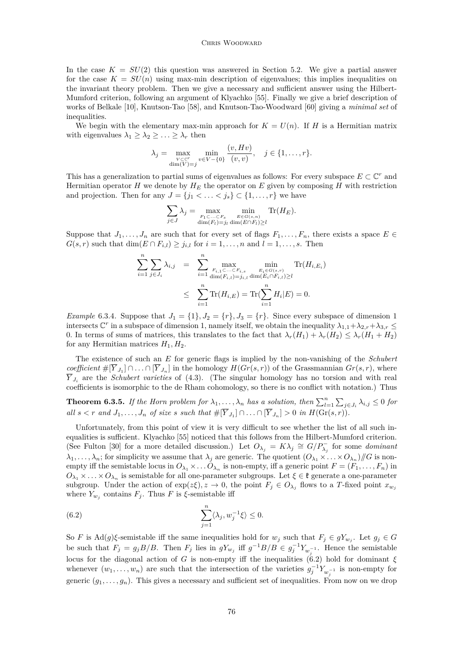#### CHRIS WOODWARD

<span id="page-22-0"></span>In the case  $K = SU(2)$  this question was answered in Section [5.2.](#page-16-0) We give a partial answer for the case  $K = SU(n)$  using max-min description of eigenvalues; this implies inequalities on the invariant theory problem. Then we give a necessary and sufficient answer using the Hilbert-Mumford criterion, following an argument of Klyachko [\[55\]](#page-42-0). Finally we give a brief description of works of Belkale [\[10\]](#page-41-0), Knutson-Tao [\[58\]](#page-43-0), and Knutson-Tao-Woodward [\[60\]](#page-43-0) giving a *minimal set* of inequalities.

We begin with the elementary max-min approach for  $K = U(n)$ . If *H* is a Hermitian matrix with eigenvalues  $\lambda_1 \geq \lambda_2 \geq \ldots \geq \lambda_r$  then

$$
\lambda_j = \max_{\substack{V \subset \mathbb{C}^r \\ \dim(V)=j}} \min_{v \in V - \{0\}} \frac{(v, Hv)}{(v, v)}, \quad j \in \{1, \dots, r\}.
$$

This has a generalization to partial sums of eigenvalues as follows: For every subspace  $E \subset \mathbb{C}^r$  and Hermitian operator *H* we denote by  $H_E$  the operator on *E* given by composing *H* with restriction and projection. Then for any  $J = \{j_1 < \ldots < j_s\} \subset \{1, \ldots, r\}$  we have

$$
\sum_{j \in J} \lambda_j = \max_{\substack{F_1 \subset \dots \subset F_s \\ \dim(F_l) = j_l \dim(E \cap F_l) \ge l}} \min_{\substack{\text{E} \in G(s,n) \\ \dim(E \cap F_l) \ge l}} \text{Tr}(H_E).
$$

Suppose that  $J_1, \ldots, J_n$  are such that for every set of flags  $F_1, \ldots, F_n$ , there exists a space  $E \in$  $G(s,r)$  such that  $\dim(E \cap F_{i,l}) \geq j_{i,l}$  for  $i = 1, \ldots, n$  and  $l = 1, \ldots, s$ . Then

$$
\sum_{i=1}^{n} \sum_{j \in J_i} \lambda_{i,j} = \sum_{i=1}^{n} \max_{\substack{F_{i,1} \subset \dots \subset F_{i,s} \\ \dim(F_{i,l}) = j_{i,l} \dim(E_i \cap F_{i,l}) \ge l}} \text{Tr}(H_{i,E_i})
$$
  

$$
\leq \sum_{i=1}^{n} \text{Tr}(H_{i,E}) = \text{Tr}(\sum_{i=1}^{n} H_i | E) = 0.
$$

*Example* 6.3.4*.* Suppose that  $J_1 = \{1\}, J_2 = \{r\}, J_3 = \{r\}$ . Since every subspace of dimension 1 intersects  $\mathbb{C}^r$  in a subspace of dimension 1, namely itself, we obtain the inequality  $\lambda_{1,1}+\lambda_{2,r}+\lambda_{3,r} \leq$ 0. In terms of sums of matrices, this translates to the fact that  $\lambda_r(H_1) + \lambda_r(H_2) \leq \lambda_r(H_1 + H_2)$ for any Hermitian matrices  $H_1, H_2$ .

The existence of such an *E* for generic flags is implied by the non-vanishing of the *Schubert coefficient*  $\#[Y_{J_1}] \cap \ldots \cap [Y_{J_n}]$  in the homology  $H(Gr(s,r))$  of the Grassmannian  $Gr(s,r)$ , where  $\overline{Y}_{J_i}$  are the *Schubert varieties* of [\(4.3\)](#page-12-0). (The singular homology has no torsion and with real coefficients is isomorphic to the de Rham cohomology, so there is no conflict with notation.) Thus

**Theorem 6.3.5.** *If the Horn problem for*  $\lambda_1, \ldots, \lambda_n$  *has a solution, then*  $\sum_{l=1}^n \sum_{j \in J_i} \lambda_{i,j} \leq 0$  *for* all  $s < r$  and  $J_1, \ldots, J_n$  of size s such that  $\#[Y_{J_1}] \cap \ldots \cap [Y_{J_n}] > 0$  in  $H(\text{Gr}(s,r))$ .

Unfortunately, from this point of view it is very difficult to see whether the list of all such inequalities is sufficient. Klyachko [\[55\]](#page-42-0) noticed that this follows from the Hilbert-Mumford criterion. (See Fulton [\[30\]](#page-42-0) for a more detailed discussion.) Let  $O_{\lambda_j} = K\lambda_j \cong G/P_{\lambda_j}^-$  for some *dominant*  $\lambda_1, \ldots, \lambda_n$ ; for simplicity we assume that  $\lambda_j$  are generic. The quotient  $(O_{\lambda_1} \times \ldots \times O_{\lambda_n})/G$  is nonempty iff the semistable locus in  $O_{\lambda_1} \times \ldots O_{\lambda_n}$  is non-empty, iff a generic point  $F = (F_1, \ldots, F_n)$  in  $O_{\lambda_1} \times \ldots \times O_{\lambda_n}$  is semistable for all one-parameter subgroups. Let  $\xi \in \mathfrak{k}$  generate a one-parameter subgroup. Under the action of  $\exp(z\xi), z \to 0$ , the point  $F_j \in O_{\lambda_j}$  flows to a *T*-fixed point  $x_{w_j}$ where  $Y_{w_j}$  contains  $F_j$ . Thus  $F$  is  $\xi$ -semistable iff

(6.2) 
$$
\sum_{j=1}^{n} \langle \lambda_j, w_j^{-1} \xi \rangle \leq 0.
$$

So *F* is  $\text{Ad}(g)\xi$ -semistable iff the same inequalities hold for  $w_j$  such that  $F_j \in gY_{w_j}$ . Let  $g_j \in G$ be such that  $F_j = g_j B/B$ . Then  $F_j$  lies in  $gY_{w_j}$  iff  $g^{-1}B/B \in g_j^{-1}Y_{w_j^{-1}}$ . Hence the semistable locus for the diagonal action of *G* is non-empty iff the inequalities (6.2) hold for dominant  $\xi$ whenever  $(w_1, \ldots, w_n)$  are such that the intersection of the varieties  $g_j^{-1} Y_{w_j^{-1}}$  is non-empty for generic  $(g_1, \ldots, g_n)$ . This gives a necessary and sufficient set of inequalities. From now on we drop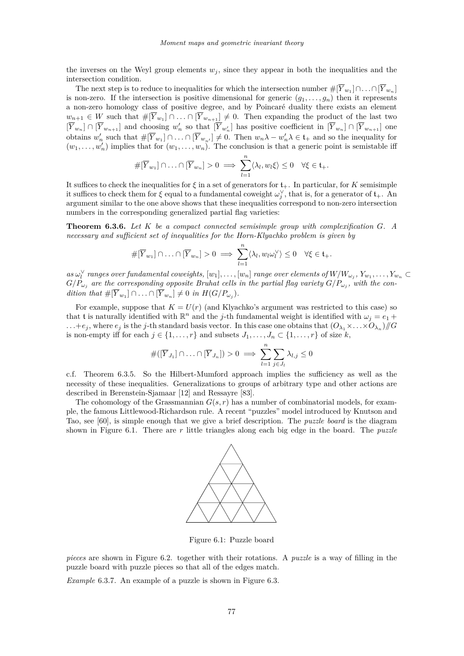<span id="page-23-0"></span>the inverses on the Weyl group elements  $w_j$ , since they appear in both the inequalities and the intersection condition.

The next step is to reduce to inequalities for which the intersection number  $\#[\overline{Y}_{w_1}] \cap \ldots \cap [\overline{Y}_{w_n}]$ is non-zero. If the intersection is positive dimensional for generic  $(g_1, \ldots, g_n)$  then it represents a non-zero homology class of positive degree, and by Poincaré duality there exists an element *w*<sub>*n*+1</sub> ∈ *W* such that  $\#[Y_{w_1}] \cap \ldots \cap [Y_{w_{n+1}}] \neq 0$ . Then expanding the product of the last two  $[\overline{Y}_{w_n}] \cap [\overline{Y}_{w_{n+1}}]$  and choosing  $w'_n$  so that  $[\overline{Y}_{w'_n}]$  has positive coefficient in  $[\overline{Y}_{w_n}] \cap [\overline{Y}_{w_{n+1}}]$  one obtains  $w'_n$  such that  $\#[\overline{Y}_{w_1}] \cap ... \cap [\overline{Y}_{w_{n'}}] \neq 0$ . Then  $w_n \lambda - w'_n \lambda \in \mathfrak{t}_+$  and so the inequality for  $(w_1, \ldots, w'_n)$  implies that for  $(w_1, \ldots, w_n)$ . The conclusion is that a generic point is semistable iff

$$
\#[\overline{Y}_{w_1}] \cap \ldots \cap [\overline{Y}_{w_n}] > 0 \implies \sum_{l=1}^n \langle \lambda_l, w_l \xi \rangle \leq 0 \quad \forall \xi \in \mathfrak{t}_+.
$$

It suffices to check the inequalities for  $\xi$  in a set of generators for  $f_{+}$ . In particular, for *K* semisimple it suffices to check them for  $\xi$  equal to a fundamental coweight  $\omega_j^{\vee}$ , that is, for a generator of  $\mathfrak{t}_+$ . An argument similar to the one above shows that these inequalities correspond to non-zero intersection numbers in the corresponding generalized partial flag varieties:

**Theorem 6.3.6.** *Let K be a compact connected semisimple group with complexification G. A necessary and sufficient set of inequalities for the Horn-Klyachko problem is given by*

$$
\#[\overline{Y}_{w_1}] \cap \ldots \cap [\overline{Y}_{w_n}] > 0 \implies \sum_{l=1}^n \langle \lambda_l, w_l \omega_l^{\vee} \rangle \leq 0 \quad \forall \xi \in \mathfrak{t}_+.
$$

as  $\omega_l^{\vee}$  ranges over fundamental coweights,  $[w_1], \ldots, [w_n]$  range over elements of  $W/W_{\omega_j}, Y_{w_1}, \ldots, Y_{w_n} \subset$  $G/P_{\omega_j}$  are the corresponding opposite Bruhat cells in the partial flag variety  $G/P_{\omega_j}$ , with the con- $\text{dition that } \#[\overline{Y}_{w_1}] \cap \ldots \cap [\overline{Y}_{w_n}] \neq 0 \text{ in } H(G/P_{\omega_j}).$ 

For example, suppose that  $K = U(r)$  (and Klyachko's argument was restricted to this case) so that t is naturally identified with  $\mathbb{R}^n$  and the *j*-th fundamental weight is identified with  $\omega_j = e_1 +$  $\dots + e_j$ , where  $e_j$  is the *j*-th standard basis vector. In this case one obtains that  $(O_{\lambda_1} \times \dots \times O_{\lambda_n})/G$ is non-empty iff for each  $j \in \{1, \ldots, r\}$  and subsets  $J_1, \ldots, J_n \subset \{1, \ldots, r\}$  of size  $k$ ,

$$
\#([\overline{Y}_{J_1}] \cap \ldots \cap [\overline{Y}_{J_n}]) > 0 \implies \sum_{l=1}^n \sum_{j \in J_l} \lambda_{l,j} \le 0
$$

c.f. Theorem [6.3.5.](#page-22-0) So the Hilbert-Mumford approach implies the sufficiency as well as the necessity of these inequalities. Generalizations to groups of arbitrary type and other actions are described in Berenstein-Sjamaar [\[12\]](#page-41-0) and Ressayre [\[83\]](#page-43-0).

The cohomology of the Grassmannian  $G(s, r)$  has a number of combinatorial models, for example, the famous Littlewood-Richardson rule. A recent "puzzles" model introduced by Knutson and Tao, see [\[60\]](#page-43-0), is simple enough that we give a brief description. The *puzzle board* is the diagram shown in Figure 6.1. There are *r* little triangles along each big edge in the board. The *puzzle*



Figure 6.1: Puzzle board

*pieces* are shown in Figure [6.2.](#page-24-0) together with their rotations. A *puzzle* is a way of filling in the puzzle board with puzzle pieces so that all of the edges match.

*Example* 6.3.7*.* An example of a puzzle is shown in Figure [6.3.](#page-24-0)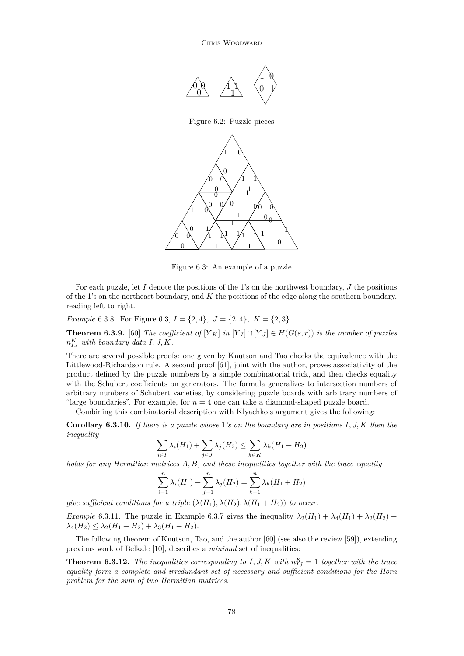CHRIS WOODWARD

<span id="page-24-0"></span>

Figure 6.3: An example of a puzzle

For each puzzle, let *I* denote the positions of the 1's on the northwest boundary, *J* the positions of the 1's on the northeast boundary, and *K* the positions of the edge along the southern boundary, reading left to right.

*Example* 6.3.8*.* For Figure 6.3,  $I = \{2, 4\}$ ,  $J = \{2, 4\}$ ,  $K = \{2, 3\}$ .

**Theorem 6.3.9.** [\[60\]](#page-43-0) *The coefficient of*  $[\overline{Y}_K]$  *in*  $[\overline{Y}_J] \cap [\overline{Y}_J] \in H(G(s,r))$  *is the number of puzzles*  $n_{IJ}^K$  *with boundary data*  $I, J, K$ *.* 

There are several possible proofs: one given by Knutson and Tao checks the equivalence with the Littlewood-Richardson rule. A second proof [\[61\]](#page-43-0), joint with the author, proves associativity of the product defined by the puzzle numbers by a simple combinatorial trick, and then checks equality with the Schubert coefficients on generators. The formula generalizes to intersection numbers of arbitrary numbers of Schubert varieties, by considering puzzle boards with arbitrary numbers of "large boundaries". For example, for  $n = 4$  one can take a diamond-shaped puzzle board.

Combining this combinatorial description with Klyachko's argument gives the following:

**Corollary 6.3.10.** *If there is a puzzle whose* 1*'s on the boundary are in positions I, J, K then the inequality*

$$
\sum_{i \in I} \lambda_i(H_1) + \sum_{j \in J} \lambda_j(H_2) \le \sum_{k \in K} \lambda_k(H_1 + H_2)
$$

*holds for any Hermitian matrices A, B, and these inequalities together with the trace equality*

$$
\sum_{i=1}^{n} \lambda_i(H_1) + \sum_{j=1}^{n} \lambda_j(H_2) = \sum_{k=1}^{n} \lambda_k(H_1 + H_2)
$$

*give sufficient conditions for a triple*  $(\lambda(H_1), \lambda(H_2), \lambda(H_1 + H_2))$  *to occur.* 

*Example* 6.3.11. The puzzle in Example [6.3.7](#page-23-0) gives the inequality  $\lambda_2(H_1) + \lambda_4(H_1) + \lambda_2(H_2)$  +  $\lambda_4(H_2) \leq \lambda_2(H_1 + H_2) + \lambda_3(H_1 + H_2)$ .

The following theorem of Knutson, Tao, and the author [\[60\]](#page-43-0) (see also the review [\[59\]](#page-43-0)), extending previous work of Belkale [\[10\]](#page-41-0), describes a *minimal* set of inequalities:

**Theorem 6.3.12.** *The inequalities corresponding to*  $I, J, K$  *with*  $n_{IJ}^K = 1$  *together with the trace equality form a complete and irredundant set of necessary and sufficient conditions for the Horn problem for the sum of two Hermitian matrices.*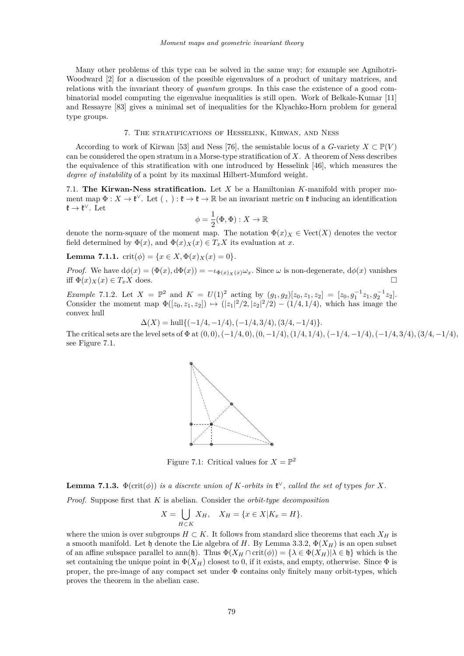<span id="page-25-0"></span>Many other problems of this type can be solved in the same way; for example see Agnihotri-Woodward [\[2\]](#page-41-0) for a discussion of the possible eigenvalues of a product of unitary matrices, and relations with the invariant theory of *quantum* groups. In this case the existence of a good combinatorial model computing the eigenvalue inequalities is still open. Work of Belkale-Kumar [\[11\]](#page-41-0) and Ressayre [\[83\]](#page-43-0) gives a minimal set of inequalities for the Klyachko-Horn problem for general type groups.

## 7. The stratifications of Hesselink, Kirwan, and Ness

According to work of Kirwan [\[53\]](#page-42-0) and Ness [\[76\]](#page-43-0), the semistable locus of a *G*-variety  $X \subset \mathbb{P}(V)$ can be considered the open stratum in a Morse-type stratification of *X*. A theorem of Ness describes the equivalence of this stratification with one introduced by Hesselink [\[46\]](#page-42-0), which measures the *degree of instability* of a point by its maximal Hilbert-Mumford weight.

7.1. **The Kirwan-Ness stratification.** Let *X* be a Hamiltonian *K*-manifold with proper moment map  $\Phi: X \to \mathfrak{k}^\vee$ . Let  $( , ) : \mathfrak{k} \to \mathfrak{k} \to \mathbb{R}$  be an invariant metric on  $\mathfrak{k}$  inducing an identification  $\mathfrak{k} \to \mathfrak{k}^{\vee}$ . Let

$$
\phi = \frac{1}{2}(\Phi, \Phi) : X \to \mathbb{R}
$$

denote the norm-square of the moment map. The notation  $\Phi(x)_X \in \text{Vect}(X)$  denotes the vector field determined by  $\Phi(x)$ , and  $\Phi(x)$ <sub>*X*</sub>(*x*)  $\in T_xX$  its evaluation at *x*.

**Lemma 7.1.1.** crit $(\phi) = \{x \in X, \Phi(x) \times (x) = 0\}.$ 

*Proof.* We have  $d\phi(x) = (\Phi(x), d\Phi(x)) = -\iota_{\Phi(x)_X(x)}\omega_x$ . Since  $\omega$  is non-degenerate,  $d\phi(x)$  vanishes iff  $\Phi(x)_X(x) \in T_xX$  does.

*Example* 7.1.2*.* Let  $X = \mathbb{P}^2$  and  $K = U(1)^2$  acting by  $(g_1, g_2)[z_0, z_1, z_2] = [z_0, g_1^{-1}z_1, g_2^{-1}z_2].$ Consider the moment map  $\Phi([z_0, z_1, z_2]) \mapsto (|z_1|^2/2, |z_2|^2/2) - (1/4, 1/4)$ , which has image the convex hull

$$
\Delta(X) = \text{hull}\{(-1/4, -1/4), (-1/4, 3/4), (3/4, -1/4)\}.
$$

The critical sets are the level sets of  $\Phi$  at  $(0,0), (-1/4,0), (0,-1/4), (1/4,1/4), (-1/4,-1/4), (-1/4,3/4), (3/4,-1/4),$ see Figure 7.1.



Figure 7.1: Critical values for  $X = \mathbb{P}^2$ 

**Lemma 7.1.3.**  $\Phi(\text{crit}(\phi))$  *is a discrete union of K-orbits in*  $\mathfrak{k}^{\vee}$ *, called the set of types for X.* 

*Proof.* Suppose first that *K* is abelian. Consider the *orbit-type decomposition*

$$
X = \bigcup_{H \subset K} X_H, \quad X_H = \{ x \in X | K_x = H \}.
$$

where the union is over subgroups  $H \subset K$ . It follows from standard slice theorems that each  $X_H$  is a smooth manifold. Let h denote the Lie algebra of *H*. By Lemma [3.3.2,](#page-8-0)  $\Phi(X_H)$  is an open subset of an affine subspace parallel to ann(h). Thus  $\Phi(X_H \cap \text{crit}(\phi)) = {\lambda \in \Phi(X_H) | \lambda \in \mathfrak{h}}$  which is the set containing the unique point in  $\Phi(X_H)$  closest to 0, if it exists, and empty, otherwise. Since  $\Phi$  is proper, the pre-image of any compact set under  $\Phi$  contains only finitely many orbit-types, which proves the theorem in the abelian case.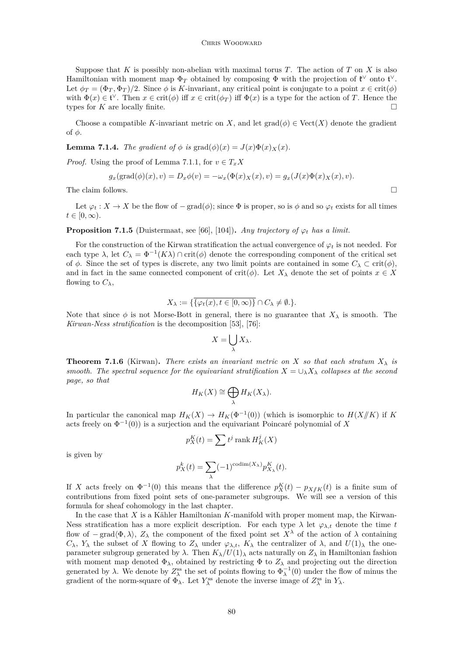<span id="page-26-0"></span>Suppose that *K* is possibly non-abelian with maximal torus *T*. The action of *T* on *X* is also Hamiltonian with moment map  $\Phi_T$  obtained by composing  $\Phi$  with the projection of  $\mathfrak{k}^\vee$  onto  $\mathfrak{t}^\vee$ . Let  $\phi_T = (\Phi_T, \Phi_T)/2$ . Since  $\phi$  is *K*-invariant, any critical point is conjugate to a point  $x \in \text{crit}(\phi)$ with  $\Phi(x) \in \mathfrak{t}^{\vee}$ . Then  $x \in \text{crit}(\phi)$  iff  $x \in \text{crit}(\phi_T)$  iff  $\Phi(x)$  is a type for the action of *T*. Hence the types for *K* are locally finite.

Choose a compatible *K*-invariant metric on *X*, and let  $\text{grad}(\phi) \in \text{Vect}(X)$  denote the gradient of *φ*.

**Lemma 7.1.4.** *The gradient of*  $\phi$  *is* grad $(\phi)(x) = J(x)\Phi(x)x(x)$ .

*Proof.* Using the proof of Lemma [7.1.1,](#page-25-0) for  $v \in T_xX$ 

$$
g_x(\text{grad}(\phi)(x), v) = D_x \phi(v) = -\omega_x(\Phi(x)_X(x), v) = g_x(J(x)\Phi(x)_X(x), v).
$$

The claim follows.  $\Box$ 

Let  $\varphi_t : X \to X$  be the flow of  $-\text{grad}(\phi)$ ; since  $\Phi$  is proper, so is  $\phi$  and so  $\varphi_t$  exists for all times  $t \in [0, \infty)$ .

**Proposition 7.1.5** (Duistermaat, see [\[66\]](#page-43-0), [\[104\]](#page-44-0)). *Any trajectory of*  $\varphi_t$  *has a limit.* 

For the construction of the Kirwan stratification the actual convergence of  $\varphi_t$  is not needed. For each type  $\lambda$ , let  $C_{\lambda} = \Phi^{-1}(K\lambda) \cap \text{crit}(\phi)$  denote the corresponding component of the critical set of  $\phi$ . Since the set of types is discrete, any two limit points are contained in some  $C_{\lambda} \subset \text{crit}(\phi)$ , and in fact in the same connected component of crit( $\phi$ ). Let  $X_{\lambda}$  denote the set of points  $x \in X$ flowing to  $C_{\lambda}$ ,

$$
X_{\lambda} := \{ \overline{\{\varphi_t(x), t \in [0, \infty)\}} \cap C_{\lambda} \neq \emptyset. \}.
$$

Note that since  $\phi$  is not Morse-Bott in general, there is no guarantee that  $X_\lambda$  is smooth. The *Kirwan-Ness stratification* is the decomposition [\[53\]](#page-42-0), [\[76\]](#page-43-0):

$$
X = \bigcup_{\lambda} X_{\lambda}.
$$

**Theorem 7.1.6** (Kirwan). There exists an invariant metric on X so that each stratum  $X_{\lambda}$  is *smooth. The spectral sequence for the equivariant stratification*  $X = \bigcup_{\lambda} X_{\lambda}$  *collapses at the second page, so that*

$$
H_K(X) \cong \bigoplus_{\lambda} H_K(X_{\lambda}).
$$

In particular the canonical map  $H_K(X) \to H_K(\Phi^{-1}(0))$  (which is isomorphic to  $H(X \mid K)$  if K acts freely on  $\Phi^{-1}(0)$  is a surjection and the equivariant Poincaré polynomial of X

$$
p_K^K(t) = \sum t^j \operatorname{rank} H^j_K(X)
$$

is given by

$$
p_X^k(t) = \sum_{\lambda} (-1)^{\text{codim}(X_{\lambda})} p_{X_{\lambda}}^K(t).
$$

If *X* acts freely on  $\Phi^{-1}(0)$  this means that the difference  $p_K^K(t) - p_{X/K}(t)$  is a finite sum of contributions from fixed point sets of one-parameter subgroups. We will see a version of this formula for sheaf cohomology in the last chapter.

In the case that *X* is a Kähler Hamiltonian *K*-manifold with proper moment map, the Kirwan-Ness stratification has a more explicit description. For each type  $\lambda$  let  $\varphi_{\lambda,t}$  denote the time *t* flow of  $-\text{grad}\langle\Phi,\lambda\rangle$ ,  $Z_{\lambda}$  the component of the fixed point set  $X^{\lambda}$  of the action of  $\lambda$  containing *C*<sub> $λ$ </sub>, *Y*<sub> $λ$ </sub> the subset of *X* flowing to  $Z_{λ}$  under  $\varphi_{λ,t}$ ,  $K_{λ}$  the centralizer of  $λ$ , and  $U(1)_{λ}$  the oneparameter subgroup generated by  $\lambda$ . Then  $K_{\lambda}/U(1)_{\lambda}$  acts naturally on  $Z_{\lambda}$  in Hamiltonian fashion with moment map denoted  $\Phi_{\lambda}$ , obtained by restricting  $\Phi$  to  $Z_{\lambda}$  and projecting out the direction generated by  $\lambda$ . We denote by  $Z^{\text{ss}}_{\lambda}$  the set of points flowing to  $\Phi_{\lambda}^{-1}(0)$  under the flow of minus the gradient of the norm-square of  $\Phi_{\lambda}$ . Let  $Y_{\lambda}^{\text{ss}}$  denote the inverse image of  $Z_{\lambda}^{\text{ss}}$  in  $Y_{\lambda}$ .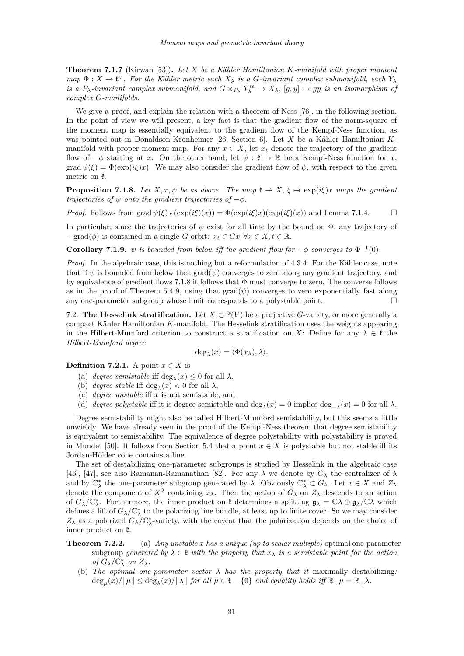<span id="page-27-0"></span>**Theorem 7.1.7** (Kirwan [\[53\]](#page-42-0))**.** *Let X be a Kähler Hamiltonian K-manifold with proper moment*  $map \Phi: X \to \mathfrak{k}^{\vee}$ . For the Kähler metric each  $X_{\lambda}$  is a *G*-invariant complex submanifold, each  $Y_{\lambda}$ *is a*  $P_{\lambda}$ *-invariant complex submanifold, and*  $G \times_{P_{\lambda}} Y_{\lambda}^{ss} \to X_{\lambda}$ ,  $[g, y] \mapsto gy$  *is an isomorphism of complex G-manifolds.*

We give a proof, and explain the relation with a theorem of Ness [\[76\]](#page-43-0), in the following section. In the point of view we will present, a key fact is that the gradient flow of the norm-square of the moment map is essentially equivalent to the gradient flow of the Kempf-Ness function, as was pointed out in Donaldson-Kronheimer [\[26,](#page-42-0) Section 6]. Let *X* be a Kähler Hamiltonian *K*manifold with proper moment map. For any  $x \in X$ , let  $x_t$  denote the trajectory of the gradient flow of  $-\phi$  starting at *x*. On the other hand, let  $\psi : \mathfrak{k} \to \mathbb{R}$  be a Kempf-Ness function for *x*, grad  $\psi(\xi) = \Phi(\exp(i\xi)x)$ . We may also consider the gradient flow of  $\psi$ , with respect to the given metric on  $\mathfrak k$ .

**Proposition 7.1.8.** *Let*  $X, x, \psi$  *be as above. The map*  $\mathfrak{k} \to X$ ,  $\xi \mapsto \exp(i\xi)x$  *maps the gradient trajectories of*  $\psi$  *onto the gradient trajectories of*  $-\phi$ *.* 

*Proof.* Follows from grad  $\psi(\xi)_{X}(\exp(i\xi)(x)) = \Phi(\exp(i\xi)x)(\exp(i\xi)(x))$  and Lemma [7.1.4.](#page-26-0)  $\square$ 

In particular, since the trajectories of  $\psi$  exist for all time by the bound on  $\Phi$ , any trajectory of  $-\text{grad}(\phi)$  is contained in a single *G*-orbit:  $x_t \in Gx, \forall x \in X, t \in \mathbb{R}$ .

**Corollary 7.1.9.**  $\psi$  *is bounded from below iff the gradient flow for*  $-\phi$  *converges to*  $\Phi^{-1}(0)$ *.* 

*Proof.* In the algebraic case, this is nothing but a reformulation of [4.3.4.](#page-14-0) For the Kähler case, note that if  $\psi$  is bounded from below then  $\text{grad}(\psi)$  converges to zero along any gradient trajectory, and by equivalence of gradient flows 7.1.8 it follows that Φ must converge to zero. The converse follows as in the proof of Theorem [5.4.9,](#page-19-0) using that  $\text{grad}(\psi)$  converges to zero exponentially fast along any one-parameter subgroup whose limit corresponds to a polystable point.  $\square$ 

7.2. **The Hesselink stratification.** Let  $X \subset \mathbb{P}(V)$  be a projective *G*-variety, or more generally a compact Kähler Hamiltonian *K*-manifold. The Hesselink stratification uses the weights appearing in the Hilbert-Mumford criterion to construct a stratification on *X*: Define for any  $\lambda \in \mathfrak{k}$  the *Hilbert-Mumford degree*

$$
\deg_{\lambda}(x) = \langle \Phi(x_{\lambda}), \lambda \rangle.
$$

**Definition 7.2.1.** A point  $x \in X$  is

- (a) *degree semistable* iff  $deg_{\lambda}(x) \leq 0$  for all  $\lambda$ ,
- (b) *degree stable* iff  $deg_{\lambda}(x) < 0$  for all  $\lambda$ ,
- (c) *degree unstable* iff *x* is not semistable, and
- (d) *degree polystable* iff it is degree semistable and  $\deg_{\lambda}(x) = 0$  implies  $\deg_{-\lambda}(x) = 0$  for all  $\lambda$ .

Degree semistability might also be called Hilbert-Mumford semistability, but this seems a little unwieldy. We have already seen in the proof of the Kempf-Ness theorem that degree semistability is equivalent to semistability. The equivalence of degree polystability with polystability is proved in Mundet [\[50\]](#page-42-0). It follows from Section [5.4](#page-18-0) that a point  $x \in X$  is polystable but not stable iff its Jordan-Hölder cone contains a line.

The set of destabilizing one-parameter subgroups is studied by Hesselink in the algebraic case [\[46\]](#page-42-0), [\[47\]](#page-42-0), see also Ramanan-Ramanathan [\[82\]](#page-43-0). For any  $\lambda$  we denote by  $G_{\lambda}$  the centralizer of  $\lambda$ and by  $\mathbb{C}_{\lambda}^{*}$  the one-parameter subgroup generated by  $\lambda$ . Obviously  $\mathbb{C}_{\lambda}^{*} \subset G_{\lambda}$ . Let  $x \in X$  and  $Z_{\lambda}$ denote the component of  $X^{\lambda}$  containing  $x_{\lambda}$ . Then the action of  $G_{\lambda}$  on  $Z_{\lambda}$  descends to an action of  $G_{\lambda}/\mathbb{C}_{\lambda}^{*}$ . Furthermore, the inner product on  $\mathfrak{k}$  determines a splitting  $\mathfrak{g}_{\lambda} = \mathbb{C}\lambda \oplus \mathfrak{g}_{\lambda}/\mathbb{C}\lambda$  which defines a lift of  $G_{\lambda}/\mathbb{C}_{\lambda}^{*}$  to the polarizing line bundle, at least up to finite cover. So we may consider *Z*<sub>*λ*</sub> as a polarized *G*<sub>*λ*</sub><sup> $/$ </sup>C<sub>*λ*</sub><sup> $+$ </sup>-variety, with the caveat that the polarization depends on the choice of inner product on  $\mathfrak{k}$ .

- **Theorem 7.2.2.** (a) *Any unstable x has a unique (up to scalar multiple)* optimal one-parameter subgroup generated by  $\lambda \in \mathfrak{k}$  *with the property that*  $x_{\lambda}$  *is a semistable point for the action of*  $G_{\lambda}/\mathbb{C}_{\lambda}^{*}$  *on*  $Z_{\lambda}$ *.* 
	- (b) *The optimal one-parameter vector λ has the property that it* maximally destabilizing*:*  $\deg_{\mu}(x)/\|\mu\| \leq \deg_{\lambda}(x)/\|\lambda\|$  for all  $\mu \in \mathfrak{k} - \{0\}$  and equality holds iff  $\mathbb{R}_{+}\mu = \mathbb{R}_{+}\lambda$ *.*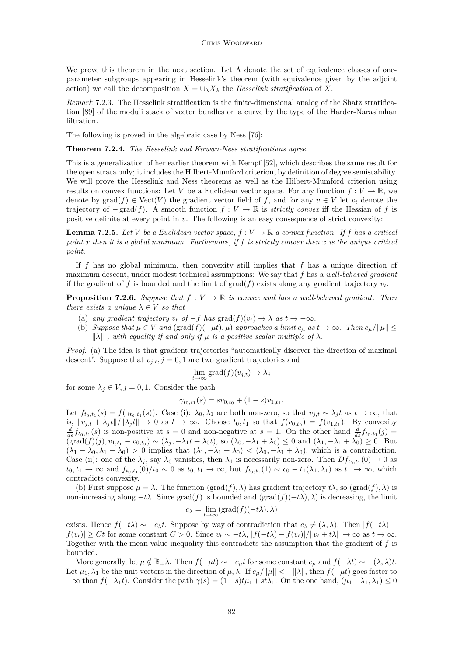#### CHRIS WOODWARD

<span id="page-28-0"></span>We prove this theorem in the next section. Let  $\Lambda$  denote the set of equivalence classes of oneparameter subgroups appearing in Hesselink's theorem (with equivalence given by the adjoint action) we call the decomposition  $X = \bigcup_{\lambda} X_{\lambda}$  the *Hesselink stratification* of X.

*Remark* 7.2.3*.* The Hesselink stratification is the finite-dimensional analog of the Shatz stratification [\[89\]](#page-43-0) of the moduli stack of vector bundles on a curve by the type of the Harder-Narasimhan filtration.

The following is proved in the algebraic case by Ness [\[76\]](#page-43-0):

**Theorem 7.2.4.** *The Hesselink and Kirwan-Ness stratifications agree.*

This is a generalization of her earlier theorem with Kempf [\[52\]](#page-42-0), which describes the same result for the open strata only; it includes the Hilbert-Mumford criterion, by definition of degree semistability. We will prove the Hesselink and Ness theorems as well as the Hilbert-Mumford criterion using results on convex functions: Let *V* be a Euclidean vector space. For any function  $f: V \to \mathbb{R}$ , we denote by  $\text{grad}(f) \in \text{Vect}(V)$  the gradient vector field of f, and for any  $v \in V$  let  $v_t$  denote the trajectory of  $-\text{grad}(f)$ . A smooth function  $f: V \to \mathbb{R}$  is *strictly convex* iff the Hessian of f is positive definite at every point in *v*. The following is an easy consequence of strict convexity:

**Lemma 7.2.5.** *Let V be a Euclidean vector space,*  $f: V \to \mathbb{R}$  *a convex function. If f has a critical point x then it is a global minimum. Furthemore, if f is strictly convex then x is the unique critical point.*

If *f* has no global minimum, then convexity still implies that *f* has a unique direction of maximum descent, under modest technical assumptions: We say that *f* has a *well-behaved gradient* if the gradient of f is bounded and the limit of grad(f) exists along any gradient trajectory  $v_t$ .

**Proposition 7.2.6.** *Suppose that*  $f: V \to \mathbb{R}$  *is convex and has a well-behaved gradient. Then there exists a unique*  $\lambda \in V$  *so that* 

- (a) any gradient trajectory  $v_t$  of  $-f$  has  $\text{grad}(f)(v_t) \to \lambda$  as  $t \to -\infty$ .
- (b) *Suppose that*  $\mu \in V$  *and* (grad $(f)(-\mu t)$ *,*  $\mu$ ) *approaches a limit*  $c_{\mu}$  *as*  $t \to \infty$ *. Then*  $c_{\mu}/\|\mu\| \le$  $\|\lambda\|$ , with equality if and only if  $\mu$  is a positive scalar multiple of  $\lambda$ .

*Proof.* (a) The idea is that gradient trajectories "automatically discover the direction of maximal descent". Suppose that  $v_{i,t}$ ,  $j = 0, 1$  are two gradient trajectories and

$$
\lim_{t \to \infty} \text{grad}(f)(v_{j,t}) \to \lambda_j
$$

for some  $\lambda_j \in V, j = 0, 1$ . Consider the path

$$
\gamma_{t_0,t_1}(s) = sv_{0,t_0} + (1-s)v_{1,t_1}.
$$

Let  $f_{t_0,t_1}(s) = f(\gamma_{t_0,t_1}(s))$ . Case (i):  $\lambda_0, \lambda_1$  are both non-zero, so that  $v_{j,t} \sim \lambda_j t$  as  $t \to \infty$ , that is,  $||v_{j,t} + \lambda_j t||/||\lambda_j t|| \to 0$  as  $t \to \infty$ . Choose  $t_0, t_1$  so that  $f(v_{0,t_0}) = f(v_{1,t_1})$ . By convexity  $\frac{d}{ds} f_{t_0,t_1}(s)$  is non-positive at  $s = 0$  and non-negative at  $s = 1$ . On the other hand  $\frac{d}{ds} f_{t_0,t_1}(j)$  $(\text{grad}(f)(j), v_{1,t_1} - v_{0,t_0}) \sim (\lambda_j, -\lambda_1 t + \lambda_0 t)$ , so  $(\lambda_0, -\lambda_1 + \lambda_0) \leq 0$  and  $(\lambda_1, -\lambda_1 + \lambda_0) \geq 0$ . But  $(\lambda_1 - \lambda_0, \lambda_1 - \lambda_0) > 0$  implies that  $(\lambda_1, -\lambda_1 + \lambda_0) < (\lambda_0, -\lambda_1 + \lambda_0)$ , which is a contradiction. Case (ii): one of the  $\lambda_j$ , say  $\lambda_0$  vanishes, then  $\lambda_1$  is necessarily non-zero. Then  $Df_{t_0,t_1}(0) \to 0$  as  $t_0, t_1 \to \infty$  and  $f_{t_0, t_1}(0)/t_0 \sim 0$  as  $t_0, t_1 \to \infty$ , but  $f_{t_0, t_1}(1) \sim c_0 - t_1(\lambda_1, \lambda_1)$  as  $t_1 \to \infty$ , which contradicts convexity.

(b) First suppose  $\mu = \lambda$ . The function (grad(f),  $\lambda$ ) has gradient trajectory  $t\lambda$ , so (grad(f),  $\lambda$ ) is non-increasing along  $-t\lambda$ . Since grad(*f*) is bounded and (grad(*f*)( $-t\lambda$ )*,*  $\lambda$ ) is decreasing, the limit

$$
c_\lambda=\lim_{t\to\infty}(\mathrm{grad}(f)(-t\lambda),\lambda)
$$

exists. Hence  $f(-t\lambda) \sim -c_{\lambda}t$ . Suppose by way of contradiction that  $c_{\lambda} \neq (\lambda, \lambda)$ . Then  $|f(-t\lambda)$  $f(v_t) \geq Ct$  for some constant  $C > 0$ . Since  $v_t \sim -t\lambda$ ,  $|f(-t\lambda) - f(v_t)|/||v_t + t\lambda|| \to \infty$  as  $t \to \infty$ . Together with the mean value inequality this contradicts the assumption that the gradient of *f* is bounded.

More generally, let  $\mu \notin \mathbb{R}_+ \lambda$ . Then  $f(-\mu t) \sim -c_\mu t$  for some constant  $c_\mu$  and  $f(-\lambda t) \sim -(\lambda, \lambda)t$ . Let  $\mu_1, \lambda_1$  be the unit vectors in the direction of  $\mu, \lambda$ . If  $c_\mu / \|\mu\| < -\|\lambda\|$ , then  $f(-\mu t)$  goes faster to  $-\infty$  than  $f(-\lambda_1 t)$ . Consider the path  $\gamma(s) = (1-s)t\mu_1 + st\lambda_1$ . On the one hand,  $(\mu_1 - \lambda_1, \lambda_1) \leq 0$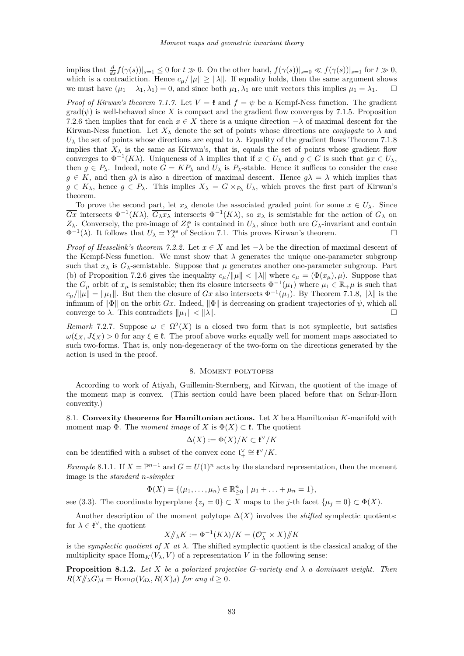<span id="page-29-0"></span>implies that  $\frac{d}{ds} f(\gamma(s))|_{s=1} \leq 0$  for  $t \gg 0$ . On the other hand,  $f(\gamma(s))|_{s=0} \ll f(\gamma(s))|_{s=1}$  for  $t \gg 0$ , which is a contradiction. Hence  $c_{\mu}/\|\mu\| \geq \|\lambda\|$ . If equality holds, then the same argument shows we must have  $(\mu_1 - \lambda_1, \lambda_1) = 0$ , and since both  $\mu_1, \lambda_1$  are unit vectors this implies  $\mu_1 = \lambda_1$ .

*Proof of Kirwan's theorem [7.1.7.](#page-27-0)* Let  $V = \mathfrak{k}$  and  $f = \psi$  be a Kempf-Ness function. The gradient  $\text{grad}(\psi)$  is well-behaved since X is compact and the gradient flow converges by [7.1.5.](#page-26-0) Proposition [7.2.6](#page-28-0) then implies that for each  $x \in X$  there is a unique direction  $-\lambda$  of maximal descent for the Kirwan-Ness function. Let  $X_{\lambda}$  denote the set of points whose directions are *conjugate* to  $\lambda$  and *U*<sub> $λ$ </sub> the set of points whose directions are equal to  $λ$ . Equality of the gradient flows Theorem [7.1.8](#page-27-0) implies that  $X_{\lambda}$  is the same as Kirwan's, that is, equals the set of points whose gradient flow converges to  $\Phi^{-1}(K\lambda)$ . Uniqueness of  $\lambda$  implies that if  $x \in U_\lambda$  and  $g \in G$  is such that  $gx \in U_\lambda$ , then  $g \in P_\lambda$ . Indeed, note  $G = KP_\lambda$  and  $U_\lambda$  is  $P_\lambda$ -stable. Hence it suffices to consider the case  $g \in K$ , and then  $g\lambda$  is also a direction of maximal descent. Hence  $g\lambda = \lambda$  which implies that  $g \in K_{\lambda}$ , hence  $g \in P_{\lambda}$ . This implies  $X_{\lambda} = G \times_{P_{\lambda}} U_{\lambda}$ , which proves the first part of Kirwan's theorem.

To prove the second part, let  $x_{\lambda}$  denote the associated graded point for some  $x \in U_{\lambda}$ . Since  $\overline{Gx}$  intersects  $\Phi^{-1}(K\lambda)$ ,  $\overline{G_\lambda x_\lambda}$  intersects  $\Phi^{-1}(K\lambda)$ , so  $x_\lambda$  is semistable for the action of  $G_\lambda$  on *Z*<sub>*λ*</sub>. Conversely, the pre-image of *Z*<sup>ss</sup><sub>*λ*</sub></sub> is contained in *U*<sub>*λ*</sub>, since both are *G*<sub>*λ*</sub>-invariant and contain  $\Phi^{-1}(\lambda)$ . It follows that  $U_{\lambda} = Y_{\lambda}^{\text{ss}}$  of Section [7.1.](#page-25-0) This proves Kirwan's theorem.

*Proof of Hesselink's theorem [7.2.2.](#page-0-0)* Let  $x \in X$  and let  $-\lambda$  be the direction of maximal descent of the Kempf-Ness function. We must show that  $\lambda$  generates the unique one-parameter subgroup such that  $x_{\lambda}$  is  $G_{\lambda}$ -semistable. Suppose that  $\mu$  generates another one-parameter subgroup. Part (b) of Proposition [7.2.6](#page-28-0) gives the inequality  $c_\mu / \|\mu\| < \|\lambda\|$  where  $c_\mu = (\Phi(x_\mu), \mu)$ . Suppose that the  $G_{\mu}$  orbit of  $x_{\mu}$  is semistable; then its closure intersects  $\Phi^{-1}(\mu_1)$  where  $\mu_1 \in \mathbb{R}_{+}$  is such that  $c_{\mu}/\|\mu\| = \|\mu_1\|$ . But then the closure of *Gx* also intersects  $\Phi^{-1}(\mu_1)$ . By Theorem [7.1.8,](#page-27-0)  $\|\lambda\|$  is the infimum of  $\|\Phi\|$  on the orbit *Gx*. Indeed,  $\|\Phi\|$  is decreasing on gradient trajectories of  $\psi$ , which all converge to  $\lambda$ . This contradicts  $||u_1|| < ||\lambda||$ .

*Remark* 7.2.7. Suppose  $\omega \in \Omega^2(X)$  is a closed two form that is not symplectic, but satisfies  $\omega(\xi_X, J\xi_X) > 0$  for any  $\xi \in \mathfrak{k}$ . The proof above works equally well for moment maps associated to such two-forms. That is, only non-degeneracy of the two-form on the directions generated by the action is used in the proof.

### 8. Moment polytopes

According to work of Atiyah, Guillemin-Sternberg, and Kirwan, the quotient of the image of the moment map is convex. (This section could have been placed before that on Schur-Horn convexity.)

8.1. **Convexity theorems for Hamiltonian actions.** Let *X* be a Hamiltonian *K*-manifold with moment map  $\Phi$ . The *moment image* of *X* is  $\Phi(X) \subset \mathfrak{k}$ . The quotient

$$
\Delta(X):=\Phi(X)/K\subset\mathfrak{k}^\vee/K
$$

can be identified with a subset of the convex cone  $\mathfrak{t}^\vee_+ \cong \mathfrak{k}^\vee/K$ .

*Example* 8.1.1. If  $X = \mathbb{P}^{n-1}$  and  $G = U(1)^n$  acts by the standard representation, then the moment image is the *standard n-simplex*

$$
\Phi(X) = \{(\mu_1, \ldots, \mu_n) \in \mathbb{R}_{\geq 0}^n \mid \mu_1 + \ldots + \mu_n = 1\},\
$$

see [\(3.3\)](#page-10-0). The coordinate hyperplane  $\{z_j = 0\} \subset X$  maps to the *j*-th facet  $\{\mu_j = 0\} \subset \Phi(X)$ .

Another description of the moment polytope  $\Delta(X)$  involves the *shifted* symplectic quotients: for  $\lambda \in \mathfrak{k}^{\vee}$ , the quotient

$$
X/\!\!/_\lambda K := \Phi^{-1}(K\lambda)/K = (\mathcal{O}_\lambda^- \times X)/\!\!/K
$$

is the *symplectic quotient of*  $X$  *at*  $\lambda$ . The shifted symplectic quotient is the classical analog of the multiplicity space  $\text{Hom}_K(V_\lambda, V)$  of a representation V in the following sense:

**Proposition 8.1.2.** *Let*  $X$  *be a polarized projective*  $G$ *-variety and*  $\lambda$  *a dominant weight. Then*  $R(X/\!\!/_{\lambda} G)_d = \text{Hom}_G(V_{d\lambda}, R(X)_d)$  *for any*  $d \geq 0$ *.*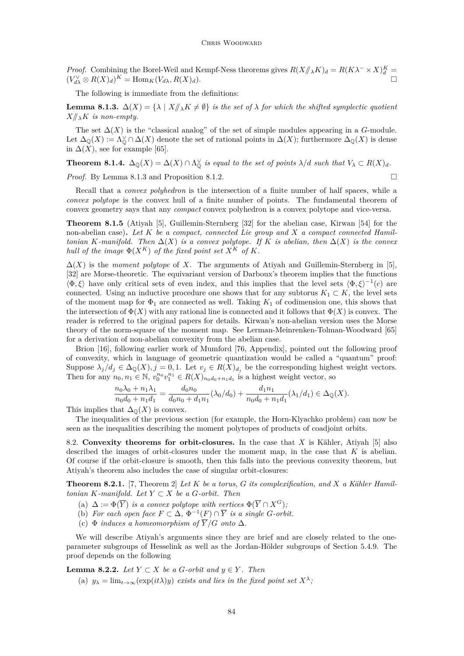<span id="page-30-0"></span>*Proof.* Combining the Borel-Weil and Kempf-Ness theorems gives  $R(X/\!\!/_{\lambda} K)_{d} = R(K\lambda^{-} \times X)_{d}^{K} =$  $(V_{d\lambda}^{\vee} \otimes R(X)_d)^K = \text{Hom}_K(V_{d\lambda}, R(X)_d).$ 

The following is immediate from the definitions:

**Lemma 8.1.3.**  $\Delta(X) = \{\lambda \mid X/\!\!/_{\lambda} K \neq \emptyset\}$  *is the set of*  $\lambda$  *for which the shifted symplectic quotient*  $X/\!\!/_{\lambda}$ *K is non-empty.* 

The set  $\Delta(X)$  is the "classical analog" of the set of simple modules appearing in a *G*-module. Let  $\Delta_{\mathbb{Q}}(X) := \Lambda_{\mathbb{Q}}^{\vee} \cap \Delta(X)$  denote the set of rational points in  $\Delta(X)$ ; furthermore  $\Delta_{\mathbb{Q}}(X)$  is dense in  $\Delta(X)$ , see for example [\[65\]](#page-43-0).

**Theorem 8.1.4.**  $\Delta_{\mathbb{Q}}(X) = \Delta(X) \cap \Lambda_{\mathbb{Q}}^{\vee}$  is equal to the set of points  $\lambda/d$  such that  $V_{\lambda} \subset R(X)_{d}$ .

*Proof.* By Lemma 8.1.3 and Proposition [8.1.2.](#page-29-0) □

Recall that a *convex polyhedron* is the intersection of a finite number of half spaces, while a *convex polytope* is the convex hull of a finite number of points. The fundamental theorem of convex geometry says that any *compact* convex polyhedron is a convex polytope and vice-versa.

**Theorem 8.1.5** (Atiyah [\[5\]](#page-41-0), Guillemin-Sternberg [\[32\]](#page-42-0) for the abelian case, Kirwan [\[54\]](#page-42-0) for the non-abelian case)**.** *Let K be a compact, connected Lie group and X a compact connected Hamiltonian K-manifold. Then*  $\Delta(X)$  *is a convex polytope. If K is abelian, then*  $\Delta(X)$  *is the convex hull of the image*  $\Phi(X^K)$  *of the fixed point set*  $X^K$  *of*  $K$ *.* 

 $\Delta(X)$  is the *moment polytope* of X. The arguments of Atiyah and Guillemin-Sternberg in [\[5\]](#page-41-0), [\[32\]](#page-42-0) are Morse-theoretic. The equivariant version of Darboux's theorem implies that the functions  $\langle \Phi, \xi \rangle$  have only critical sets of even index, and this implies that the level sets  $\langle \Phi, \xi \rangle^{-1}(c)$  are connected. Using an inductive procedure one shows that for any subtorus  $K_1 \subset K$ , the level sets of the moment map for  $\Phi_1$  are connected as well. Taking  $K_1$  of codimension one, this shows that the intersection of  $\Phi(X)$  with any rational line is connected and it follows that  $\Phi(X)$  is convex. The reader is referred to the original papers for details. Kirwan's non-abelian version uses the Morse theory of the norm-square of the moment map. See Lerman-Meinrenken-Tolman-Woodward [\[65\]](#page-43-0) for a derivation of non-abelian convexity from the abelian case.

Brion [\[16\]](#page-41-0), following earlier work of Mumford [\[76,](#page-43-0) Appendix], pointed out the following proof of convexity, which in language of geometric quantization would be called a "quantum" proof: Suppose  $\lambda_j/d_j \in \Delta_{\mathbb{Q}}(X), j = 0, 1$ . Let  $v_j \in R(X)_{d_j}$  be the corresponding highest weight vectors. Then for any  $n_0, n_1 \in \mathbb{N}$ ,  $v_0^{n_0} v_1^{n_1} \in R(X)_{n_0d_0+n_1d_1}$  is a highest weight vector, so

$$
\frac{n_0\lambda_0 + n_1\lambda_1}{n_0d_0 + n_1d_1} = \frac{d_0n_0}{d_0n_0 + d_1n_1} (\lambda_0/d_0) + \frac{d_1n_1}{n_0d_0 + n_1d_1} (\lambda_1/d_1) \in \Delta_{\mathbb{Q}}(X).
$$

This implies that  $\Delta_{\mathbb{Q}}(X)$  is convex.

The inequalities of the previous section (for example, the Horn-Klyachko problem) can now be seen as the inequalities describing the moment polytopes of products of coadjoint orbits.

8.2. **Convexity theorems for orbit-closures.** In the case that *X* is Kähler, Atiyah [\[5\]](#page-41-0) also described the images of orbit-closures under the moment map, in the case that *K* is abelian. Of course if the orbit-closure is smooth, then this falls into the previous convexity theorem, but Atiyah's theorem also includes the case of singular orbit-closures:

**Theorem 8.2.1.** [\[7,](#page-41-0) Theorem 2] *Let K be a torus, G its complexification, and X a Kähler Hamiltonian*  $K$ *-manifold.* Let  $Y \subset X$  *be a G-orbit. Then* 

- (a)  $\Delta := \Phi(\overline{Y})$  *is a convex polytope with vertices*  $\Phi(\overline{Y} \cap X^G)$ ;
- (b) For each open face  $F \subset \Delta$ ,  $\Phi^{-1}(F) \cap \overline{Y}$  is a single *G*-orbit.
- (c)  $\Phi$  *induces a homeomorphism of*  $\overline{Y}/G$  *onto*  $\Delta$ *.*

We will describe Atiyah's arguments since they are brief and are closely related to the oneparameter subgroups of Hesselink as well as the Jordan-Hölder subgroups of Section [5.4.9.](#page-19-0) The proof depends on the following

**Lemma 8.2.2.** *Let*  $Y ⊂ X$  *be a G*-*orbit and*  $y ∈ Y$ *. Then* 

(a)  $y_{\lambda} = \lim_{t \to \infty} (\exp(it\lambda)y)$  *exists and lies in the fixed point set*  $X^{\lambda}$ ;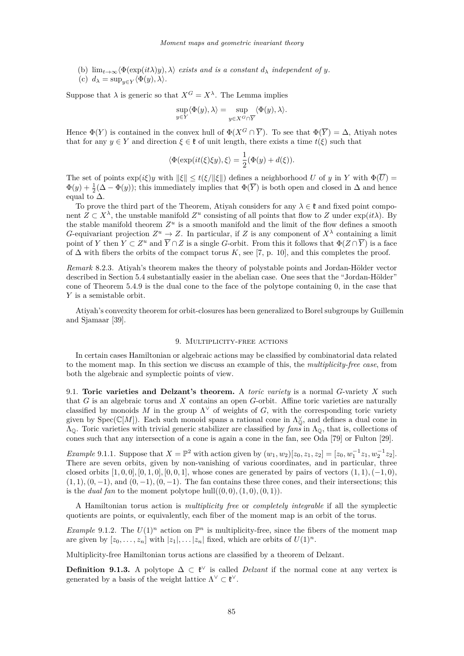- <span id="page-31-0"></span>(b)  $\lim_{t\to\infty} \langle \Phi(\exp(it\lambda)y), \lambda \rangle$  *exists and is a constant*  $d_{\lambda}$  *independent of y.*
- (c)  $d_{\lambda} = \sup_{y \in Y} \langle \Phi(y), \lambda \rangle$ *.*

Suppose that  $\lambda$  is generic so that  $X^G = X^{\lambda}$ . The Lemma implies

$$
\sup_{y \in Y} \langle \Phi(y), \lambda \rangle = \sup_{y \in X^G \cap \overline{Y}} \langle \Phi(y), \lambda \rangle.
$$

Hence  $\Phi(Y)$  is contained in the convex hull of  $\Phi(X^G \cap \overline{Y})$ . To see that  $\Phi(\overline{Y}) = \Delta$ , Atiyah notes that for any  $y \in Y$  and direction  $\xi \in \mathfrak{k}$  of unit length, there exists a time  $t(\xi)$  such that

$$
\langle \Phi(\exp(it(\xi)\xi y),\xi\rangle = \frac{1}{2}(\Phi(y) + d(\xi)).
$$

The set of points  $\exp(i\xi)y$  with  $\|\xi\| \le t(\xi/\|\xi\|)$  defines a neighborhood *U* of *y* in *Y* with  $\Phi(\overline{U}) =$  $\Phi(y) + \frac{1}{2}(\Delta - \Phi(y))$ ; this immediately implies that  $\Phi(\overline{Y})$  is both open and closed in  $\Delta$  and hence equal to  $\Delta$ .

To prove the third part of the Theorem, Atiyah considers for any  $\lambda \in \mathfrak{k}$  and fixed point component  $Z \subset X^{\lambda}$ , the unstable manifold  $Z^u$  consisting of all points that flow to *Z* under  $\exp(it\lambda)$ . By the stable manifold theorem  $Z^u$  is a smooth manifold and the limit of the flow defines a smooth *G*-equivariant projection  $Z^u \to Z$ . In particular, if *Z* is any component of  $X^{\lambda}$  containing a limit point of *Y* then  $Y \subset Z^u$  and  $\overline{Y} \cap Z$  is a single *G*-orbit. From this it follows that  $\Phi(Z \cap \overline{Y})$  is a face of  $\Delta$  with fibers the orbits of the compact torus *K*, see [\[7,](#page-41-0) p. 10], and this completes the proof.

*Remark* 8.2.3*.* Atiyah's theorem makes the theory of polystable points and Jordan-Hölder vector described in Section [5.4](#page-18-0) substantially easier in the abelian case. One sees that the "Jordan-Hölder" cone of Theorem [5.4.9](#page-19-0) is the dual cone to the face of the polytope containing 0, in the case that *Y* is a semistable orbit.

Atiyah's convexity theorem for orbit-closures has been generalized to Borel subgroups by Guillemin and Sjamaar [\[39\]](#page-42-0).

#### 9. Multiplicity-free actions

In certain cases Hamiltonian or algebraic actions may be classified by combinatorial data related to the moment map. In this section we discuss an example of this, the *multiplicity-free case*, from both the algebraic and symplectic points of view.

9.1. **Toric varieties and Delzant's theorem.** A *toric variety* is a normal *G*-variety *X* such that *G* is an algebraic torus and *X* contains an open *G*-orbit. Affine toric varieties are naturally classified by monoids M in the group  $\Lambda^{\vee}$  of weights of G, with the corresponding toric variety given by  $Spec(\mathbb{C}[M])$ . Each such monoid spans a rational cone in  $\Lambda_0^{\vee}$ , and defines a dual cone in ΛQ. Toric varieties with trivial generic stabilizer are classified by *fans* in ΛQ, that is, collections of cones such that any intersection of a cone is again a cone in the fan, see Oda [\[79\]](#page-43-0) or Fulton [\[29\]](#page-42-0).

*Example* 9.1.1. Suppose that  $X = \mathbb{P}^2$  with action given by  $(w_1, w_2)[z_0, z_1, z_2] = [z_0, w_1^{-1}z_1, w_2^{-1}z_2].$ There are seven orbits, given by non-vanishing of various coordinates, and in particular, three closed orbits  $[1, 0, 0]$ ,  $[0, 1, 0]$ ,  $[0, 0, 1]$ , whose cones are generated by pairs of vectors  $(1, 1)$ ,  $(-1, 0)$ ,  $(1,1), (0,-1),$  and  $(0,-1), (0,-1)$ . The fan contains these three cones, and their intersections; this is the *dual fan* to the moment polytope hull $((0,0), (1,0), (0,1))$ .

A Hamiltonian torus action is *multiplicity free* or *completely integrable* if all the symplectic quotients are points, or equivalently, each fiber of the moment map is an orbit of the torus.

*Example* 9.1.2. The  $U(1)^n$  action on  $\mathbb{P}^n$  is multiplicity-free, since the fibers of the moment map are given by  $[z_0, \ldots, z_n]$  with  $|z_1|, \ldots |z_n|$  fixed, which are orbits of  $U(1)^n$ .

Multiplicity-free Hamiltonian torus actions are classified by a theorem of Delzant.

**Definition 9.1.3.** A polytope  $\Delta \subset \mathfrak{k}^{\vee}$  is called *Delzant* if the normal cone at any vertex is generated by a basis of the weight lattice  $\Lambda^{\vee} \subset \mathfrak{k}^{\vee}$ .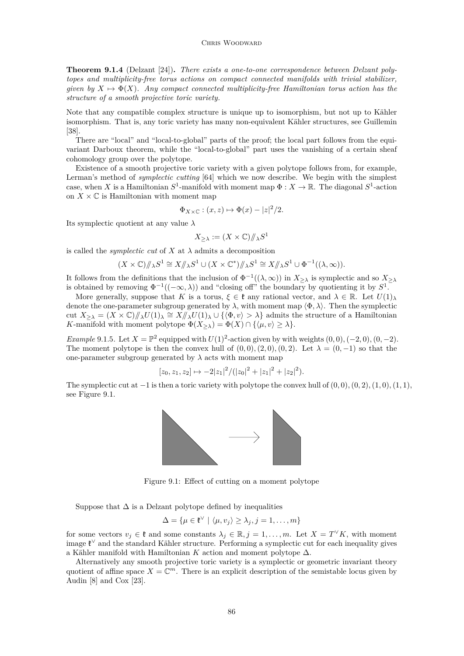**Theorem 9.1.4** (Delzant [\[24\]](#page-42-0))**.** *There exists a one-to-one correspondence between Delzant polytopes and multiplicity-free torus actions on compact connected manifolds with trivial stabilizer, given by*  $X \mapsto \Phi(X)$ *. Any compact connected multiplicity-free Hamiltonian torus action has the structure of a smooth projective toric variety.*

Note that any compatible complex structure is unique up to isomorphism, but not up to Kähler isomorphism. That is, any toric variety has many non-equivalent Kähler structures, see Guillemin [\[38\]](#page-42-0).

There are "local" and "local-to-global" parts of the proof; the local part follows from the equivariant Darboux theorem, while the "local-to-global" part uses the vanishing of a certain sheaf cohomology group over the polytope.

Existence of a smooth projective toric variety with a given polytope follows from, for example, Lerman's method of *symplectic cutting* [\[64\]](#page-43-0) which we now describe. We begin with the simplest case, when *X* is a Hamiltonian  $S^1$ -manifold with moment map  $\Phi: X \to \mathbb{R}$ . The diagonal  $S^1$ -action on  $X \times \mathbb{C}$  is Hamiltonian with moment map

$$
\Phi_{X\times\mathbb{C}}:(x,z)\mapsto \Phi(x)-|z|^2/2.
$$

Its symplectic quotient at any value *λ*

$$
X_{\geq \lambda} := (X \times \mathbb{C}) / \! /_{\lambda} S^1
$$

is called the *symplectic cut* of  $X$  at  $\lambda$  admits a decomposition

$$
(X\times\mathbb{C})/\!\!/_\lambda S^1\cong X/\!\!/_\lambda S^1\cup (X\times\mathbb{C}^*)/\!\!/_\lambda S^1\cong X/\!\!/_\lambda S^1\cup \Phi^{-1}((\lambda,\infty)).
$$

It follows from the definitions that the inclusion of  $\Phi^{-1}((\lambda,\infty))$  in  $X_{\geq \lambda}$  is symplectic and so  $X_{\geq \lambda}$ is obtained by removing  $\Phi^{-1}((-\infty,\lambda))$  and "closing off" the boundary by quotienting it by  $S^1$ .

More generally, suppose that *K* is a torus,  $\xi \in \mathfrak{k}$  any rational vector, and  $\lambda \in \mathbb{R}$ . Let  $U(1)_{\lambda}$ denote the one-parameter subgroup generated by  $\lambda$ , with moment map  $\langle \Phi, \lambda \rangle$ . Then the symplectic cut  $X_{\geq \lambda} = (X \times \mathbb{C})/\lambda \lambda U(1)$ <sub>*λ*</sub>  $\cong X/\lambda \lambda U(1)$ <sub>*λ*</sub>  $\cup$  { $\langle \Phi, v \rangle > \lambda$ } admits the structure of a Hamiltonian *K*-manifold with moment polytope  $\Phi(X_{\geq \lambda}) = \Phi(X) \cap \{\langle \mu, v \rangle \geq \lambda\}.$ 

*Example* 9.1.5*.* Let  $X = \mathbb{P}^2$  equipped with  $U(1)^2$ -action given by with weights  $(0,0), (-2,0), (0,-2)$ . The moment polytope is then the convex hull of  $(0,0), (2,0), (0,2)$ . Let  $\lambda = (0,-1)$  so that the one-parameter subgroup generated by  $\lambda$  acts with moment map

$$
[z_0, z_1, z_2] \mapsto -2|z_1|^2/(|z_0|^2 + |z_1|^2 + |z_2|^2).
$$

The symplectic cut at  $-1$  is then a toric variety with polytope the convex hull of  $(0,0), (0,2), (1,0), (1,1),$ see Figure 9.1.



Figure 9.1: Effect of cutting on a moment polytope

Suppose that  $\Delta$  is a Delzant polytope defined by inequalities

$$
\Delta = \{ \mu \in \mathfrak{k}^{\vee} \mid \langle \mu, v_j \rangle \ge \lambda_j, j = 1, \dots, m \}
$$

for some vectors  $v_j \in \mathfrak{k}$  and some constants  $\lambda_j \in \mathbb{R}, j = 1, \ldots, m$ . Let  $X = T^{\vee}K$ , with moment image  $\mathfrak{k}^{\vee}$  and the standard Kähler structure. Performing a symplectic cut for each inequality gives a Kähler manifold with Hamiltonian *K* action and moment polytope ∆.

Alternatively any smooth projective toric variety is a symplectic or geometric invariant theory quotient of affine space  $X = \mathbb{C}^m$ . There is an explicit description of the semistable locus given by Audin [\[8\]](#page-41-0) and Cox [\[23\]](#page-42-0).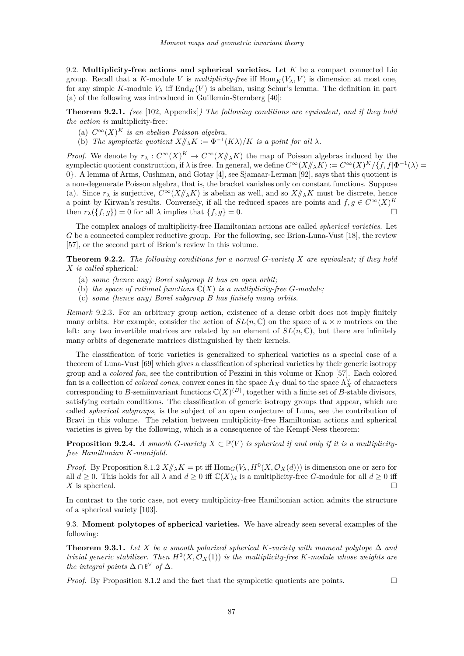9.2. **Multiplicity-free actions and spherical varieties.** Let *K* be a compact connected Lie group. Recall that a *K*-module *V* is *multiplicity-free* iff  $\text{Hom}_K(V_\lambda, V)$  is dimension at most one, for any simple K-module  $V_{\lambda}$  iff  $\text{End}_K(V)$  is abelian, using Schur's lemma. The definition in part (a) of the following was introduced in Guillemin-Sternberg [\[40\]](#page-42-0):

**Theorem 9.2.1.** *(see* [\[102,](#page-44-0) Appendix]*) The following conditions are equivalent, and if they hold the action is* multiplicity-free*:*

- (a)  $C^{\infty}(X)^K$  *is an abelian Poisson algebra.*
- (b) *The symplectic quotient*  $X/\!\!/_{\lambda} K := \Phi^{-1}(K\lambda)/K$  *is a point for all*  $\lambda$ *.*

*Proof.* We denote by  $r_{\lambda}: C^{\infty}(X)^K \to C^{\infty}(X/\!\!/_{\lambda} K)$  the map of Poisson algebras induced by the symplectic quotient construction, if  $\lambda$  is free. In general, we define  $C^{\infty}(X/\!\!/_{\lambda}K) := C^{\infty}(X)^K/\{f, f | \Phi^{-1}(\lambda) =$ 0}. A lemma of Arms, Cushman, and Gotay [\[4\]](#page-41-0), see Sjamaar-Lerman [\[92\]](#page-44-0), says that this quotient is a non-degenerate Poisson algebra, that is, the bracket vanishes only on constant functions. Suppose (a). Since  $r_{\lambda}$  is surjective,  $C^{\infty}(X/\!\!/_{\lambda}K)$  is abelian as well, and so  $X/\!\!/_{\lambda}K$  must be discrete, hence a point by Kirwan's results. Conversely, if all the reduced spaces are points and  $f, g \in C^{\infty}(X)^K$ then  $r_{\lambda}(\lbrace f,g \rbrace) = 0$  for all  $\lambda$  implies that  $\lbrace f,g \rbrace = 0$ .

The complex analogs of multiplicity-free Hamiltonian actions are called *spherical varieties*. Let *G* be a connected complex reductive group. For the following, see Brion-Luna-Vust [\[18\]](#page-41-0), the review [\[57\]](#page-43-0), or the second part of Brion's review in this volume.

**Theorem 9.2.2.** *The following conditions for a normal G-variety X are equivalent; if they hold X is called* spherical*:*

- (a) *some (hence any) Borel subgroup B has an open orbit;*
- (b) the space of rational functions  $\mathbb{C}(X)$  is a multiplicity-free *G*-module;
- (c) *some (hence any) Borel subgroup B has finitely many orbits.*

*Remark* 9.2.3*.* For an arbitrary group action, existence of a dense orbit does not imply finitely many orbits. For example, consider the action of  $SL(n, \mathbb{C})$  on the space of  $n \times n$  matrices on the left: any two invertible matrices are related by an element of  $SL(n, \mathbb{C})$ , but there are infinitely many orbits of degenerate matrices distinguished by their kernels.

The classification of toric varieties is generalized to spherical varieties as a special case of a theorem of Luna-Vust [\[69\]](#page-43-0) which gives a classification of spherical varieties by their generic isotropy group and a *colored fan*, see the contribution of Pezzini in this volume or Knop [\[57\]](#page-43-0). Each colored fan is a collection of *colored cones*, convex cones in the space  $\Lambda_X$  dual to the space  $\Lambda_X^{\vee}$  of characters corresponding to *B*-semiinvariant functions  $\mathbb{C}(X)^{(B)}$ , together with a finite set of *B*-stable divisors, satisfying certain conditions. The classification of generic isotropy groups that appear, which are called *spherical subgroups*, is the subject of an open conjecture of Luna, see the contribution of Bravi in this volume. The relation between multiplicity-free Hamiltonian actions and spherical varieties is given by the following, which is a consequence of the Kempf-Ness theorem:

**Proposition 9.2.4.** *A smooth G*-variety  $X \subset \mathbb{P}(V)$  *is spherical if and only if it is a multiplicityfree Hamiltonian K-manifold.*

*Proof.* By Proposition [8.1.2](#page-29-0)  $X/\!\!/_{\lambda} K =$  pt iff  $\text{Hom}_G(V_{\lambda}, H^0(X, \mathcal{O}_X(d)))$  is dimension one or zero for all  $d \geq 0$ . This holds for all  $\lambda$  and  $d \geq 0$  iff  $\mathbb{C}(X)_d$  is a multiplicity-free *G*-module for all  $d \geq 0$  iff *X* is spherical.

In contrast to the toric case, not every multiplicity-free Hamiltonian action admits the structure of a spherical variety [\[103\]](#page-44-0).

9.3. **Moment polytopes of spherical varieties.** We have already seen several examples of the following:

**Theorem 9.3.1.** *Let*  $X$  *be a smooth polarized spherical*  $K$ *-variety with moment polytope*  $\Delta$  *and trivial generic stabilizer. Then*  $H^0(X, \mathcal{O}_X(1))$  *is the multiplicity-free K-module whose weights are the integral points*  $\Delta \cap \mathfrak{k}^{\vee}$  *of*  $\Delta$ *.* 

*Proof.* By Proposition [8.1.2](#page-29-0) and the fact that the symplectic quotients are points.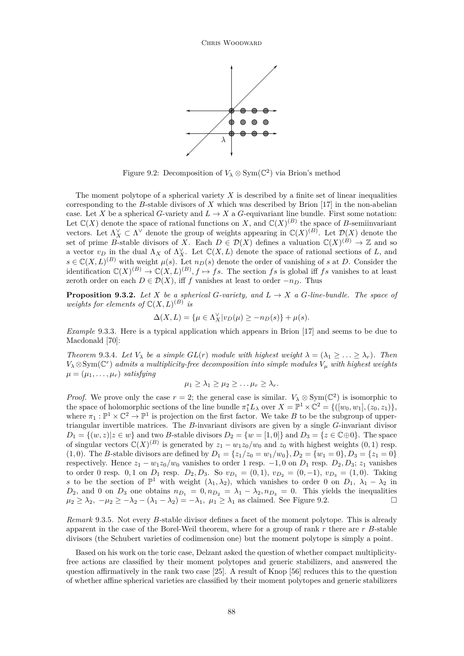

Figure 9.2: Decomposition of  $V_{\lambda} \otimes \text{Sym}(\mathbb{C}^2)$  via Brion's method

The moment polytope of a spherical variety *X* is described by a finite set of linear inequalities corresponding to the *B*-stable divisors of *X* which was described by Brion [\[17\]](#page-41-0) in the non-abelian case. Let *X* be a spherical *G*-variety and  $L \to X$  a *G*-equivariant line bundle. First some notation: Let  $\mathbb{C}(X)$  denote the space of rational functions on *X*, and  $\mathbb{C}(X)^{(B)}$  the space of *B*-semiinvariant vectors. Let  $\Lambda_X^{\vee} \subset \Lambda^{\vee}$  denote the group of weights appearing in  $\mathbb{C}(X)^{(B)}$ . Let  $\mathcal{D}(X)$  denote the set of prime *B*-stable divisors of *X*. Each  $D \in \mathcal{D}(X)$  defines a valuation  $\mathbb{C}(X)^{(B)} \to \mathbb{Z}$  and so a vector  $v_D$  in the dual  $\Lambda_X$  of  $\Lambda_X^{\vee}$ . Let  $\mathbb{C}(X, L)$  denote the space of rational sections of *L*, and  $s \in \mathbb{C}(X, L)^{(B)}$  with weight  $\mu(s)$ . Let  $n_D(s)$  denote the order of vanishing of *s* at *D*. Consider the identification  $\mathbb{C}(X)^{(B)} \to \mathbb{C}(X, L)^{(B)}$ ,  $f \mapsto fs$ . The section *fs* is global iff *fs* vanishes to at least zeroth order on each  $D \in \mathcal{D}(X)$ , iff *f* vanishes at least to order  $-n_D$ . Thus

**Proposition 9.3.2.** *Let X be a spherical G-variety, and*  $L \rightarrow X$  *a G-line-bundle. The space of weights for elements of*  $\mathbb{C}(X, L)^{(B)}$  *is* 

$$
\Delta(X, L) = \{ \mu \in \Lambda_X^{\vee} | v_D(\mu) \ge -n_D(s) \} + \mu(s).
$$

*Example* 9.3.3*.* Here is a typical application which appears in Brion [\[17\]](#page-41-0) and seems to be due to Macdonald [\[70\]](#page-43-0):

*Theorem* 9.3.4*. Let*  $V_{\lambda}$  *be a simple*  $GL(r)$  *module with highest weight*  $\lambda = (\lambda_1 \geq \ldots \geq \lambda_r)$ *. Then*  $V_\lambda \otimes \text{Sym}(\mathbb{C}^r)$  *admits a multiplicity-free decomposition into simple modules*  $V_\mu$  *with highest weights*  $\mu = (\mu_1, \ldots, \mu_r)$  *satisfying* 

$$
\mu_1 \geq \lambda_1 \geq \mu_2 \geq \ldots \mu_r \geq \lambda_r.
$$

*Proof.* We prove only the case  $r = 2$ ; the general case is similar.  $V_{\lambda} \otimes Sym(\mathbb{C}^2)$  is isomorphic to the space of holomorphic sections of the line bundle  $\pi_1^* L_\lambda$  over  $X = \mathbb{P}^1 \times \mathbb{C}^2 = \{([w_0, w_1], (z_0, z_1)\},\$ where  $\pi_1 : \mathbb{P}^1 \times \mathbb{C}^2 \to \mathbb{P}^1$  is projection on the first factor. We take *B* to be the subgroup of uppertriangular invertible matrices. The *B*-invariant divisors are given by a single *G*-invariant divisor  $D_1 = \{(w, z) | z \in w\}$  and two *B*-stable divisors  $D_2 = \{w = [1, 0]\}$  and  $D_3 = \{z \in \mathbb{C} \oplus 0\}$ . The space of singular vectors  $\mathbb{C}(X)^{(B)}$  is generated by  $z_1 - w_1z_0/w_0$  and  $z_0$  with highest weights  $(0,1)$  resp. (1,0). The *B*-stable divisors are defined by  $D_1 = \{z_1/z_0 = w_1/w_0\}$ ,  $D_2 = \{w_1 = 0\}$ ,  $D_3 = \{z_1 = 0\}$ respectively. Hence  $z_1 - w_1 z_0/w_0$  vanishes to order 1 resp.  $-1, 0$  on  $D_1$  resp.  $D_2, D_3$ ;  $z_1$  vanishes to order 0 resp. 0, 1 on  $D_1$  resp.  $D_2, D_3$ . So  $v_{D_1} = (0, 1), v_{D_2} = (0, -1), v_{D_3} = (1, 0)$ . Taking *s* to be the section of  $\mathbb{P}^1$  with weight  $(\lambda_1, \lambda_2)$ , which vanishes to order 0 on *D*<sub>1</sub>,  $\lambda_1 - \lambda_2$  in *D*<sub>2</sub>, and 0 on *D*<sub>3</sub> one obtains  $n_{D_1} = 0, n_{D_2} = \lambda_1 - \lambda_2, n_{D_3} = 0$ . This yields the inequalities  $\mu_2 \geq \lambda_2$ ,  $-\mu_2 \geq -\lambda_2 - (\lambda_1 - \lambda_2) = -\lambda_1$ ,  $\mu_1 \geq \lambda_1$  as claimed. See Figure 9.2.

*Remark* 9.3.5*.* Not every *B*-stable divisor defines a facet of the moment polytope. This is already apparent in the case of the Borel-Weil theorem, where for a group of rank *r* there are *r B*-stable divisors (the Schubert varieties of codimension one) but the moment polytope is simply a point.

Based on his work on the toric case, Delzant asked the question of whether compact multiplicityfree actions are classified by their moment polytopes and generic stabilizers, and answered the question affirmatively in the rank two case [\[25\]](#page-42-0). A result of Knop [\[56\]](#page-43-0) reduces this to the question of whether affine spherical varieties are classified by their moment polytopes and generic stabilizers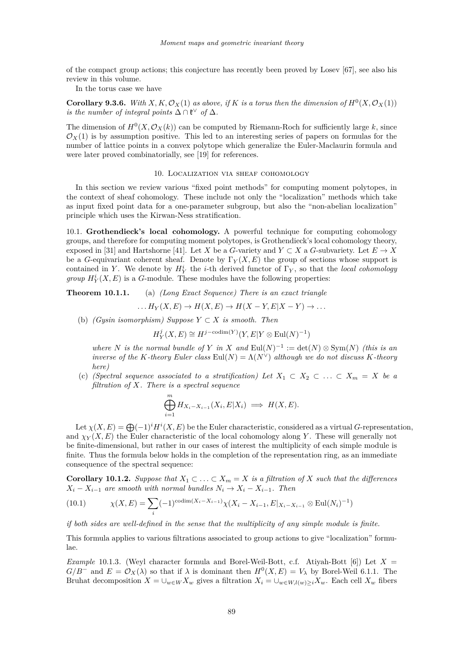<span id="page-35-0"></span>of the compact group actions; this conjecture has recently been proved by Losev [\[67\]](#page-43-0), see also his review in this volume.

In the torus case we have

**Corollary 9.3.6.** *With*  $X, K, \mathcal{O}_X(1)$  *as above, if*  $K$  *is a torus then the dimension of*  $H^0(X, \mathcal{O}_X(1))$ *is the number of integral points*  $\Delta \cap \mathfrak{k}^{\vee}$  *of*  $\Delta$ *.* 

The dimension of  $H^0(X, \mathcal{O}_X(k))$  can be computed by Riemann-Roch for sufficiently large k, since  $\mathcal{O}_X(1)$  is by assumption positive. This led to an interesting series of papers on formulas for the number of lattice points in a convex polytope which generalize the Euler-Maclaurin formula and were later proved combinatorially, see [\[19\]](#page-41-0) for references.

#### 10. Localization via sheaf cohomology

In this section we review various "fixed point methods" for computing moment polytopes, in the context of sheaf cohomology. These include not only the "localization" methods which take as input fixed point data for a one-parameter subgroup, but also the "non-abelian localization" principle which uses the Kirwan-Ness stratification.

10.1. **Grothendieck's local cohomology.** A powerful technique for computing cohomology groups, and therefore for computing moment polytopes, is Grothendieck's local cohomology theory, exposed in [\[31\]](#page-42-0) and Hartshorne [\[41\]](#page-42-0). Let *X* be a *G*-variety and  $Y \subset X$  a *G*-subvariety. Let  $E \to X$ be a *G*-equivariant coherent sheaf. Denote by  $\Gamma_Y(X, E)$  the group of sections whose support is contained in *Y*. We denote by  $H_Y^i$  the *i*-th derived functor of  $\Gamma_Y$ , so that the *local cohomology group*  $H_Y^i(X, E)$  is a *G*-module. These modules have the following properties:

**Theorem 10.1.1.** (a) *(Long Exact Sequence) There is an exact triangle*

$$
\dots H_Y(X, E) \to H(X, E) \to H(X - Y, E|X - Y) \to \dots
$$

(b) *(Gysin isomorphism) Suppose Y* ⊂ *X is smooth. Then*

$$
H^j_Y(X,E) \cong H^{j-\mathrm{codim}(Y)}(Y,E|Y \otimes \mathrm{Eul}(N)^{-1})
$$

*where N is the normal bundle of Y in X* and  $\text{Eul}(N)^{-1} := \text{det}(N) \otimes \text{Sym}(N)$  *(this is an*) *inverse of the K*-theory Euler class Eul( $N$ ) =  $\Lambda(N^{\vee})$  *although we do not discuss K*-theory *here)*

(c) *(Spectral sequence associated to a stratification) Let*  $X_1 \subset X_2 \subset \ldots \subset X_m = X$  be a *filtration of X. There is a spectral sequence*

$$
\bigoplus_{i=1}^{m} H_{X_i - X_{i-1}}(X_i, E|X_i) \implies H(X, E).
$$

Let  $\chi(X, E) = \bigoplus (-1)^i H^i(X, E)$  be the Euler characteristic, considered as a virtual *G*-representation, and  $\chi_Y(X, E)$  the Euler characteristic of the local cohomology along *Y*. These will generally not be finite-dimensional, but rather in our cases of interest the multiplicity of each simple module is finite. Thus the formula below holds in the completion of the representation ring, as an immediate consequence of the spectral sequence:

**Corollary 10.1.2.** *Suppose that*  $X_1$  ⊂  $\ldots$  ⊂  $X_m = X$  *is a filtration of*  $X$  *such that the differences*  $X_i - X_{i-1}$  *are smooth with normal bundles*  $N_i \rightarrow X_i - X_{i-1}$ *. Then* 

(10.1) 
$$
\chi(X, E) = \sum_{i} (-1)^{\text{codim}(X_i - X_{i-1})} \chi(X_i - X_{i-1}, E |_{X_i - X_{i-1}} \otimes \text{Eul}(N_i)^{-1})
$$

*if both sides are well-defined in the sense that the multiplicity of any simple module is finite.*

This formula applies to various filtrations associated to group actions to give "localization" formulae.

*Example* 10.1.3. (Weyl character formula and Borel-Weil-Bott, c.f. Ativah-Bott [\[6\]](#page-41-0)) Let  $X =$  $G/B^-$  and  $E = \mathcal{O}_X(\lambda)$  so that if  $\lambda$  is dominant then  $H^0(X, E) = V_\lambda$  by Borel-Weil [6.1.1.](#page-20-0) The Bruhat decomposition  $X = \bigcup_{w \in W} X_w$  gives a filtration  $X_i = \bigcup_{w \in W, l(w) > i} X_w$ . Each cell  $X_w$  fibers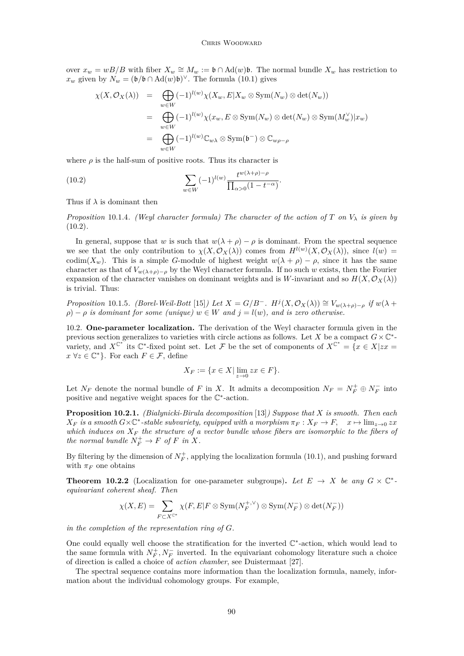#### CHRIS WOODWARD

over  $x_w = wB/B$  with fiber  $X_w \cong M_w := \mathfrak{b} \cap \text{Ad}(w)\mathfrak{b}$ . The normal bundle  $X_w$  has restriction to *x*<sup>*w*</sup> given by  $N_w = (\mathfrak{b}/\mathfrak{b} \cap \mathrm{Ad}(w)\mathfrak{b})^{\vee}$ . The formula [\(10.1\)](#page-35-0) gives

$$
\chi(X, \mathcal{O}_X(\lambda)) = \bigoplus_{w \in W} (-1)^{l(w)} \chi(X_w, E | X_w \otimes \text{Sym}(N_w) \otimes \det(N_w))
$$
  
\n
$$
= \bigoplus_{w \in W} (-1)^{l(w)} \chi(x_w, E \otimes \text{Sym}(N_w) \otimes \det(N_w) \otimes \text{Sym}(M_w^{\vee}) | x_w)
$$
  
\n
$$
= \bigoplus_{w \in W} (-1)^{l(w)} \mathbb{C}_{w\lambda} \otimes \text{Sym}(\mathfrak{b}^{-}) \otimes \mathbb{C}_{w\rho-\rho}
$$

where  $\rho$  is the half-sum of positive roots. Thus its character is

(10.2) 
$$
\sum_{w \in W} (-1)^{l(w)} \frac{t^{w(\lambda + \rho) - \rho}}{\prod_{\alpha > 0} (1 - t^{-\alpha})}.
$$

Thus if *λ* is dominant then

*Proposition* 10.1.4*. (Weyl character formula) The character of the action of*  $T$  *on*  $V_{\lambda}$  *is given by* (10.2)*.*

In general, suppose that *w* is such that  $w(\lambda + \rho) - \rho$  is dominant. From the spectral sequence we see that the only contribution to  $\chi(X, \mathcal{O}_X(\lambda))$  comes from  $H^{l(w)}(X, \mathcal{O}_X(\lambda))$ , since  $l(w)$  = codim( $X_w$ ). This is a simple *G*-module of highest weight  $w(\lambda + \rho) - \rho$ , since it has the same character as that of  $V_{w(\lambda+\rho)-\rho}$  by the Weyl character formula. If no such *w* exists, then the Fourier expansion of the character vanishes on dominant weights and is *W*-invariant and so  $H(X, \mathcal{O}_X(\lambda))$ is trivial. Thus:

Proposition 10.1.5. (Borel-Weil-Bott [\[15\]](#page-41-0)) Let  $X = G/B^-$ .  $H^j(X, \mathcal{O}_X(\lambda)) \cong V_{w(\lambda+\rho)-\rho}$  if  $w(\lambda+\rho)$  $\rho$ ) −  $\rho$  *is dominant for some (unique)*  $w \in W$  *and*  $j = l(w)$ *, and is zero otherwise.* 

10.2. **One-parameter localization.** The derivation of the Weyl character formula given in the previous section generalizes to varieties with circle actions as follows. Let *X* be a compact  $G \times \mathbb{C}^*$ variety, and  $X^{C^*}$  its  $C^*$ -fixed point set. Let F be the set of components of  $X^{C^*} = \{x \in X | zx = \}$  $x \forall z \in \mathbb{C}^*$ . For each  $F \in \mathcal{F}$ , define

$$
X_F := \{ x \in X \mid \lim_{z \to 0} zx \in F \}.
$$

Let  $N_F$  denote the normal bundle of *F* in *X*. It admits a decomposition  $N_F = N_F^+ \oplus N_F^-$  into positive and negative weight spaces for the  $\mathbb{C}^*$ -action.

**Proposition 10.2.1.** *(Bialynicki-Birula decomposition* [\[13\]](#page-41-0)*) Suppose that X is smooth. Then each*  $X_F$  *is a smooth*  $G \times \mathbb{C}^*$ -stable subvariety, equipped with a morphism  $\pi_F : X_F \to F$ ,  $x \mapsto \lim_{z \to 0} zx$ *which induces on X<sup>F</sup> the structure of a vector bundle whose fibers are isomorphic to the fibers of the normal bundle*  $N_F^+ \to F$  *of*  $F$  *in*  $X$ *.* 

By filtering by the dimension of  $N_F^+$ , applying the localization formula [\(10.1\)](#page-35-0), and pushing forward with  $\pi_F$  one obtains

**Theorem 10.2.2** (Localization for one-parameter subgroups). Let  $E \rightarrow X$  be any  $G \times \mathbb{C}^*$ *equivariant coherent sheaf. Then*

$$
\chi(X,E) = \sum_{F \subset X^{C^*}} \chi(F,E|F \otimes \mathrm{Sym}(N_F^{+,\vee}) \otimes \mathrm{Sym}(N_F^-) \otimes \det(N_F^-))
$$

*in the completion of the representation ring of G.*

One could equally well choose the stratification for the inverted  $\mathbb{C}^*$ -action, which would lead to the same formula with  $N_F^+$ ,  $N_F^-$  inverted. In the equivariant cohomology literature such a choice of direction is called a choice of *action chamber*, see Duistermaat [\[27\]](#page-42-0).

The spectral sequence contains more information than the localization formula, namely, information about the individual cohomology groups. For example,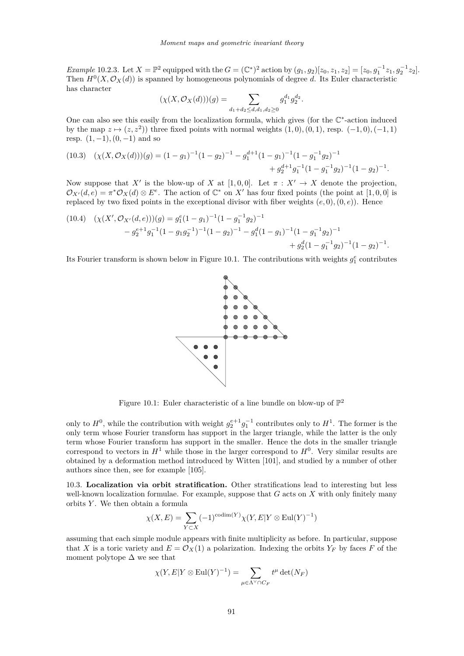*Example* 10.2.3. Let  $X = \mathbb{P}^2$  equipped with the  $G = (\mathbb{C}^*)^2$  action by  $(g_1, g_2)[z_0, z_1, z_2] = [z_0, g_1^{-1}z_1, g_2^{-1}z_2].$ Then  $H^0(X, \mathcal{O}_X(d))$  is spanned by homogeneous polynomials of degree *d*. Its Euler characteristic has character

$$
(\chi(X,\mathcal O_X(d)))(g)=\sum_{d_1+d_2\le d,d_1,d_2\ge 0}g_1^{d_1}g_2^{d_2}.
$$

One can also see this easily from the localization formula, which gives (for the  $\mathbb{C}^*$ -action induced by the map  $z \mapsto (z, z^2)$  three fixed points with normal weights  $(1, 0), (0, 1)$ , resp.  $(-1, 0), (-1, 1)$ resp. (1*,* −1)*,*(0*,* −1) and so

$$
(10.3) \quad (\chi(X, \mathcal{O}_X(d)))(g) = (1 - g_1)^{-1}(1 - g_2)^{-1} - g_1^{d+1}(1 - g_1)^{-1}(1 - g_1^{-1}g_2)^{-1} + g_2^{d+1}g_1^{-1}(1 - g_1^{-1}g_2)^{-1}(1 - g_2)^{-1}.
$$

Now suppose that *X'* is the blow-up of *X* at [1,0,0]. Let  $\pi : X' \to X$  denote the projection,  $\mathcal{O}_{X'}(d,e) = \pi^* \mathcal{O}_X(d) \otimes E^e$ . The action of  $\mathbb{C}^*$  on X' has four fixed points (the point at [1,0,0] is replaced by two fixed points in the exceptional divisor with fiber weights  $(e, 0), (0, e)$ . Hence

$$
(10.4) \quad (\chi(X', \mathcal{O}_{X'}(d, e))) (g) = g_1^e (1 - g_1)^{-1} (1 - g_1^{-1} g_2)^{-1}
$$
  

$$
- g_2^{e+1} g_1^{-1} (1 - g_1 g_2^{-1})^{-1} (1 - g_2)^{-1} - g_1^d (1 - g_1)^{-1} (1 - g_1^{-1} g_2)^{-1}
$$
  

$$
+ g_2^d (1 - g_1^{-1} g_2)^{-1} (1 - g_2)^{-1}.
$$

Its Fourier transform is shown below in Figure 10.1. The contributions with weights  $g_1^e$  contributes



Figure 10.1: Euler characteristic of a line bundle on blow-up of  $\mathbb{P}^2$ 

only to  $H^0$ , while the contribution with weight  $g_2^{e+1}g_1^{-1}$  contributes only to  $H^1$ . The former is the only term whose Fourier transform has support in the larger triangle, while the latter is the only term whose Fourier transform has support in the smaller. Hence the dots in the smaller triangle correspond to vectors in  $H^1$  while those in the larger correspond to  $H^0$ . Very similar results are obtained by a deformation method introduced by Witten [\[101\]](#page-44-0), and studied by a number of other authors since then, see for example [\[105\]](#page-44-0).

10.3. **Localization via orbit stratification.** Other stratifications lead to interesting but less well-known localization formulae. For example, suppose that *G* acts on *X* with only finitely many orbits *Y* . We then obtain a formula

$$
\chi(X, E) = \sum_{Y \subset X} (-1)^{\operatorname{codim}(Y)} \chi(Y, E | Y \otimes \operatorname{Eul}(Y)^{-1})
$$

assuming that each simple module appears with finite multiplicity as before. In particular, suppose that *X* is a toric variety and  $E = \mathcal{O}_X(1)$  a polarization. Indexing the orbits  $Y_F$  by faces *F* of the moment polytope  $\Delta$  we see that

$$
\chi(Y, E|Y \otimes \text{Eul}(Y)^{-1}) = \sum_{\mu \in \Lambda^{\vee} \cap C_F} t^{\mu} \det(N_F)
$$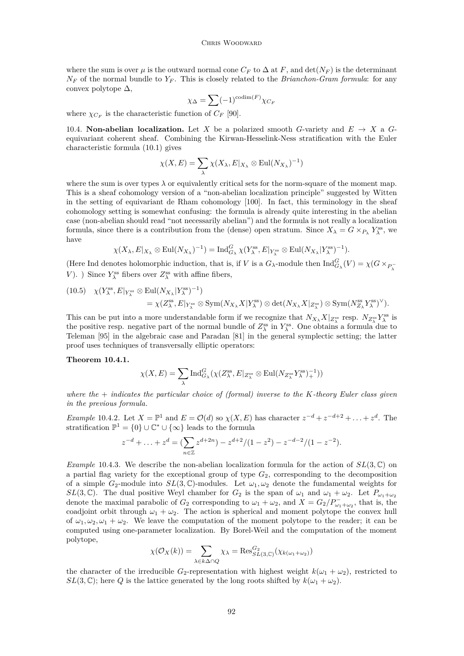<span id="page-38-0"></span>where the sum is over  $\mu$  is the outward normal cone  $C_F$  to  $\Delta$  at F, and  $\det(N_F)$  is the determinant  $N_F$  of the normal bundle to  $Y_F$ . This is closely related to the *Brianchon-Gram formula*: for any convex polytope  $\Delta$ ,

$$
\chi_{\Delta} = \sum (-1)^{\operatorname{codim}(F)} \chi_{C_F}
$$

where  $\chi_{C_F}$  is the characteristic function of  $C_F$  [\[90\]](#page-43-0).

10.4. **Non-abelian localization.** Let X be a polarized smooth G-variety and  $E \rightarrow X$  a Gequivariant coherent sheaf. Combining the Kirwan-Hesselink-Ness stratification with the Euler characteristic formula [\(10.1\)](#page-35-0) gives

$$
\chi(X, E) = \sum_{\lambda} \chi(X_{\lambda}, E|_{X_{\lambda}} \otimes \text{Eul}(N_{X_{\lambda}})^{-1})
$$

where the sum is over types  $\lambda$  or equivalently critical sets for the norm-square of the moment map. This is a sheaf cohomology version of a "non-abelian localization principle" suggested by Witten in the setting of equivariant de Rham cohomology [\[100\]](#page-44-0). In fact, this terminology in the sheaf cohomology setting is somewhat confusing: the formula is already quite interesting in the abelian case (non-abelian should read "not necessarily abelian") and the formula is not really a localization formula, since there is a contribution from the (dense) open stratum. Since  $X_{\lambda} = G \times_{P_{\lambda}} Y_{\lambda}^{\text{ss}}$ , we have

$$
\chi(X_{\lambda}, E|_{X_{\lambda}} \otimes \text{Eul}(N_{X_{\lambda}})^{-1}) = \text{Ind}_{G_{\lambda}}^G \chi(Y_{\lambda}^{\text{ss}}, E|_{Y_{\lambda}^{\text{ss}}} \otimes \text{Eul}(N_{X_{\lambda}}|Y_{\lambda}^{\text{ss}})^{-1}).
$$

(Here Ind denotes holomorphic induction, that is, if *V* is a  $G_{\lambda}$ -module then  $\text{Ind}_{G_{\lambda}}^{G}(V) = \chi(G \times_{P_{\lambda}^{-}})$ *V*). ) Since  $Y_\lambda^{\text{ss}}$  fibers over  $Z_\lambda^{\text{ss}}$  with affine fibers,

(10.5) 
$$
\chi(Y_{\lambda}^{\text{ss}}, E|_{Y_{\lambda}^{\text{ss}}}\otimes \text{Eul}(N_{X_{\lambda}}|Y_{\lambda}^{\text{ss}})^{-1}) = \chi(Z_{\lambda}^{\text{ss}}, E|_{Y_{\lambda}^{\text{ss}}}\otimes \text{Sym}(N_{X_{\lambda}}X|Y_{\lambda}^{\text{ss}})\otimes \text{det}(N_{X_{\lambda}}X|_{Z_{\lambda}^{\text{ss}}})\otimes \text{Sym}(N_{Z_{\lambda}}^{\text{ss}}Y_{\lambda}^{\text{ss}})^{\vee}).
$$

This can be put into a more understandable form if we recognize that  $N_{X_\lambda} X|_{Z_\lambda^{\text{ss}}}$  resp.  $N_{Z_\lambda^{\text{ss}}} Y_\lambda^{\text{ss}}$  is the positive resp. negative part of the normal bundle of  $Z_\lambda^{\text{ss}}$  in  $Y_\lambda^{\text{ss}}$ . One obtains a formula due to Teleman [\[95\]](#page-44-0) in the algebraic case and Paradan [\[81\]](#page-43-0) in the general symplectic setting; the latter proof uses techniques of transversally elliptic operators:

#### **Theorem 10.4.1.**

$$
\chi(X, E) = \sum_{\lambda} \mathrm{Ind}_{G_{\lambda}}^{G} (\chi(Z_{\lambda}^{\mathrm{ss}}, E|_{Z_{\lambda}^{\mathrm{ss}}} \otimes \mathrm{Eul}(N_{Z_{\lambda}^{\mathrm{ss}}} Y_{\lambda}^{\mathrm{ss}})^{-1}))
$$

*where the* + *indicates the particular choice of (formal) inverse to the K-theory Euler class given in the previous formula.*

*Example* 10.4.2*.* Let  $X = \mathbb{P}^1$  and  $E = \mathcal{O}(d)$  so  $\chi(X, E)$  has character  $z^{-d} + z^{-d+2} + \ldots + z^d$ . The stratification  $\mathbb{P}^1 = \{0\} \cup \mathbb{C}^* \cup \{\infty\}$  leads to the formula

$$
z^{-d} + \ldots + z^d = \left(\sum_{n \in \mathbb{Z}} z^{d+2n}\right) - z^{d+2}/(1-z^2) - z^{-d-2}/(1-z^{-2}).
$$

*Example* 10.4.3*.* We describe the non-abelian localization formula for the action of *SL*(3*,* C) on a partial flag variety for the exceptional group of type *G*2, corresponding to the decomposition of a simple  $G_2$ -module into  $SL(3,\mathbb{C})$ -modules. Let  $\omega_1,\omega_2$  denote the fundamental weights for *SL*(3, C). The dual positive Weyl chamber for  $G_2$  is the span of  $\omega_1$  and  $\omega_1 + \omega_2$ . Let  $P_{\omega_1+\omega_2}$ denote the maximal parabolic of  $G_2$  corresponding to  $\omega_1 + \omega_2$ , and  $X = G_2/P_{\omega_1+\omega_2}^-$ , that is, the coadjoint orbit through  $\omega_1 + \omega_2$ . The action is spherical and moment polytope the convex hull of  $\omega_1, \omega_2, \omega_1 + \omega_2$ . We leave the computation of the moment polytope to the reader; it can be computed using one-parameter localization. By Borel-Weil and the computation of the moment polytope,

$$
\chi(\mathcal{O}_X(k)) = \sum_{\lambda \in k\Delta \cap Q} \chi_{\lambda} = \text{Res}_{SL(3,\mathbb{C})}^{G_2}(\chi_{k(\omega_1 + \omega_2)})
$$

the character of the irreducible  $G_2$ -representation with highest weight  $k(\omega_1 + \omega_2)$ , restricted to *SL*(3,  $\mathbb{C}$ ); here *Q* is the lattice generated by the long roots shifted by  $k(\omega_1 + \omega_2)$ .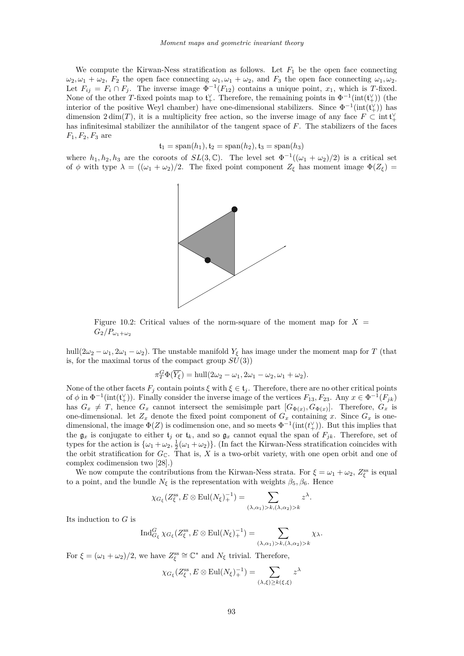We compute the Kirwan-Ness stratification as follows. Let  $F_1$  be the open face connecting  $\omega_2, \omega_1 + \omega_2$ ,  $F_2$  the open face connecting  $\omega_1, \omega_1 + \omega_2$ , and  $F_3$  the open face connecting  $\omega_1, \omega_2$ . Let  $F_{ij} = F_i \cap F_j$ . The inverse image  $\Phi^{-1}(F_{12})$  contains a unique point,  $x_1$ , which is *T*-fixed. None of the other *T*-fixed points map to  $\mathfrak{t}^{\vee}_+$ . Therefore, the remaining points in  $\Phi^{-1}(\text{int}(\mathfrak{t}^{\vee}_+))$  (the interior of the positive Weyl chamber) have one-dimensional stabilizers. Since  $\Phi^{-1}(\text{int}(\mathfrak{t}^{\vee}_{+}))$  has dimension  $2 \dim(T)$ , it is a multiplicity free action, so the inverse image of any face  $F \subset \text{int } \mathfrak{t}^{\vee}_+$ has infinitesimal stabilizer the annihilator of the tangent space of *F*. The stabilizers of the faces  $F_1, F_2, F_3$  are

$$
\mathfrak{t}_1 = \mathrm{span}(h_1), \mathfrak{t}_2 = \mathrm{span}(h_2), \mathfrak{t}_3 = \mathrm{span}(h_3)
$$

where  $h_1, h_2, h_3$  are the coroots of  $SL(3, \mathbb{C})$ . The level set  $\Phi^{-1}((\omega_1 + \omega_2)/2)$  is a critical set of  $\phi$  with type  $\lambda = ((\omega_1 + \omega_2)/2$ . The fixed point component  $Z_{\xi}$  has moment image  $\Phi(Z_{\xi})$ 



Figure 10.2: Critical values of the norm-square of the moment map for  $X =$  $G_2/P_{\omega_1+\omega_2}$ 

hull( $2\omega_2 - \omega_1$ ,  $2\omega_1 - \omega_2$ ). The unstable manifold  $Y_\xi$  has image under the moment map for *T* (that is, for the maximal torus of the compact group  $SU(3)$ )

$$
\pi_T^G \Phi(\overline{Y_{\xi}}) = \text{hull}(2\omega_2 - \omega_1, 2\omega_1 - \omega_2, \omega_1 + \omega_2).
$$

None of the other facets  $F_i$  contain points  $\xi$  with  $\xi \in \mathfrak{t}_i$ . Therefore, there are no other critical points of  $\phi$  in  $\Phi^{-1}(\text{int}(\mathfrak{t}^{\vee}_{+}))$ . Finally consider the inverse image of the vertices  $F_{13}, F_{23}$ . Any  $x \in \Phi^{-1}(F_{jk})$ has  $G_x \neq T$ , hence  $G_x$  cannot intersect the semisimple part  $[G_{\Phi(x)}, G_{\Phi(x)}]$ . Therefore,  $G_x$  is one-dimensional. let  $Z_x$  denote the fixed point component of  $G_x$  containing *x*. Since  $G_x$  is onedimensional, the image  $\Phi(Z)$  is codimension one, and so meets  $\Phi^{-1}(\text{int}(t_+^{\vee}))$ . But this implies that the  $\mathfrak{g}_x$  is conjugate to either  $\mathfrak{t}_j$  or  $\mathfrak{t}_k$ , and so  $\mathfrak{g}_x$  cannot equal the span of  $F_{jk}$ . Therefore, set of types for the action is  $\{\omega_1+\omega_2, \frac{1}{2}(\omega_1+\omega_2)\}\$ . (In fact the Kirwan-Ness stratification coincides with the orbit stratification for  $G_{\mathbb{C}}$ . That is,  $\hat{X}$  is a two-orbit variety, with one open orbit and one of complex codimension two [\[28\]](#page-42-0).)

We now compute the contributions from the Kirwan-Ness strata. For  $\xi = \omega_1 + \omega_2$ ,  $Z_{\xi}^{\text{ss}}$  is equal to a point, and the bundle  $N_{\xi}$  is the representation with weights  $\beta_5, \beta_6$ . Hence

$$
\chi_{G_{\xi}}(Z_{\xi}^{\text{ss}}, E \otimes \text{Eul}(N_{\xi})_{+}^{-1}) = \sum_{(\lambda,\alpha_1) > k, (\lambda,\alpha_2) > k} z^{\lambda}.
$$

Its induction to *G* is

$$
\operatorname{Ind}_{G_{\xi}}^{G} \chi_{G_{\xi}}(Z_{\xi}^{\operatorname{ss}}, E \otimes \operatorname{Eul}(N_{\xi})_{+}^{-1}) = \sum_{(\lambda,\alpha_1) > k, (\lambda,\alpha_2) > k} \chi_{\lambda}.
$$

For  $\xi = (\omega_1 + \omega_2)/2$ , we have  $Z_{\xi}^{\text{ss}} \cong \mathbb{C}^*$  and  $N_{\xi}$  trivial. Therefore,

$$
\chi_{G_{\xi}}(Z_{\xi}^{\text{ss}}, E \otimes \text{Eul}(N_{\xi})_{+}^{-1}) = \sum_{(\lambda,\xi) \geq k(\xi,\xi)} z^{\lambda}
$$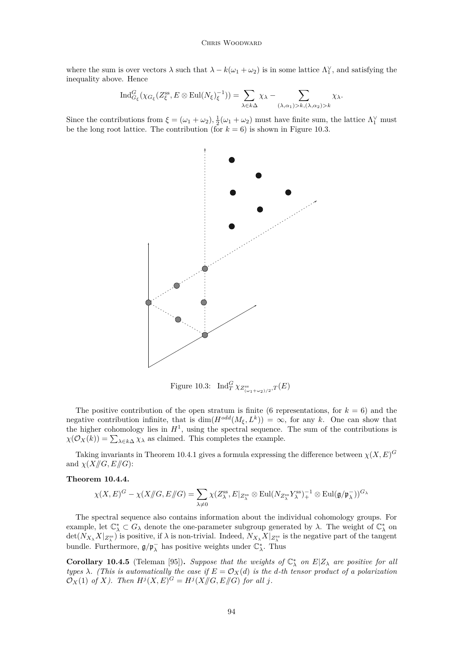where the sum is over vectors  $\lambda$  such that  $\lambda - k(\omega_1 + \omega_2)$  is in some lattice  $\Lambda_1^{\vee}$ , and satisfying the inequality above. Hence

$$
\operatorname{Ind}_{G_{\xi}}^{G}(\chi_{G_{\xi}}(Z_{\xi}^{\operatorname{ss}}, E \otimes \operatorname{Eul}(N_{\xi})_{\xi}^{-1})) = \sum_{\lambda \in k\Delta} \chi_{\lambda} - \sum_{(\lambda,\alpha_1) > k, (\lambda,\alpha_2) > k} \chi_{\lambda}.
$$

Since the contributions from  $\xi = (\omega_1 + \omega_2), \frac{1}{2}(\omega_1 + \omega_2)$  must have finite sum, the lattice  $\Lambda_1^{\vee}$  must be the long root lattice. The contribution (for  $k = 6$ ) is shown in Figure 10.3.



Figure 10.3:  $\text{Ind}_{T}^{G} \chi_{Z_{(\omega_1+\omega_2)/2}^{\text{ss}},T}(E)$ 

The positive contribution of the open stratum is finite (6 representations, for  $k = 6$ ) and the negative contribution infinite, that is  $dim(H^{odd}(M_{\xi}, L^k)) = \infty$ , for any *k*. One can show that the higher cohomology lies in  $H<sup>1</sup>$ , using the spectral sequence. The sum of the contributions is  $\chi(\mathcal{O}_X(k)) = \sum_{\lambda \in k\Delta} \chi_\lambda$  as claimed. This completes the example.

Taking invariants in Theorem [10.4.1](#page-38-0) gives a formula expressing the difference between  $\chi(X, E)^G$ and  $\chi(X/\!\!/G, E/\!\!/G)$ :

## **Theorem 10.4.4.**

$$
\chi(X,E)^G-\chi(X\mathord{/\!\!/} G,E\mathord{/\!\!/} G)=\sum_{\lambda\neq 0}\chi(Z_\lambda^{\mathrm{ss}},E|_{Z_\lambda^{\mathrm{ss}}}\otimes \mathrm{Eul}(N_{Z_\lambda^{\mathrm{ss}}}Y_\lambda^{\mathrm{ss}})_+^{-1}\otimes \mathrm{Eul}(\mathfrak{g}/\mathfrak{p}_\lambda^-))^{G_\lambda}
$$

The spectral sequence also contains information about the individual cohomology groups. For example, let  $\mathbb{C}_{\lambda}^* \subset G_{\lambda}$  denote the one-parameter subgroup generated by  $\lambda$ . The weight of  $\mathbb{C}_{\lambda}^*$  on  $\det(N_{X_\lambda}X|_{Z^{ss}_\lambda})$  is positive, if  $\lambda$  is non-trivial. Indeed,  $N_{X_\lambda}X|_{Z^{ss}_\lambda}$  is the negative part of the tangent bundle. Furthermore,  $\mathfrak{g}/\mathfrak{p}_{\lambda}^{-}$  has positive weights under  $\mathbb{C}_{\lambda}^{*}$ . Thus

**Corollary 10.4.5** (Teleman [\[95\]](#page-44-0)). *Suppose that the weights of*  $\mathbb{C}^*_{\lambda}$  *on*  $E|Z_{\lambda}$  *are positive for all types*  $\lambda$ *. (This is automatically the case if*  $E = \mathcal{O}_X(d)$  *is the d-th tensor product of a polarization*  $\mathcal{O}_X(1)$  *of X*). Then  $H^j(X, E)^G = H^j(X \mid G, E \mid G)$  for all *j*.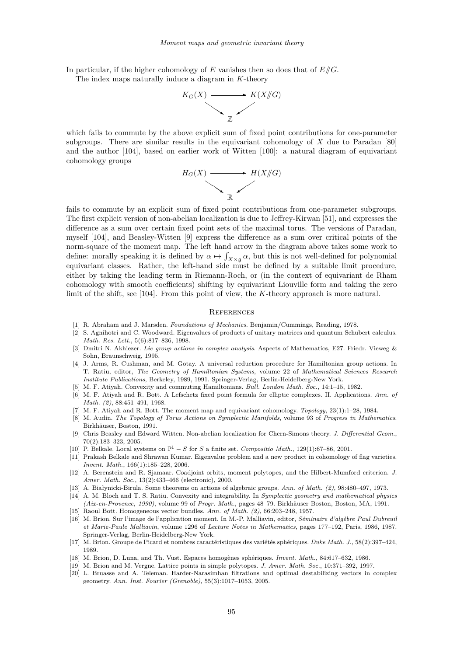<span id="page-41-0"></span>In particular, if the higher cohomology of *E* vanishes then so does that of *E//G*. The index maps naturally induce a diagram in *K*-theory



which fails to commute by the above explicit sum of fixed point contributions for one-parameter subgroups. There are similar results in the equivariant cohomology of *X* due to Paradan [\[80\]](#page-43-0) and the author [\[104\]](#page-44-0), based on earlier work of Witten [\[100\]](#page-44-0): a natural diagram of equivariant cohomology groups



fails to commute by an explicit sum of fixed point contributions from one-parameter subgroups. The first explicit version of non-abelian localization is due to Jeffrey-Kirwan [\[51\]](#page-42-0), and expresses the difference as a sum over certain fixed point sets of the maximal torus. The versions of Paradan, myself [\[104\]](#page-44-0), and Beasley-Witten [9] express the difference as a sum over critical points of the norm-square of the moment map. The left hand arrow in the diagram above takes some work to define: morally speaking it is defined by  $\alpha \mapsto \int_{X \times \mathfrak{g}} \alpha$ , but this is not well-defined for polynomial equivariant classes. Rather, the left-hand side must be defined by a suitable limit procedure, either by taking the leading term in Riemann-Roch, or (in the context of equivariant de Rham cohomology with smooth coefficients) shifting by equivariant Liouville form and taking the zero limit of the shift, see [\[104\]](#page-44-0). From this point of view, the *K*-theory approach is more natural.

## **REFERENCES**

- [1] R. Abraham and J. Marsden. *Foundations of Mechanics*. Benjamin/Cummings, Reading, 1978.
- [2] S. Agnihotri and C. Woodward. Eigenvalues of products of unitary matrices and quantum Schubert calculus. *Math. Res. Lett.*, 5(6):817–836, 1998.
- [3] Dmitri N. Akhiezer. *Lie group actions in complex analysis*. Aspects of Mathematics, E27. Friedr. Vieweg & Sohn, Braunschweig, 1995.
- [4] J. Arms, R. Cushman, and M. Gotay. A universal reduction procedure for Hamiltonian group actions. In T. Ratiu, editor, *The Geometry of Hamiltonian Systems*, volume 22 of *Mathematical Sciences Research Institute Publications*, Berkeley, 1989, 1991. Springer-Verlag, Berlin-Heidelberg-New York.
- [5] M. F. Atiyah. Convexity and commuting Hamiltonians. *Bull. London Math. Soc.*, 14:1–15, 1982.
- [6] M. F. Atiyah and R. Bott. A Lefschetz fixed point formula for elliptic complexes. II. Applications. *Ann. of Math. (2)*, 88:451–491, 1968.
- [7] M. F. Atiyah and R. Bott. The moment map and equivariant cohomology. *Topology*, 23(1):1–28, 1984.
- [8] M. Audin. *The Topology of Torus Actions on Symplectic Manifolds*, volume 93 of *Progress in Mathematics*. Birkhäuser, Boston, 1991.
- [9] Chris Beasley and Edward Witten. Non-abelian localization for Chern-Simons theory. *J. Differential Geom.*, 70(2):183–323, 2005.
- [10] P. Belkale. Local systems on  $\mathbb{P}^1 S$  for *S* a finite set. *Compositio Math.*, 129(1):67–86, 2001.
- [11] Prakash Belkale and Shrawan Kumar. Eigenvalue problem and a new product in cohomology of flag varieties. *Invent. Math.*, 166(1):185–228, 2006.
- [12] A. Berenstein and R. Sjamaar. Coadjoint orbits, moment polytopes, and the Hilbert-Mumford criterion. *J. Amer. Math. Soc.*, 13(2):433–466 (electronic), 2000.
- [13] A. Białynicki-Birula. Some theorems on actions of algebraic groups. *Ann. of Math. (2)*, 98:480–497, 1973.
- [14] A. M. Bloch and T. S. Ratiu. Convexity and integrability. In *Symplectic geometry and mathematical physics (Aix-en-Provence, 1990)*, volume 99 of *Progr. Math.*, pages 48–79. Birkhäuser Boston, Boston, MA, 1991.
- [15] Raoul Bott. Homogeneous vector bundles. *Ann. of Math. (2)*, 66:203–248, 1957.
- [16] M. Brion. Sur l'image de l'application moment. In M.-P. Malliavin, editor, *Séminaire d'algèbre Paul Dubreuil et Marie-Paule Malliavin*, volume 1296 of *Lecture Notes in Mathematics*, pages 177–192, Paris, 1986, 1987. Springer-Verlag, Berlin-Heidelberg-New York.
- [17] M. Brion. Groupe de Picard et nombres caractéristiques des variétés sphériques. *Duke Math. J.*, 58(2):397–424, 1989.
- [18] M. Brion, D. Luna, and Th. Vust. Espaces homogènes sphériques. *Invent. Math.*, 84:617–632, 1986.
- [19] M. Brion and M. Vergne. Lattice points in simple polytopes. *J. Amer. Math. Soc.*, 10:371–392, 1997.
- [20] L. Bruasse and A. Teleman. Harder-Narasimhan filtrations and optimal destabilizing vectors in complex geometry. *Ann. Inst. Fourier (Grenoble)*, 55(3):1017–1053, 2005.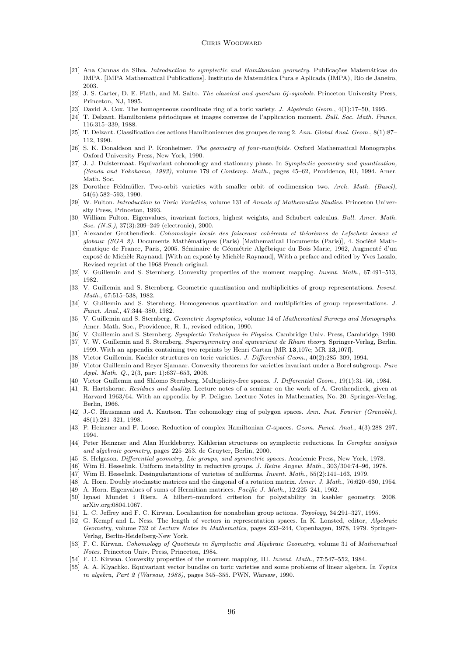#### CHRIS WOODWARD

- <span id="page-42-0"></span>[21] Ana Cannas da Silva. *Introduction to symplectic and Hamiltonian geometry*. Publicações Matemáticas do IMPA. [IMPA Mathematical Publications]. Instituto de Matemática Pura e Aplicada (IMPA), Rio de Janeiro, 2003.
- [22] J. S. Carter, D. E. Flath, and M. Saito. *The classical and quantum 6j-symbols*. Princeton University Press, Princeton, NJ, 1995.
- [23] David A. Cox. The homogeneous coordinate ring of a toric variety. *J. Algebraic Geom.*, 4(1):17–50, 1995.
- [24] T. Delzant. Hamiltoniens périodiques et images convexes de l'application moment. *Bull. Soc. Math. France*, 116:315–339, 1988.
- [25] T. Delzant. Classification des actions Hamiltoniennes des groupes de rang 2. *Ann. Global Anal. Geom.*, 8(1):87– 112, 1990.
- [26] S. K. Donaldson and P. Kronheimer. *The geometry of four-manifolds*. Oxford Mathematical Monographs. Oxford University Press, New York, 1990.
- [27] J. J. Duistermaat. Equivariant cohomology and stationary phase. In *Symplectic geometry and quantization, (Sanda and Yokohama, 1993)*, volume 179 of *Contemp. Math.*, pages 45–62, Providence, RI, 1994. Amer. Math. Soc.
- [28] Dorothee Feldmüller. Two-orbit varieties with smaller orbit of codimension two. *Arch. Math. (Basel)*, 54(6):582–593, 1990.
- [29] W. Fulton. *Introduction to Toric Varieties*, volume 131 of *Annals of Mathematics Studies*. Princeton University Press, Princeton, 1993.
- [30] William Fulton. Eigenvalues, invariant factors, highest weights, and Schubert calculus. *Bull. Amer. Math. Soc. (N.S.)*, 37(3):209–249 (electronic), 2000.
- [31] Alexander Grothendieck. *Cohomologie locale des faisceaux cohérents et théorèmes de Lefschetz locaux et globaux (SGA 2)*. Documents Mathématiques (Paris) [Mathematical Documents (Paris)], 4. Société Mathématique de France, Paris, 2005. Séminaire de Géométrie Algébrique du Bois Marie, 1962, Augmenté d'un exposé de Michèle Raynaud. [With an exposé by Michèle Raynaud], With a preface and edited by Yves Laszlo, Revised reprint of the 1968 French original.
- [32] V. Guillemin and S. Sternberg. Convexity properties of the moment mapping. *Invent. Math.*, 67:491–513, 1982.
- [33] V. Guillemin and S. Sternberg. Geometric quantization and multiplicities of group representations. *Invent. Math.*, 67:515–538, 1982.
- [34] V. Guillemin and S. Sternberg. Homogeneous quantization and multiplicities of group representations. *J. Funct. Anal.*, 47:344–380, 1982.
- [35] V. Guillemin and S. Sternberg. *Geometric Asymptotics*, volume 14 of *Mathematical Surveys and Monographs*. Amer. Math. Soc., Providence, R. I., revised edition, 1990.
- [36] V. Guillemin and S. Sternberg. *Symplectic Techniques in Physics*. Cambridge Univ. Press, Cambridge, 1990.
- [37] V. W. Guillemin and S. Sternberg. *Supersymmetry and equivariant de Rham theory*. Springer-Verlag, Berlin, 1999. With an appendix containing two reprints by Henri Cartan [MR **13**,107e; MR **13**,107f].
- [38] Victor Guillemin. Kaehler structures on toric varieties. *J. Differential Geom.*, 40(2):285–309, 1994.
- [39] Victor Guillemin and Reyer Sjamaar. Convexity theorems for varieties invariant under a Borel subgroup. *Pure Appl. Math. Q.*, 2(3, part 1):637–653, 2006.
- [40] Victor Guillemin and Shlomo Sternberg. Multiplicity-free spaces. *J. Differential Geom.*, 19(1):31–56, 1984.
- [41] R. Hartshorne. *Residues and duality*. Lecture notes of a seminar on the work of A. Grothendieck, given at Harvard 1963/64. With an appendix by P. Deligne. Lecture Notes in Mathematics, No. 20. Springer-Verlag, Berlin, 1966.
- [42] J.-C. Hausmann and A. Knutson. The cohomology ring of polygon spaces. *Ann. Inst. Fourier (Grenoble)*, 48(1):281–321, 1998.
- [43] P. Heinzner and F. Loose. Reduction of complex Hamiltonian *G*-spaces. *Geom. Funct. Anal.*, 4(3):288–297, 1994.
- [44] Peter Heinzner and Alan Huckleberry. Kählerian structures on symplectic reductions. In *Complex analysis and algebraic geometry*, pages 225–253. de Gruyter, Berlin, 2000.
- [45] S. Helgason. *Differential geometry, Lie groups, and symmetric spaces*. Academic Press, New York, 1978.
- [46] Wim H. Hesselink. Uniform instability in reductive groups. *J. Reine Angew. Math.*, 303/304:74–96, 1978.
- [47] Wim H. Hesselink. Desingularizations of varieties of nullforms. *Invent. Math.*, 55(2):141–163, 1979.
- [48] A. Horn. Doubly stochastic matrices and the diagonal of a rotation matrix. *Amer. J. Math.*, 76:620–630, 1954.
- [49] A. Horn. Eigenvalues of sums of Hermitian matrices. *Pacific J. Math.*, 12:225–241, 1962.
- [50] Ignasi Mundet i Riera. A hilbert–mumford criterion for polystability in kaehler geometry, 2008. arXiv.org:0804.1067.
- [51] L. C. Jeffrey and F. C. Kirwan. Localization for nonabelian group actions. *Topology*, 34:291–327, 1995.
- [52] G. Kempf and L. Ness. The length of vectors in representation spaces. In K. Lonsted, editor, *Algebraic Geometry*, volume 732 of *Lecture Notes in Mathematics*, pages 233–244, Copenhagen, 1978, 1979. Springer-Verlag, Berlin-Heidelberg-New York.
- [53] F. C. Kirwan. *Cohomology of Quotients in Symplectic and Algebraic Geometry*, volume 31 of *Mathematical Notes*. Princeton Univ. Press, Princeton, 1984.
- [54] F. C. Kirwan. Convexity properties of the moment mapping, III. *Invent. Math.*, 77:547–552, 1984.
- [55] A. A. Klyachko. Equivariant vector bundles on toric varieties and some problems of linear algebra. In *Topics in algebra, Part 2 (Warsaw, 1988)*, pages 345–355. PWN, Warsaw, 1990.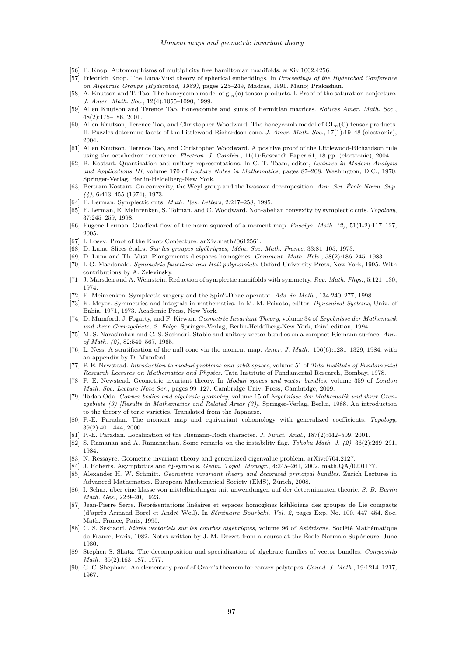- <span id="page-43-0"></span>[56] F. Knop. Automorphisms of multiplicity free hamiltonian manifolds. arXiv:1002.4256.
- [57] Friedrich Knop. The Luna-Vust theory of spherical embeddings. In *Proceedings of the Hyderabad Conference on Algebraic Groups (Hyderabad, 1989)*, pages 225–249, Madras, 1991. Manoj Prakashan.
- [58] A. Knutson and T. Tao. The honeycomb model of gl*n*(**c**) tensor products. I. Proof of the saturation conjecture. *J. Amer. Math. Soc.*, 12(4):1055–1090, 1999.
- [59] Allen Knutson and Terence Tao. Honeycombs and sums of Hermitian matrices. *Notices Amer. Math. Soc.*, 48(2):175–186, 2001.
- [60] Allen Knutson, Terence Tao, and Christopher Woodward. The honeycomb model of GL*n*(C) tensor products. II. Puzzles determine facets of the Littlewood-Richardson cone. *J. Amer. Math. Soc.*, 17(1):19–48 (electronic), 2004.
- [61] Allen Knutson, Terence Tao, and Christopher Woodward. A positive proof of the Littlewood-Richardson rule using the octahedron recurrence. *Electron. J. Combin.*, 11(1):Research Paper 61, 18 pp. (electronic), 2004.
- [62] B. Kostant. Quantization and unitary representations. In C. T. Taam, editor, *Lectures in Modern Analysis and Applications III*, volume 170 of *Lecture Notes in Mathematics*, pages 87–208, Washington, D.C., 1970. Springer-Verlag, Berlin-Heidelberg-New York.
- [63] Bertram Kostant. On convexity, the Weyl group and the Iwasawa decomposition. *Ann. Sci. École Norm. Sup. (4)*, 6:413–455 (1974), 1973.
- [64] E. Lerman. Symplectic cuts. *Math. Res. Letters*, 2:247–258, 1995.
- [65] E. Lerman, E. Meinrenken, S. Tolman, and C. Woodward. Non-abelian convexity by symplectic cuts. *Topology*, 37:245–259, 1998.
- [66] Eugene Lerman. Gradient flow of the norm squared of a moment map. *Enseign. Math. (2)*, 51(1-2):117–127, 2005.
- [67] I. Losev. Proof of the Knop Conjecture. arXiv:math/0612561.
- [68] D. Luna. Slices étales. *Sur les groupes algébriques, Mém. Soc. Math. France*, 33:81–105, 1973.
- [69] D. Luna and Th. Vust. Plongements d'espaces homogènes. *Comment. Math. Helv.*, 58(2):186–245, 1983.
- [70] I. G. Macdonald. *Symmetric functions and Hall polynomials*. Oxford University Press, New York, 1995. With contributions by A. Zelevinsky.
- [71] J. Marsden and A. Weinstein. Reduction of symplectic manifolds with symmetry. *Rep. Math. Phys.*, 5:121–130, 1974.
- [72] E. Meinrenken. Symplectic surgery and the Spin<sup>c</sup> -Dirac operator. *Adv. in Math.*, 134:240–277, 1998.
- [73] K. Meyer. Symmetries and integrals in mathematics. In M. M. Peixoto, editor, *Dynamical Systems*, Univ. of Bahia, 1971, 1973. Academic Press, New York.
- [74] D. Mumford, J. Fogarty, and F. Kirwan. *Geometric Invariant Theory*, volume 34 of *Ergebnisse der Mathematik und ihrer Grenzgebiete, 2. Folge*. Springer-Verlag, Berlin-Heidelberg-New York, third edition, 1994.
- [75] M. S. Narasimhan and C. S. Seshadri. Stable and unitary vector bundles on a compact Riemann surface. *Ann. of Math. (2)*, 82:540–567, 1965.
- [76] L. Ness. A stratification of the null cone via the moment map. *Amer. J. Math.*, 106(6):1281–1329, 1984. with an appendix by D. Mumford.
- [77] P. E. Newstead. *Introduction to moduli problems and orbit spaces*, volume 51 of *Tata Institute of Fundamental Research Lectures on Mathematics and Physics*. Tata Institute of Fundamental Research, Bombay, 1978.
- [78] P. E. Newstead. Geometric invariant theory. In *Moduli spaces and vector bundles*, volume 359 of *London Math. Soc. Lecture Note Ser.*, pages 99–127. Cambridge Univ. Press, Cambridge, 2009.
- [79] Tadao Oda. *Convex bodies and algebraic geometry*, volume 15 of *Ergebnisse der Mathematik und ihrer Grenzgebiete (3) [Results in Mathematics and Related Areas (3)]*. Springer-Verlag, Berlin, 1988. An introduction to the theory of toric varieties, Translated from the Japanese.
- [80] P.-E. Paradan. The moment map and equivariant cohomology with generalized coefficients. *Topology*, 39(2):401–444, 2000.
- [81] P.-E. Paradan. Localization of the Riemann-Roch character. *J. Funct. Anal.*, 187(2):442–509, 2001.
- [82] S. Ramanan and A. Ramanathan. Some remarks on the instability flag. *Tohoku Math. J. (2)*, 36(2):269–291, 1984.
- [83] N. Ressayre. Geometric invariant theory and generalized eigenvalue problem. arXiv:0704.2127.
- [84] J. Roberts. Asymptotics and 6j-symbols. *Geom. Topol. Monogr.*, 4:245–261, 2002. math.QA/0201177.
- [85] Alexander H. W. Schmitt. *Geometric invariant theory and decorated principal bundles*. Zurich Lectures in Advanced Mathematics. European Mathematical Society (EMS), Zürich, 2008.
- [86] I. Schur. über eine klasse von mittelbindungen mit anwendungen auf der determinanten theorie. *S. B. Berlin Math. Ges.*, 22:9–20, 1923.
- [87] Jean-Pierre Serre. Représentations linéaires et espaces homogènes kählériens des groupes de Lie compacts (d'après Armand Borel et André Weil). In *Séminaire Bourbaki, Vol. 2*, pages Exp. No. 100, 447–454. Soc. Math. France, Paris, 1995.
- [88] C. S. Seshadri. *Fibrés vectoriels sur les courbes algébriques*, volume 96 of *Astérisque*. Société Mathématique de France, Paris, 1982. Notes written by J.-M. Drezet from a course at the École Normale Supérieure, June 1980.
- [89] Stephen S. Shatz. The decomposition and specialization of algebraic families of vector bundles. *Compositio Math.*, 35(2):163–187, 1977.
- [90] G. C. Shephard. An elementary proof of Gram's theorem for convex polytopes. *Canad. J. Math.*, 19:1214–1217, 1967.